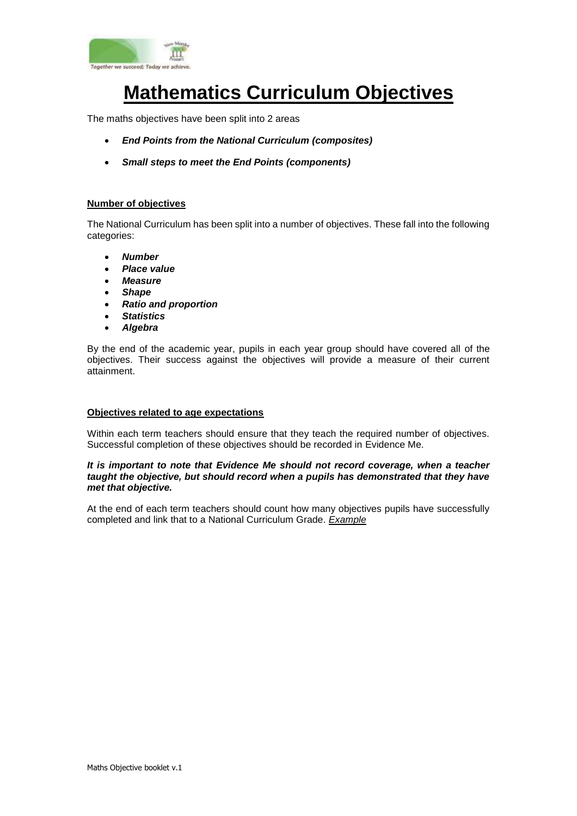

# **Mathematics Curriculum Objectives**

The maths objectives have been split into 2 areas

- *End Points from the National Curriculum (composites)*
- *Small steps to meet the End Points (components)*

## **Number of objectives**

The National Curriculum has been split into a number of objectives. These fall into the following categories:

- *Number*
- *Place value*
- *Measure*
- *Shape*
- *Ratio and proportion*
- *Statistics*
- *Algebra*

By the end of the academic year, pupils in each year group should have covered all of the objectives. Their success against the objectives will provide a measure of their current attainment.

#### **Objectives related to age expectations**

Within each term teachers should ensure that they teach the required number of objectives. Successful completion of these objectives should be recorded in Evidence Me.

#### *It is important to note that Evidence Me should not record coverage, when a teacher taught the objective, but should record when a pupils has demonstrated that they have met that objective.*

At the end of each term teachers should count how many objectives pupils have successfully completed and link that to a National Curriculum Grade. *Example*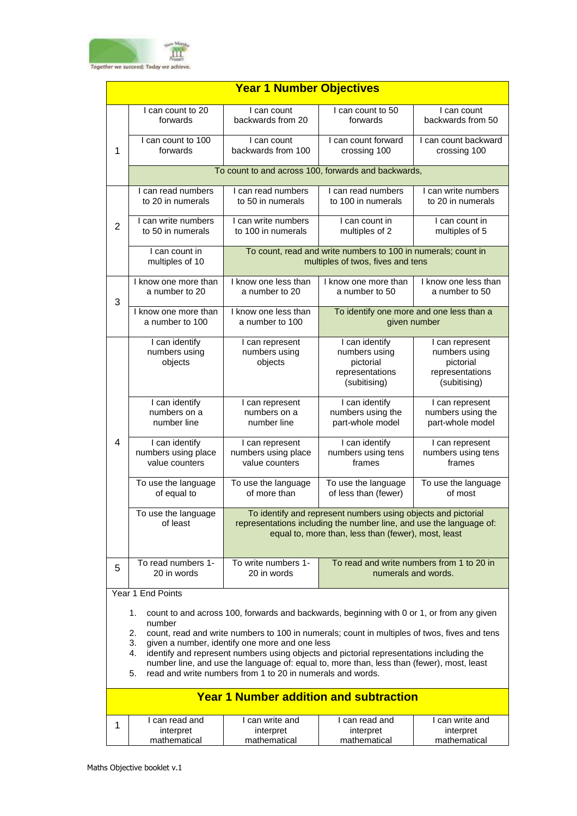

|                | <b>Year 1 Number Objectives</b>                                                                                                                                                                                                                                                                                                                                                                                                                                                                                                            |                                                          |                                                                                                    |                                                                                  |  |  |  |
|----------------|--------------------------------------------------------------------------------------------------------------------------------------------------------------------------------------------------------------------------------------------------------------------------------------------------------------------------------------------------------------------------------------------------------------------------------------------------------------------------------------------------------------------------------------------|----------------------------------------------------------|----------------------------------------------------------------------------------------------------|----------------------------------------------------------------------------------|--|--|--|
|                | I can count to 20<br>forwards                                                                                                                                                                                                                                                                                                                                                                                                                                                                                                              | I can count<br>backwards from 20                         | I can count to 50<br>forwards                                                                      | I can count<br>backwards from 50                                                 |  |  |  |
| 1              | I can count to 100<br>forwards                                                                                                                                                                                                                                                                                                                                                                                                                                                                                                             | I can count<br>backwards from 100                        | I can count forward<br>crossing 100                                                                | I can count backward<br>crossing 100                                             |  |  |  |
|                |                                                                                                                                                                                                                                                                                                                                                                                                                                                                                                                                            | To count to and across 100, forwards and backwards,      |                                                                                                    |                                                                                  |  |  |  |
|                | I can read numbers<br>to 20 in numerals                                                                                                                                                                                                                                                                                                                                                                                                                                                                                                    | I can read numbers<br>to 50 in numerals                  | I can read numbers<br>to 100 in numerals                                                           | I can write numbers<br>to 20 in numerals                                         |  |  |  |
| $\overline{2}$ | I can write numbers<br>to 50 in numerals                                                                                                                                                                                                                                                                                                                                                                                                                                                                                                   | I can write numbers<br>to 100 in numerals                | I can count in<br>multiples of 2                                                                   | I can count in<br>multiples of 5                                                 |  |  |  |
|                | I can count in<br>multiples of 10                                                                                                                                                                                                                                                                                                                                                                                                                                                                                                          |                                                          | To count, read and write numbers to 100 in numerals; count in<br>multiples of twos, fives and tens |                                                                                  |  |  |  |
| 3              | I know one more than<br>a number to 20                                                                                                                                                                                                                                                                                                                                                                                                                                                                                                     | I know one less than<br>a number to 20                   | I know one more than<br>a number to 50                                                             | I know one less than<br>a number to 50                                           |  |  |  |
|                | I know one more than<br>a number to 100                                                                                                                                                                                                                                                                                                                                                                                                                                                                                                    | I know one less than<br>a number to 100                  | To identify one more and one less than a<br>given number                                           |                                                                                  |  |  |  |
|                | I can identify<br>numbers using<br>objects                                                                                                                                                                                                                                                                                                                                                                                                                                                                                                 | I can represent<br>numbers using<br>objects              | I can identify<br>numbers using<br>pictorial<br>representations<br>(subitising)                    | I can represent<br>numbers using<br>pictorial<br>representations<br>(subitising) |  |  |  |
|                | I can identify<br>numbers on a<br>number line                                                                                                                                                                                                                                                                                                                                                                                                                                                                                              | I can represent<br>numbers on a<br>number line           | I can identify<br>numbers using the<br>part-whole model                                            | I can represent<br>numbers using the<br>part-whole model                         |  |  |  |
| $\overline{4}$ | I can identify<br>numbers using place<br>value counters                                                                                                                                                                                                                                                                                                                                                                                                                                                                                    | I can represent<br>numbers using place<br>value counters | I can identify<br>numbers using tens<br>frames                                                     | I can represent<br>numbers using tens<br>frames                                  |  |  |  |
|                | To use the language<br>of equal to                                                                                                                                                                                                                                                                                                                                                                                                                                                                                                         | To use the language<br>of more than                      | To use the language<br>of less than (fewer)                                                        | To use the language<br>of most                                                   |  |  |  |
|                | To use the language<br>To identify and represent numbers using objects and pictorial<br>of least<br>representations including the number line, and use the language of:<br>equal to, more than, less than (fewer), most, least                                                                                                                                                                                                                                                                                                             |                                                          |                                                                                                    |                                                                                  |  |  |  |
| 5              | To read numbers 1-<br>20 in words                                                                                                                                                                                                                                                                                                                                                                                                                                                                                                          | To write numbers 1-<br>20 in words                       | To read and write numbers from 1 to 20 in                                                          | numerals and words.                                                              |  |  |  |
|                | Year 1 End Points                                                                                                                                                                                                                                                                                                                                                                                                                                                                                                                          |                                                          |                                                                                                    |                                                                                  |  |  |  |
|                | count to and across 100, forwards and backwards, beginning with 0 or 1, or from any given<br>1.<br>number<br>2.<br>count, read and write numbers to 100 in numerals; count in multiples of twos, fives and tens<br>given a number, identify one more and one less<br>3.<br>identify and represent numbers using objects and pictorial representations including the<br>4.<br>number line, and use the language of: equal to, more than, less than (fewer), most, least<br>read and write numbers from 1 to 20 in numerals and words.<br>5. |                                                          |                                                                                                    |                                                                                  |  |  |  |
|                |                                                                                                                                                                                                                                                                                                                                                                                                                                                                                                                                            |                                                          | <b>Year 1 Number addition and subtraction</b>                                                      |                                                                                  |  |  |  |
| 1              | I can read and<br>interpret<br>mathematical                                                                                                                                                                                                                                                                                                                                                                                                                                                                                                | I can write and<br>interpret<br>mathematical             | I can read and<br>interpret<br>mathematical                                                        | I can write and<br>interpret<br>mathematical                                     |  |  |  |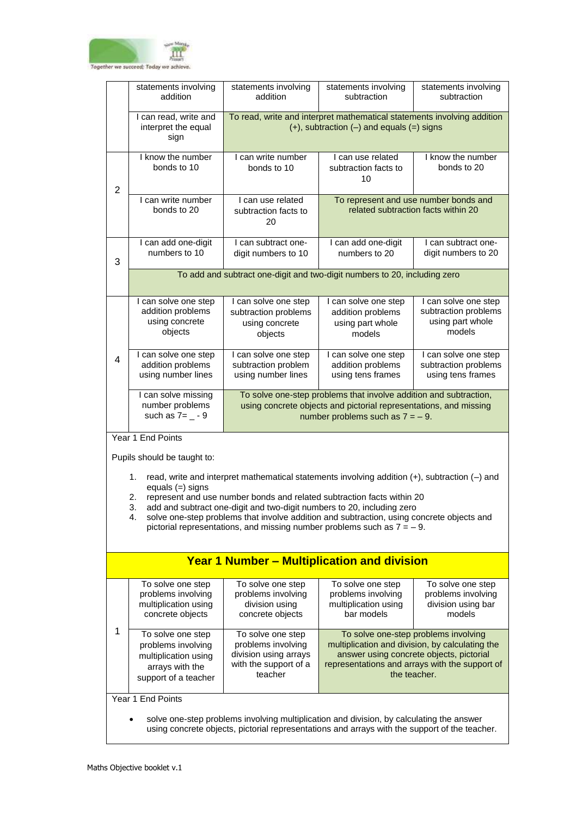

|                | statements involving<br>addition                                                                                                                                                          | statements involving<br>addition                                                                                            | statements involving<br>subtraction                                                                                                                                                                                                                                                                                                                                                                                              | statements involving<br>subtraction                                                               |  |
|----------------|-------------------------------------------------------------------------------------------------------------------------------------------------------------------------------------------|-----------------------------------------------------------------------------------------------------------------------------|----------------------------------------------------------------------------------------------------------------------------------------------------------------------------------------------------------------------------------------------------------------------------------------------------------------------------------------------------------------------------------------------------------------------------------|---------------------------------------------------------------------------------------------------|--|
|                | I can read, write and<br>interpret the equal<br>sign                                                                                                                                      | To read, write and interpret mathematical statements involving addition<br>$(+)$ , subtraction $(-)$ and equals $(=)$ signs |                                                                                                                                                                                                                                                                                                                                                                                                                                  |                                                                                                   |  |
| $\overline{2}$ | I know the number<br>bonds to 10                                                                                                                                                          | I can write number<br>bonds to 10                                                                                           | I can use related<br>subtraction facts to<br>10                                                                                                                                                                                                                                                                                                                                                                                  | I know the number<br>bonds to 20                                                                  |  |
|                | I can write number<br>bonds to 20                                                                                                                                                         | I can use related<br>subtraction facts to<br>20                                                                             | To represent and use number bonds and                                                                                                                                                                                                                                                                                                                                                                                            | related subtraction facts within 20                                                               |  |
| 3              | I can add one-digit<br>numbers to 10                                                                                                                                                      | I can subtract one-<br>digit numbers to 10                                                                                  | I can add one-digit<br>numbers to 20                                                                                                                                                                                                                                                                                                                                                                                             | I can subtract one-<br>digit numbers to 20                                                        |  |
|                |                                                                                                                                                                                           |                                                                                                                             | To add and subtract one-digit and two-digit numbers to 20, including zero                                                                                                                                                                                                                                                                                                                                                        |                                                                                                   |  |
|                | I can solve one step<br>addition problems<br>using concrete<br>objects                                                                                                                    | I can solve one step<br>subtraction problems<br>using concrete<br>objects                                                   | I can solve one step<br>addition problems<br>using part whole<br>models                                                                                                                                                                                                                                                                                                                                                          | I can solve one step<br>subtraction problems<br>using part whole<br>models                        |  |
| 4              | I can solve one step<br>addition problems<br>using number lines                                                                                                                           | I can solve one step<br>subtraction problem<br>using number lines                                                           | I can solve one step<br>addition problems<br>using tens frames                                                                                                                                                                                                                                                                                                                                                                   | I can solve one step<br>subtraction problems<br>using tens frames                                 |  |
|                | I can solve missing<br>number problems<br>such as $7 = -9$                                                                                                                                |                                                                                                                             | To solve one-step problems that involve addition and subtraction,<br>using concrete objects and pictorial representations, and missing<br>number problems such as $7 = -9$ .                                                                                                                                                                                                                                                     |                                                                                                   |  |
|                | Year 1 End Points                                                                                                                                                                         |                                                                                                                             |                                                                                                                                                                                                                                                                                                                                                                                                                                  |                                                                                                   |  |
|                | Pupils should be taught to:<br>1.<br>equals $(=)$ signs<br>2.<br>3.<br>4.                                                                                                                 |                                                                                                                             | read, write and interpret mathematical statements involving addition $(+)$ , subtraction $(-)$ and<br>represent and use number bonds and related subtraction facts within 20<br>add and subtract one-digit and two-digit numbers to 20, including zero<br>solve one-step problems that involve addition and subtraction, using concrete objects and<br>pictorial representations, and missing number problems such as $7 = -9$ . |                                                                                                   |  |
|                |                                                                                                                                                                                           |                                                                                                                             | <b>Year 1 Number - Multiplication and division</b>                                                                                                                                                                                                                                                                                                                                                                               |                                                                                                   |  |
|                | To solve one step<br>problems involving<br>multiplication using<br>concrete objects                                                                                                       | To solve one step<br>problems involving<br>division using<br>concrete objects                                               | To solve one step<br>problems involving<br>multiplication using<br>bar models                                                                                                                                                                                                                                                                                                                                                    | To solve one step<br>problems involving<br>division using bar<br>models                           |  |
| 1              | To solve one step<br>problems involving<br>multiplication using<br>arrays with the<br>support of a teacher                                                                                | To solve one step<br>problems involving<br>division using arrays<br>with the support of a<br>teacher                        | To solve one-step problems involving<br>answer using concrete objects, pictorial<br>the teacher.                                                                                                                                                                                                                                                                                                                                 | multiplication and division, by calculating the<br>representations and arrays with the support of |  |
|                | Year 1 End Points                                                                                                                                                                         |                                                                                                                             |                                                                                                                                                                                                                                                                                                                                                                                                                                  |                                                                                                   |  |
|                | solve one-step problems involving multiplication and division, by calculating the answer<br>using concrete objects, pictorial representations and arrays with the support of the teacher. |                                                                                                                             |                                                                                                                                                                                                                                                                                                                                                                                                                                  |                                                                                                   |  |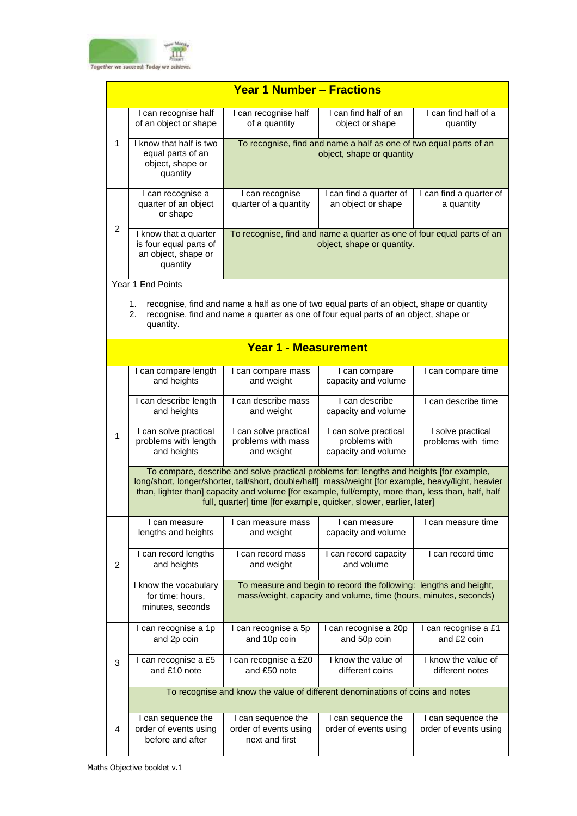

|                | <b>Year 1 Number - Fractions</b>                                                                                                                                                                                                                                                                                                                                            |                                                                                                                                       |                                                                                                                                                                                   |                                         |  |
|----------------|-----------------------------------------------------------------------------------------------------------------------------------------------------------------------------------------------------------------------------------------------------------------------------------------------------------------------------------------------------------------------------|---------------------------------------------------------------------------------------------------------------------------------------|-----------------------------------------------------------------------------------------------------------------------------------------------------------------------------------|-----------------------------------------|--|
|                | I can recognise half<br>of an object or shape                                                                                                                                                                                                                                                                                                                               | I can recognise half<br>of a quantity                                                                                                 | I can find half of an<br>object or shape                                                                                                                                          | I can find half of a<br>quantity        |  |
| 1              | I know that half is two<br>equal parts of an<br>object, shape or<br>quantity                                                                                                                                                                                                                                                                                                |                                                                                                                                       | To recognise, find and name a half as one of two equal parts of an<br>object, shape or quantity                                                                                   |                                         |  |
|                | I can recognise a<br>quarter of an object<br>or shape                                                                                                                                                                                                                                                                                                                       | I can recognise<br>quarter of a quantity                                                                                              | I can find a quarter of<br>an object or shape                                                                                                                                     | I can find a quarter of<br>a quantity   |  |
| $\overline{c}$ | I know that a quarter<br>is four equal parts of<br>an object, shape or<br>quantity                                                                                                                                                                                                                                                                                          |                                                                                                                                       | To recognise, find and name a quarter as one of four equal parts of an<br>object, shape or quantity.                                                                              |                                         |  |
|                | Year 1 End Points                                                                                                                                                                                                                                                                                                                                                           |                                                                                                                                       |                                                                                                                                                                                   |                                         |  |
|                | 1.<br>2.<br>quantity.                                                                                                                                                                                                                                                                                                                                                       |                                                                                                                                       | recognise, find and name a half as one of two equal parts of an object, shape or quantity<br>recognise, find and name a quarter as one of four equal parts of an object, shape or |                                         |  |
|                |                                                                                                                                                                                                                                                                                                                                                                             | <b>Year 1 - Measurement</b>                                                                                                           |                                                                                                                                                                                   |                                         |  |
|                | I can compare length<br>and heights                                                                                                                                                                                                                                                                                                                                         | I can compare mass<br>and weight                                                                                                      | I can compare<br>capacity and volume                                                                                                                                              | I can compare time                      |  |
|                | I can describe length<br>and heights                                                                                                                                                                                                                                                                                                                                        | I can describe mass<br>and weight                                                                                                     | I can describe<br>capacity and volume                                                                                                                                             | I can describe time                     |  |
| 1              | I can solve practical<br>problems with length<br>and heights                                                                                                                                                                                                                                                                                                                | I can solve practical<br>problems with mass<br>and weight                                                                             | I can solve practical<br>problems with<br>capacity and volume                                                                                                                     | I solve practical<br>problems with time |  |
|                | To compare, describe and solve practical problems for: lengths and heights [for example,<br>long/short, longer/shorter, tall/short, double/half] mass/weight [for example, heavy/light, heavier<br>than, lighter than] capacity and volume [for example, full/empty, more than, less than, half, half<br>full, quarter] time [for example, quicker, slower, earlier, later] |                                                                                                                                       |                                                                                                                                                                                   |                                         |  |
|                | I can measure<br>lengths and heights                                                                                                                                                                                                                                                                                                                                        | I can measure mass<br>and weight                                                                                                      | I can measure<br>capacity and volume                                                                                                                                              | I can measure time                      |  |
| $\overline{2}$ | I can record lengths<br>and heights                                                                                                                                                                                                                                                                                                                                         | I can record mass<br>and weight                                                                                                       | I can record capacity<br>and volume                                                                                                                                               | I can record time                       |  |
|                | I know the vocabulary<br>for time: hours,<br>minutes, seconds                                                                                                                                                                                                                                                                                                               | To measure and begin to record the following: lengths and height,<br>mass/weight, capacity and volume, time (hours, minutes, seconds) |                                                                                                                                                                                   |                                         |  |
|                | I can recognise a 1p<br>and 2p coin                                                                                                                                                                                                                                                                                                                                         | I can recognise a 5p<br>and 10p coin                                                                                                  | I can recognise a 20p<br>and 50p coin                                                                                                                                             | I can recognise a £1<br>and £2 coin     |  |
| 3              | I can recognise a £5<br>and £10 note                                                                                                                                                                                                                                                                                                                                        | I can recognise a £20<br>and £50 note                                                                                                 | I know the value of<br>different coins                                                                                                                                            | I know the value of<br>different notes  |  |
|                |                                                                                                                                                                                                                                                                                                                                                                             |                                                                                                                                       | To recognise and know the value of different denominations of coins and notes                                                                                                     |                                         |  |
|                | I can sequence the                                                                                                                                                                                                                                                                                                                                                          | I can sequence the                                                                                                                    | I can sequence the                                                                                                                                                                | I can sequence the                      |  |
| $\overline{4}$ | order of events using<br>before and after                                                                                                                                                                                                                                                                                                                                   | order of events using<br>next and first                                                                                               | order of events using                                                                                                                                                             | order of events using                   |  |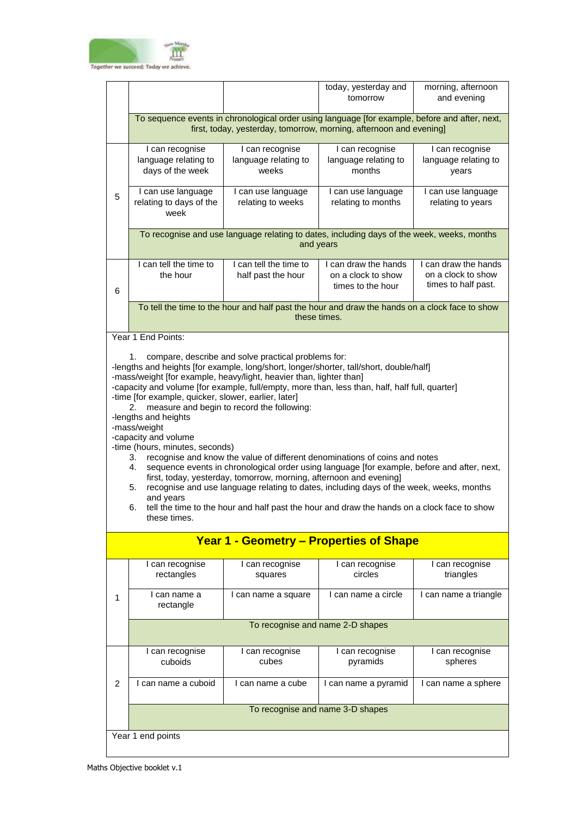

|                |                                                                                                                                                                                                                                                                                                                                                                                                                                                                                                                                                                                                                                                                                                                                                                                                                                                                                                                                                                                                                                                |                                                  | today, yesterday and<br>tomorrow                                                                               | morning, afternoon<br>and evening                                 |  |
|----------------|------------------------------------------------------------------------------------------------------------------------------------------------------------------------------------------------------------------------------------------------------------------------------------------------------------------------------------------------------------------------------------------------------------------------------------------------------------------------------------------------------------------------------------------------------------------------------------------------------------------------------------------------------------------------------------------------------------------------------------------------------------------------------------------------------------------------------------------------------------------------------------------------------------------------------------------------------------------------------------------------------------------------------------------------|--------------------------------------------------|----------------------------------------------------------------------------------------------------------------|-------------------------------------------------------------------|--|
|                | To sequence events in chronological order using language [for example, before and after, next,<br>first, today, yesterday, tomorrow, morning, afternoon and evening]                                                                                                                                                                                                                                                                                                                                                                                                                                                                                                                                                                                                                                                                                                                                                                                                                                                                           |                                                  |                                                                                                                |                                                                   |  |
|                | I can recognise<br>language relating to<br>days of the week                                                                                                                                                                                                                                                                                                                                                                                                                                                                                                                                                                                                                                                                                                                                                                                                                                                                                                                                                                                    | I can recognise<br>language relating to<br>weeks | I can recognise<br>language relating to<br>months                                                              | I can recognise<br>language relating to<br>years                  |  |
| 5              | I can use language<br>relating to days of the<br>week                                                                                                                                                                                                                                                                                                                                                                                                                                                                                                                                                                                                                                                                                                                                                                                                                                                                                                                                                                                          | I can use language<br>relating to weeks          | I can use language<br>relating to months                                                                       | I can use language<br>relating to years                           |  |
|                |                                                                                                                                                                                                                                                                                                                                                                                                                                                                                                                                                                                                                                                                                                                                                                                                                                                                                                                                                                                                                                                |                                                  | To recognise and use language relating to dates, including days of the week, weeks, months<br>and years        |                                                                   |  |
| 6              | I can tell the time to<br>the hour                                                                                                                                                                                                                                                                                                                                                                                                                                                                                                                                                                                                                                                                                                                                                                                                                                                                                                                                                                                                             | I can tell the time to<br>half past the hour     | I can draw the hands<br>on a clock to show<br>times to the hour                                                | I can draw the hands<br>on a clock to show<br>times to half past. |  |
|                |                                                                                                                                                                                                                                                                                                                                                                                                                                                                                                                                                                                                                                                                                                                                                                                                                                                                                                                                                                                                                                                |                                                  | To tell the time to the hour and half past the hour and draw the hands on a clock face to show<br>these times. |                                                                   |  |
|                | Year 1 End Points:                                                                                                                                                                                                                                                                                                                                                                                                                                                                                                                                                                                                                                                                                                                                                                                                                                                                                                                                                                                                                             |                                                  |                                                                                                                |                                                                   |  |
|                | compare, describe and solve practical problems for:<br>1.<br>-lengths and heights [for example, long/short, longer/shorter, tall/short, double/half]<br>-mass/weight [for example, heavy/light, heavier than, lighter than]<br>-capacity and volume [for example, full/empty, more than, less than, half, half full, quarter]<br>-time [for example, quicker, slower, earlier, later]<br>measure and begin to record the following:<br>2.<br>-lengths and heights<br>-mass/weight<br>-capacity and volume<br>-time (hours, minutes, seconds)<br>recognise and know the value of different denominations of coins and notes<br>3.<br>sequence events in chronological order using language [for example, before and after, next,<br>4.<br>first, today, yesterday, tomorrow, morning, afternoon and evening]<br>recognise and use language relating to dates, including days of the week, weeks, months<br>5.<br>and years<br>tell the time to the hour and half past the hour and draw the hands on a clock face to show<br>6.<br>these times. |                                                  |                                                                                                                |                                                                   |  |
|                |                                                                                                                                                                                                                                                                                                                                                                                                                                                                                                                                                                                                                                                                                                                                                                                                                                                                                                                                                                                                                                                |                                                  | <b>Year 1 - Geometry - Properties of Shape</b>                                                                 |                                                                   |  |
|                | I can recognise<br>rectangles                                                                                                                                                                                                                                                                                                                                                                                                                                                                                                                                                                                                                                                                                                                                                                                                                                                                                                                                                                                                                  | I can recognise<br>squares                       | I can recognise<br>circles                                                                                     | I can recognise<br>triangles                                      |  |
| 1              | I can name a<br>rectangle                                                                                                                                                                                                                                                                                                                                                                                                                                                                                                                                                                                                                                                                                                                                                                                                                                                                                                                                                                                                                      | I can name a square                              | I can name a circle                                                                                            | I can name a triangle                                             |  |
|                |                                                                                                                                                                                                                                                                                                                                                                                                                                                                                                                                                                                                                                                                                                                                                                                                                                                                                                                                                                                                                                                |                                                  | To recognise and name 2-D shapes                                                                               |                                                                   |  |
|                | I can recognise<br>cuboids                                                                                                                                                                                                                                                                                                                                                                                                                                                                                                                                                                                                                                                                                                                                                                                                                                                                                                                                                                                                                     | I can recognise<br>cubes                         | I can recognise<br>pyramids                                                                                    | I can recognise<br>spheres                                        |  |
| $\overline{2}$ | I can name a cuboid                                                                                                                                                                                                                                                                                                                                                                                                                                                                                                                                                                                                                                                                                                                                                                                                                                                                                                                                                                                                                            | I can name a cube                                | I can name a pyramid                                                                                           | I can name a sphere                                               |  |
|                |                                                                                                                                                                                                                                                                                                                                                                                                                                                                                                                                                                                                                                                                                                                                                                                                                                                                                                                                                                                                                                                |                                                  | To recognise and name 3-D shapes                                                                               |                                                                   |  |
|                | Year 1 end points                                                                                                                                                                                                                                                                                                                                                                                                                                                                                                                                                                                                                                                                                                                                                                                                                                                                                                                                                                                                                              |                                                  |                                                                                                                |                                                                   |  |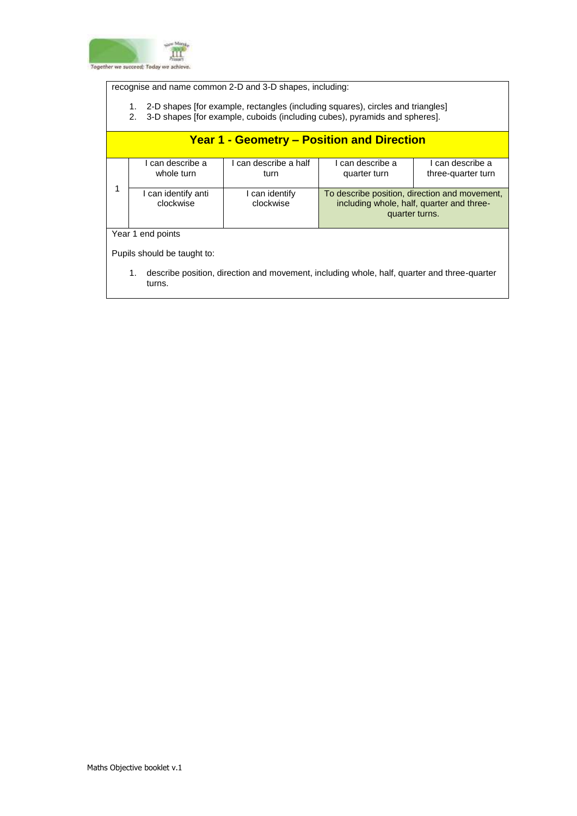

recognise and name common 2-D and 3-D shapes, including:

- 1. 2-D shapes [for example, rectangles (including squares), circles and triangles]
- 2. 3-D shapes [for example, cuboids (including cubes), pyramids and spheres].

|                             | <b>Year 1 - Geometry – Position and Direction</b>                                                           |                               |                                                                                                              |                                        |  |  |
|-----------------------------|-------------------------------------------------------------------------------------------------------------|-------------------------------|--------------------------------------------------------------------------------------------------------------|----------------------------------------|--|--|
|                             | I can describe a<br>whole turn                                                                              | I can describe a half<br>turn | I can describe a<br>quarter turn                                                                             | I can describe a<br>three-quarter turn |  |  |
|                             | I can identify anti<br>clockwise                                                                            | I can identify<br>clockwise   | To describe position, direction and movement,<br>including whole, half, quarter and three-<br>quarter turns. |                                        |  |  |
|                             | Year 1 end points                                                                                           |                               |                                                                                                              |                                        |  |  |
| Pupils should be taught to: |                                                                                                             |                               |                                                                                                              |                                        |  |  |
|                             | describe position, direction and movement, including whole, half, quarter and three-quarter<br>1.<br>turns. |                               |                                                                                                              |                                        |  |  |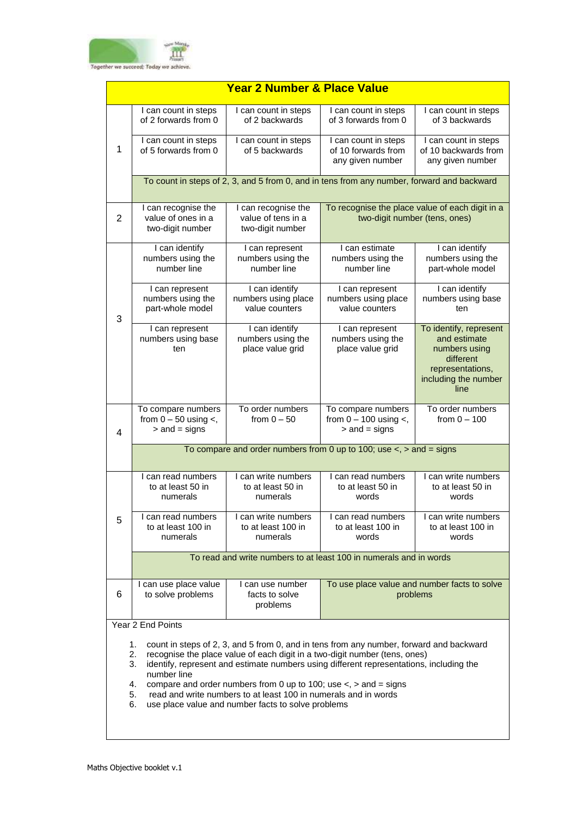

| <b>Year 2 Number &amp; Place Value</b>                                                                                                                                                                                                                                                                                                                                                                                                                                                                                                                                                                                                                                                                                                                                                                                                                                                                                                                                               |  |  |  |  |
|--------------------------------------------------------------------------------------------------------------------------------------------------------------------------------------------------------------------------------------------------------------------------------------------------------------------------------------------------------------------------------------------------------------------------------------------------------------------------------------------------------------------------------------------------------------------------------------------------------------------------------------------------------------------------------------------------------------------------------------------------------------------------------------------------------------------------------------------------------------------------------------------------------------------------------------------------------------------------------------|--|--|--|--|
| I can count in steps<br>of 3 backwards                                                                                                                                                                                                                                                                                                                                                                                                                                                                                                                                                                                                                                                                                                                                                                                                                                                                                                                                               |  |  |  |  |
| I can count in steps<br>of 10 backwards from<br>any given number                                                                                                                                                                                                                                                                                                                                                                                                                                                                                                                                                                                                                                                                                                                                                                                                                                                                                                                     |  |  |  |  |
| To count in steps of 2, 3, and 5 from 0, and in tens from any number, forward and backward                                                                                                                                                                                                                                                                                                                                                                                                                                                                                                                                                                                                                                                                                                                                                                                                                                                                                           |  |  |  |  |
| To recognise the place value of each digit in a<br>two-digit number (tens, ones)                                                                                                                                                                                                                                                                                                                                                                                                                                                                                                                                                                                                                                                                                                                                                                                                                                                                                                     |  |  |  |  |
| I can identify<br>numbers using the<br>part-whole model                                                                                                                                                                                                                                                                                                                                                                                                                                                                                                                                                                                                                                                                                                                                                                                                                                                                                                                              |  |  |  |  |
| I can identify<br>numbers using base<br>ten                                                                                                                                                                                                                                                                                                                                                                                                                                                                                                                                                                                                                                                                                                                                                                                                                                                                                                                                          |  |  |  |  |
| To identify, represent<br>and estimate<br>numbers using<br>different<br>representations,<br>including the number<br>line                                                                                                                                                                                                                                                                                                                                                                                                                                                                                                                                                                                                                                                                                                                                                                                                                                                             |  |  |  |  |
| To order numbers<br>from $0 - 100$                                                                                                                                                                                                                                                                                                                                                                                                                                                                                                                                                                                                                                                                                                                                                                                                                                                                                                                                                   |  |  |  |  |
|                                                                                                                                                                                                                                                                                                                                                                                                                                                                                                                                                                                                                                                                                                                                                                                                                                                                                                                                                                                      |  |  |  |  |
|                                                                                                                                                                                                                                                                                                                                                                                                                                                                                                                                                                                                                                                                                                                                                                                                                                                                                                                                                                                      |  |  |  |  |
|                                                                                                                                                                                                                                                                                                                                                                                                                                                                                                                                                                                                                                                                                                                                                                                                                                                                                                                                                                                      |  |  |  |  |
|                                                                                                                                                                                                                                                                                                                                                                                                                                                                                                                                                                                                                                                                                                                                                                                                                                                                                                                                                                                      |  |  |  |  |
|                                                                                                                                                                                                                                                                                                                                                                                                                                                                                                                                                                                                                                                                                                                                                                                                                                                                                                                                                                                      |  |  |  |  |
|                                                                                                                                                                                                                                                                                                                                                                                                                                                                                                                                                                                                                                                                                                                                                                                                                                                                                                                                                                                      |  |  |  |  |
| 1.<br>count in steps of 2, 3, and 5 from 0, and in tens from any number, forward and backward<br>recognise the place value of each digit in a two-digit number (tens, ones)<br>2.<br>identify, represent and estimate numbers using different representations, including the<br>3.<br>number line<br>compare and order numbers from 0 up to 100; use $\lt$ , $>$ and = signs<br>4.<br>read and write numbers to at least 100 in numerals and in words<br>5.<br>6.                                                                                                                                                                                                                                                                                                                                                                                                                                                                                                                    |  |  |  |  |
| from $0 - 50$ using $\lt$ ,<br>from $0 - 50$<br>from $0 - 100$ using $\lt$ ,<br>$>$ and $=$ signs<br>$>$ and $=$ signs<br>4<br>To compare and order numbers from 0 up to 100; use $\lt$ , $>$ and = signs<br>I can read numbers<br>I can write numbers<br>I can read numbers<br>I can write numbers<br>to at least 50 in<br>to at least 50 in<br>to at least 50 in<br>to at least 50 in<br>numerals<br>numerals<br>words<br>words<br>I can read numbers<br>I can write numbers<br>I can read numbers<br>I can write numbers<br>5<br>to at least 100 in<br>to at least 100 in<br>to at least 100 in<br>to at least 100 in<br>numerals<br>numerals<br>words<br>words<br>To read and write numbers to at least 100 in numerals and in words<br>To use place value and number facts to solve<br>I can use place value<br>I can use number<br>6<br>facts to solve<br>to solve problems<br>problems<br>problems<br>Year 2 End Points<br>use place value and number facts to solve problems |  |  |  |  |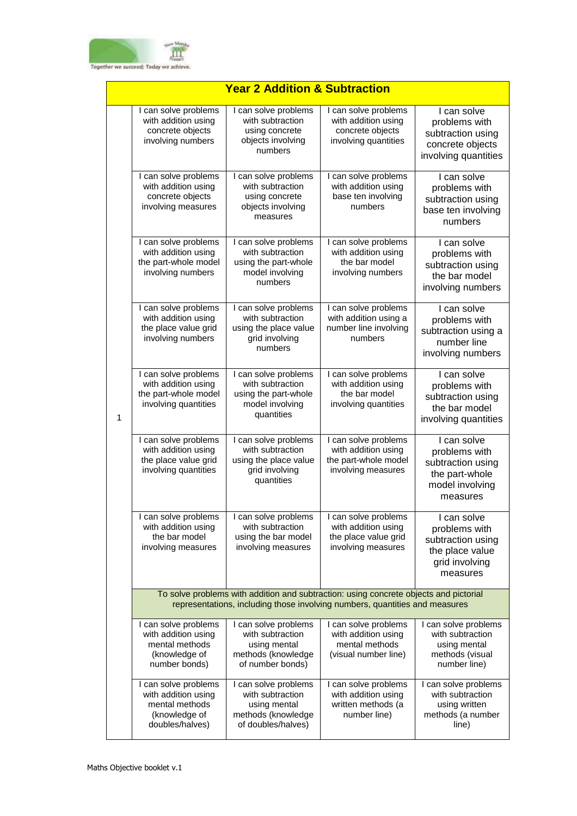

|   | <u> Year 2 Addition &amp; Subtraction</u>                                                         |                                                                                                                                                                      |                                                                                           |                                                                                                    |  |
|---|---------------------------------------------------------------------------------------------------|----------------------------------------------------------------------------------------------------------------------------------------------------------------------|-------------------------------------------------------------------------------------------|----------------------------------------------------------------------------------------------------|--|
|   | I can solve problems<br>with addition using<br>concrete objects<br>involving numbers              | I can solve problems<br>with subtraction<br>using concrete<br>objects involving<br>numbers                                                                           | I can solve problems<br>with addition using<br>concrete objects<br>involving quantities   | I can solve<br>problems with<br>subtraction using<br>concrete objects<br>involving quantities      |  |
|   | I can solve problems<br>with addition using<br>concrete objects<br>involving measures             | I can solve problems<br>with subtraction<br>using concrete<br>objects involving<br>measures                                                                          | I can solve problems<br>with addition using<br>base ten involving<br>numbers              | I can solve<br>problems with<br>subtraction using<br>base ten involving<br>numbers                 |  |
|   | I can solve problems<br>with addition using<br>the part-whole model<br>involving numbers          | I can solve problems<br>with subtraction<br>using the part-whole<br>model involving<br>numbers                                                                       | I can solve problems<br>with addition using<br>the bar model<br>involving numbers         | I can solve<br>problems with<br>subtraction using<br>the bar model<br>involving numbers            |  |
| 1 | I can solve problems<br>with addition using<br>the place value grid<br>involving numbers          | I can solve problems<br>with subtraction<br>using the place value<br>grid involving<br>numbers                                                                       | I can solve problems<br>with addition using a<br>number line involving<br>numbers         | I can solve<br>problems with<br>subtraction using a<br>number line<br>involving numbers            |  |
|   | I can solve problems<br>with addition using<br>the part-whole model<br>involving quantities       | I can solve problems<br>with subtraction<br>using the part-whole<br>model involving<br>quantities                                                                    | I can solve problems<br>with addition using<br>the bar model<br>involving quantities      | I can solve<br>problems with<br>subtraction using<br>the bar model<br>involving quantities         |  |
|   | I can solve problems<br>with addition using<br>the place value grid<br>involving quantities       | I can solve problems<br>with subtraction<br>using the place value<br>grid involving<br>quantities                                                                    | I can solve problems<br>with addition using<br>the part-whole model<br>involving measures | I can solve<br>problems with<br>subtraction using<br>the part-whole<br>model involving<br>measures |  |
|   | I can solve problems<br>with addition using<br>the bar model<br>involving measures                | can solve problems<br>with subtraction<br>using the bar model<br>involving measures                                                                                  | can solve problems<br>with addition using<br>the place value grid<br>involving measures   | I can solve<br>problems with<br>subtraction using<br>the place value<br>grid involving<br>measures |  |
|   |                                                                                                   | To solve problems with addition and subtraction: using concrete objects and pictorial<br>representations, including those involving numbers, quantities and measures |                                                                                           |                                                                                                    |  |
|   | I can solve problems<br>with addition using<br>mental methods<br>(knowledge of<br>number bonds)   | I can solve problems<br>with subtraction<br>using mental<br>methods (knowledge<br>of number bonds)                                                                   | I can solve problems<br>with addition using<br>mental methods<br>(visual number line)     | I can solve problems<br>with subtraction<br>using mental<br>methods (visual<br>number line)        |  |
|   | I can solve problems<br>with addition using<br>mental methods<br>(knowledge of<br>doubles/halves) | I can solve problems<br>with subtraction<br>using mental<br>methods (knowledge<br>of doubles/halves)                                                                 | I can solve problems<br>with addition using<br>written methods (a<br>number line)         | I can solve problems<br>with subtraction<br>using written<br>methods (a number<br>line)            |  |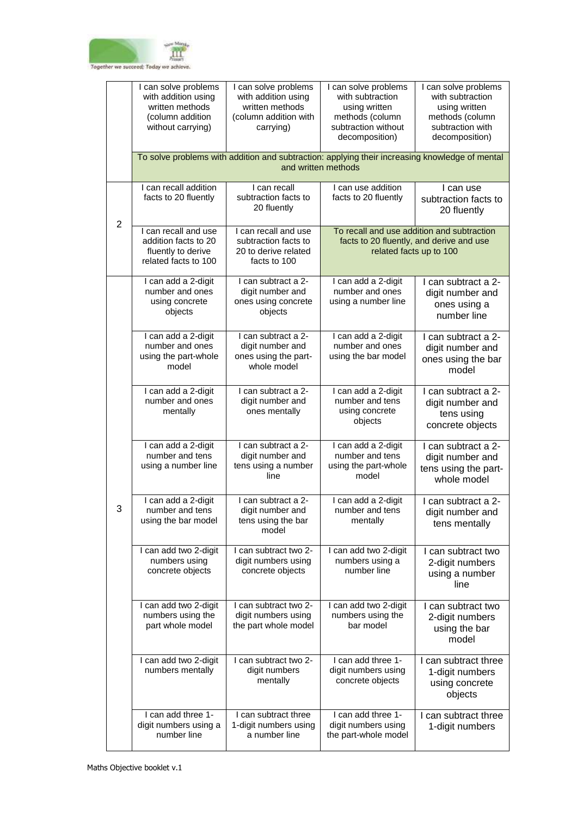

|                | I can solve problems<br>with addition using<br>written methods<br>(column addition<br>without carrying) | I can solve problems<br>with addition using<br>written methods<br>(column addition with<br>carrying) | I can solve problems<br>with subtraction<br>using written<br>methods (column<br>subtraction without<br>decomposition) | I can solve problems<br>with subtraction<br>using written<br>methods (column<br>subtraction with<br>decomposition) |
|----------------|---------------------------------------------------------------------------------------------------------|------------------------------------------------------------------------------------------------------|-----------------------------------------------------------------------------------------------------------------------|--------------------------------------------------------------------------------------------------------------------|
|                |                                                                                                         | To solve problems with addition and subtraction: applying their increasing knowledge of mental       | and written methods                                                                                                   |                                                                                                                    |
| $\overline{2}$ | I can recall addition<br>facts to 20 fluently                                                           | I can recall<br>subtraction facts to<br>20 fluently                                                  | I can use addition<br>facts to 20 fluently                                                                            | I can use<br>subtraction facts to<br>20 fluently                                                                   |
|                | I can recall and use<br>addition facts to 20<br>fluently to derive<br>related facts to 100              | I can recall and use<br>subtraction facts to<br>20 to derive related<br>facts to 100                 | To recall and use addition and subtraction<br>related facts up to 100                                                 | facts to 20 fluently, and derive and use                                                                           |
|                | I can add a 2-digit<br>number and ones<br>using concrete<br>objects                                     | I can subtract a 2-<br>digit number and<br>ones using concrete<br>objects                            | I can add a 2-digit<br>number and ones<br>using a number line                                                         | I can subtract a 2-<br>digit number and<br>ones using a<br>number line                                             |
|                | I can add a 2-digit<br>number and ones<br>using the part-whole<br>model                                 | I can subtract a 2-<br>digit number and<br>ones using the part-<br>whole model                       | I can add a 2-digit<br>number and ones<br>using the bar model                                                         | I can subtract a 2-<br>digit number and<br>ones using the bar<br>model                                             |
|                | I can add a 2-digit<br>number and ones<br>mentally                                                      | I can subtract a 2-<br>digit number and<br>ones mentally                                             | I can add a 2-digit<br>number and tens<br>using concrete<br>objects                                                   | I can subtract a 2-<br>digit number and<br>tens using<br>concrete objects                                          |
|                | I can add a 2-digit<br>number and tens<br>using a number line                                           | I can subtract a 2-<br>digit number and<br>tens using a number<br>line                               | I can add a 2-digit<br>number and tens<br>using the part-whole<br>model                                               | I can subtract a 2-<br>digit number and<br>tens using the part-<br>whole model                                     |
| 3              | I can add a 2-digit<br>number and tens<br>using the bar model                                           | I can subtract a 2-<br>digit number and<br>tens using the bar<br>model                               | I can add a 2-digit<br>number and tens<br>mentally                                                                    | I can subtract a 2-<br>digit number and<br>tens mentally                                                           |
|                | I can add two 2-digit<br>numbers using<br>concrete objects                                              | I can subtract two 2-<br>digit numbers using<br>concrete objects                                     | I can add two 2-digit<br>numbers using a<br>number line                                                               | I can subtract two<br>2-digit numbers<br>using a number<br>line                                                    |
|                | I can add two 2-digit<br>numbers using the<br>part whole model                                          | I can subtract two 2-<br>digit numbers using<br>the part whole model                                 | I can add two 2-digit<br>numbers using the<br>bar model                                                               | I can subtract two<br>2-digit numbers<br>using the bar<br>model                                                    |
|                | I can add two 2-digit<br>numbers mentally                                                               | I can subtract two 2-<br>digit numbers<br>mentally                                                   | I can add three 1-<br>digit numbers using<br>concrete objects                                                         | I can subtract three<br>1-digit numbers<br>using concrete<br>objects                                               |
|                | I can add three 1-<br>digit numbers using a<br>number line                                              | I can subtract three<br>1-digit numbers using<br>a number line                                       | I can add three 1-<br>digit numbers using<br>the part-whole model                                                     | I can subtract three<br>1-digit numbers                                                                            |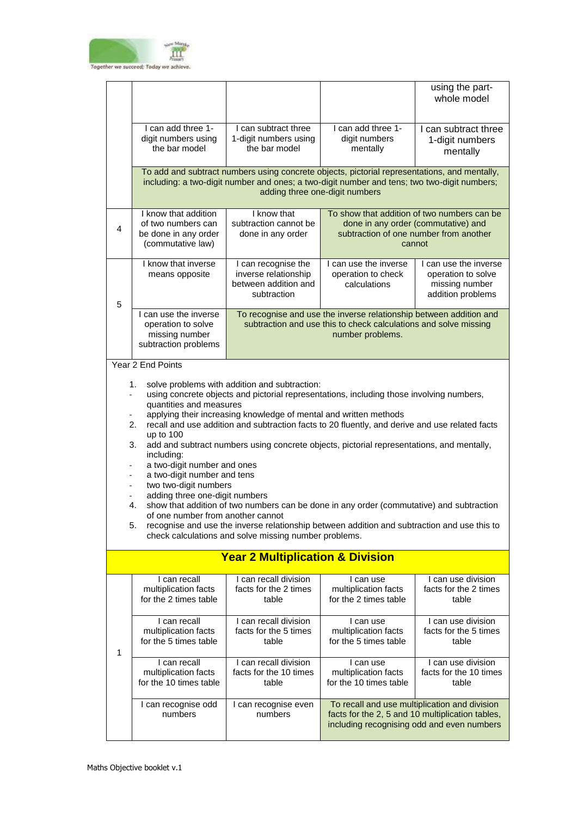

|   |                                                                                                                                                                                                                                                                                                                                                                                                                                                                                                                                                                                                                                                                                                                                                                                                                                                                                                                                            |                                                                                    |                                                                                                                                                                                                                               | using the part-<br>whole model                                                     |
|---|--------------------------------------------------------------------------------------------------------------------------------------------------------------------------------------------------------------------------------------------------------------------------------------------------------------------------------------------------------------------------------------------------------------------------------------------------------------------------------------------------------------------------------------------------------------------------------------------------------------------------------------------------------------------------------------------------------------------------------------------------------------------------------------------------------------------------------------------------------------------------------------------------------------------------------------------|------------------------------------------------------------------------------------|-------------------------------------------------------------------------------------------------------------------------------------------------------------------------------------------------------------------------------|------------------------------------------------------------------------------------|
|   | I can add three 1-<br>digit numbers using<br>the bar model                                                                                                                                                                                                                                                                                                                                                                                                                                                                                                                                                                                                                                                                                                                                                                                                                                                                                 | I can subtract three<br>1-digit numbers using<br>the bar model                     | I can add three 1-<br>digit numbers<br>mentally                                                                                                                                                                               | I can subtract three<br>1-digit numbers<br>mentally                                |
|   |                                                                                                                                                                                                                                                                                                                                                                                                                                                                                                                                                                                                                                                                                                                                                                                                                                                                                                                                            |                                                                                    | To add and subtract numbers using concrete objects, pictorial representations, and mentally,<br>including: a two-digit number and ones; a two-digit number and tens; two two-digit numbers;<br>adding three one-digit numbers |                                                                                    |
| 4 | I know that addition<br>of two numbers can<br>be done in any order<br>(commutative law)                                                                                                                                                                                                                                                                                                                                                                                                                                                                                                                                                                                                                                                                                                                                                                                                                                                    | I know that<br>subtraction cannot be<br>done in any order                          | To show that addition of two numbers can be<br>subtraction of one number from another                                                                                                                                         | done in any order (commutative) and<br>cannot                                      |
| 5 | I know that inverse<br>means opposite                                                                                                                                                                                                                                                                                                                                                                                                                                                                                                                                                                                                                                                                                                                                                                                                                                                                                                      | I can recognise the<br>inverse relationship<br>between addition and<br>subtraction | I can use the inverse<br>operation to check<br>calculations                                                                                                                                                                   | I can use the inverse<br>operation to solve<br>missing number<br>addition problems |
|   | I can use the inverse<br>To recognise and use the inverse relationship between addition and<br>subtraction and use this to check calculations and solve missing<br>operation to solve<br>missing number<br>number problems.<br>subtraction problems                                                                                                                                                                                                                                                                                                                                                                                                                                                                                                                                                                                                                                                                                        |                                                                                    |                                                                                                                                                                                                                               |                                                                                    |
|   | solve problems with addition and subtraction:<br>1.<br>using concrete objects and pictorial representations, including those involving numbers,<br>$\bar{\phantom{a}}$<br>quantities and measures<br>applying their increasing knowledge of mental and written methods<br>2.<br>recall and use addition and subtraction facts to 20 fluently, and derive and use related facts<br>up to 100<br>3.<br>add and subtract numbers using concrete objects, pictorial representations, and mentally,<br>including:<br>a two-digit number and ones<br>a two-digit number and tens<br>two two-digit numbers<br>adding three one-digit numbers<br>4.<br>show that addition of two numbers can be done in any order (commutative) and subtraction<br>of one number from another cannot<br>recognise and use the inverse relationship between addition and subtraction and use this to<br>5.<br>check calculations and solve missing number problems. |                                                                                    |                                                                                                                                                                                                                               |                                                                                    |
|   |                                                                                                                                                                                                                                                                                                                                                                                                                                                                                                                                                                                                                                                                                                                                                                                                                                                                                                                                            | <b>Year 2 Multiplication &amp; Division</b>                                        |                                                                                                                                                                                                                               |                                                                                    |
|   | I can recall<br>multiplication facts<br>for the 2 times table                                                                                                                                                                                                                                                                                                                                                                                                                                                                                                                                                                                                                                                                                                                                                                                                                                                                              | I can recall division<br>facts for the 2 times<br>table                            | I can use<br>multiplication facts<br>for the 2 times table                                                                                                                                                                    | I can use division<br>facts for the 2 times<br>table                               |
| 1 | I can recall<br>multiplication facts<br>for the 5 times table                                                                                                                                                                                                                                                                                                                                                                                                                                                                                                                                                                                                                                                                                                                                                                                                                                                                              | I can recall division<br>facts for the 5 times<br>table                            | I can use<br>multiplication facts<br>for the 5 times table                                                                                                                                                                    | I can use division<br>facts for the 5 times<br>table                               |
|   | I can recall<br>multiplication facts<br>for the 10 times table                                                                                                                                                                                                                                                                                                                                                                                                                                                                                                                                                                                                                                                                                                                                                                                                                                                                             | I can recall division<br>facts for the 10 times<br>table                           | I can use<br>multiplication facts<br>for the 10 times table                                                                                                                                                                   | I can use division<br>facts for the 10 times<br>table                              |
|   | I can recognise odd<br>numbers                                                                                                                                                                                                                                                                                                                                                                                                                                                                                                                                                                                                                                                                                                                                                                                                                                                                                                             | I can recognise even<br>numbers                                                    | To recall and use multiplication and division<br>facts for the 2, 5 and 10 multiplication tables,<br>including recognising odd and even numbers                                                                               |                                                                                    |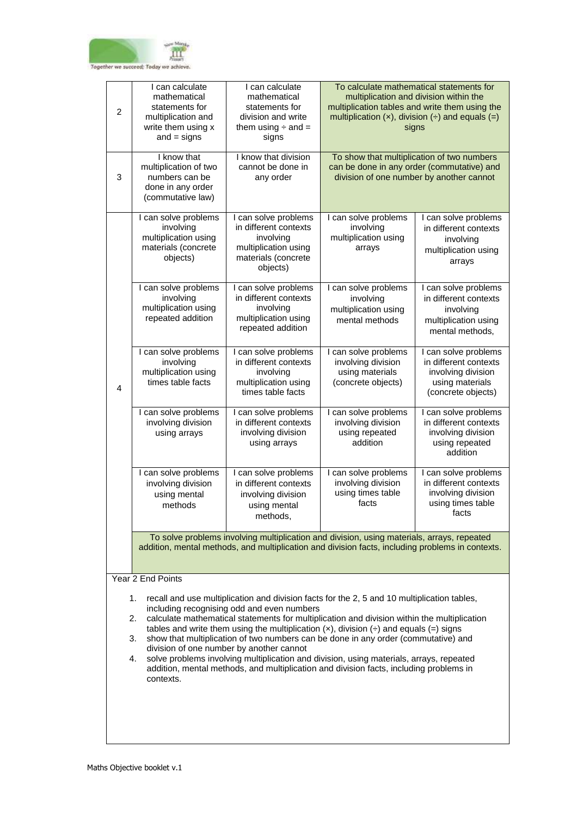

| $\overline{2}$                                                                                                                                                                                                                                                                                                                                                                                                                                                                                                                                                                                                                                                                                                 | I can calculate<br>mathematical<br>statements for<br>multiplication and<br>write them using x<br>$and = signs$                                                                                 | I can calculate<br>mathematical<br>statements for<br>division and write<br>them using $\div$ and $=$<br>signs         | To calculate mathematical statements for<br>multiplication and division within the<br>multiplication tables and write them using the<br>multiplication $(x)$ , division $\left(\div\right)$ and equals $\left(\equiv\right)$<br>signs |                                                                                                              |  |  |
|----------------------------------------------------------------------------------------------------------------------------------------------------------------------------------------------------------------------------------------------------------------------------------------------------------------------------------------------------------------------------------------------------------------------------------------------------------------------------------------------------------------------------------------------------------------------------------------------------------------------------------------------------------------------------------------------------------------|------------------------------------------------------------------------------------------------------------------------------------------------------------------------------------------------|-----------------------------------------------------------------------------------------------------------------------|---------------------------------------------------------------------------------------------------------------------------------------------------------------------------------------------------------------------------------------|--------------------------------------------------------------------------------------------------------------|--|--|
| 3                                                                                                                                                                                                                                                                                                                                                                                                                                                                                                                                                                                                                                                                                                              | I know that<br>multiplication of two<br>numbers can be<br>done in any order<br>(commutative law)                                                                                               | I know that division<br>cannot be done in<br>any order                                                                | To show that multiplication of two numbers<br>can be done in any order (commutative) and<br>division of one number by another cannot                                                                                                  |                                                                                                              |  |  |
|                                                                                                                                                                                                                                                                                                                                                                                                                                                                                                                                                                                                                                                                                                                | I can solve problems<br>involving<br>multiplication using<br>materials (concrete<br>objects)                                                                                                   | I can solve problems<br>in different contexts<br>involving<br>multiplication using<br>materials (concrete<br>objects) | I can solve problems<br>involving<br>multiplication using<br>arrays                                                                                                                                                                   | I can solve problems<br>in different contexts<br>involving<br>multiplication using<br>arrays                 |  |  |
|                                                                                                                                                                                                                                                                                                                                                                                                                                                                                                                                                                                                                                                                                                                | I can solve problems<br>involving<br>multiplication using<br>repeated addition                                                                                                                 | can solve problems<br>in different contexts<br>involving<br>multiplication using<br>repeated addition                 | I can solve problems<br>involving<br>multiplication using<br>mental methods                                                                                                                                                           | I can solve problems<br>in different contexts<br>involving<br>multiplication using<br>mental methods,        |  |  |
| 4                                                                                                                                                                                                                                                                                                                                                                                                                                                                                                                                                                                                                                                                                                              | I can solve problems<br>involving<br>multiplication using<br>times table facts                                                                                                                 | I can solve problems<br>in different contexts<br>involving<br>multiplication using<br>times table facts               | I can solve problems<br>involving division<br>using materials<br>(concrete objects)                                                                                                                                                   | I can solve problems<br>in different contexts<br>involving division<br>using materials<br>(concrete objects) |  |  |
|                                                                                                                                                                                                                                                                                                                                                                                                                                                                                                                                                                                                                                                                                                                | I can solve problems<br>involving division<br>using arrays                                                                                                                                     | I can solve problems<br>in different contexts<br>involving division<br>using arrays                                   | I can solve problems<br>involving division<br>using repeated<br>addition                                                                                                                                                              | I can solve problems<br>in different contexts<br>involving division<br>using repeated<br>addition            |  |  |
|                                                                                                                                                                                                                                                                                                                                                                                                                                                                                                                                                                                                                                                                                                                | I can solve problems<br>involving division<br>using mental<br>methods                                                                                                                          | I can solve problems<br>in different contexts<br>involving division<br>using mental<br>methods,                       | I can solve problems<br>involving division<br>using times table<br>facts                                                                                                                                                              | I can solve problems<br>in different contexts<br>involving division<br>using times table<br>facts            |  |  |
|                                                                                                                                                                                                                                                                                                                                                                                                                                                                                                                                                                                                                                                                                                                | To solve problems involving multiplication and division, using materials, arrays, repeated<br>addition, mental methods, and multiplication and division facts, including problems in contexts. |                                                                                                                       |                                                                                                                                                                                                                                       |                                                                                                              |  |  |
|                                                                                                                                                                                                                                                                                                                                                                                                                                                                                                                                                                                                                                                                                                                | Year 2 End Points                                                                                                                                                                              |                                                                                                                       |                                                                                                                                                                                                                                       |                                                                                                              |  |  |
| 1.<br>recall and use multiplication and division facts for the 2, 5 and 10 multiplication tables,<br>including recognising odd and even numbers<br>calculate mathematical statements for multiplication and division within the multiplication<br>2.<br>tables and write them using the multiplication $(x)$ , division $\leftrightarrow$ and equals (=) signs<br>show that multiplication of two numbers can be done in any order (commutative) and<br>3.<br>division of one number by another cannot<br>solve problems involving multiplication and division, using materials, arrays, repeated<br>4.<br>addition, mental methods, and multiplication and division facts, including problems in<br>contexts. |                                                                                                                                                                                                |                                                                                                                       |                                                                                                                                                                                                                                       |                                                                                                              |  |  |
|                                                                                                                                                                                                                                                                                                                                                                                                                                                                                                                                                                                                                                                                                                                |                                                                                                                                                                                                |                                                                                                                       |                                                                                                                                                                                                                                       |                                                                                                              |  |  |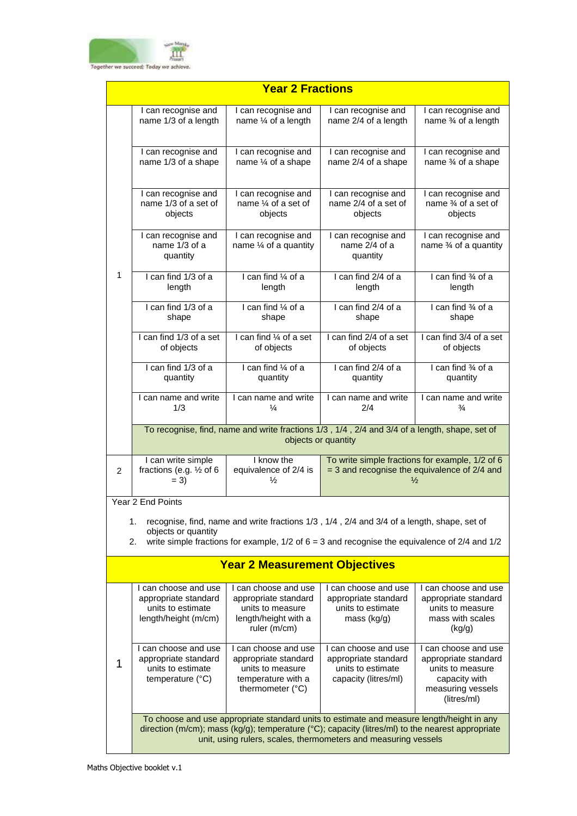

|                | <b>Year 2 Fractions</b>                                                                        |                                                                                                                                                                                                                                                                 |                                                                                           |                                                                                                                       |  |
|----------------|------------------------------------------------------------------------------------------------|-----------------------------------------------------------------------------------------------------------------------------------------------------------------------------------------------------------------------------------------------------------------|-------------------------------------------------------------------------------------------|-----------------------------------------------------------------------------------------------------------------------|--|
|                | I can recognise and<br>name 1/3 of a length                                                    | I can recognise and<br>name $\frac{1}{4}$ of a length                                                                                                                                                                                                           | I can recognise and<br>name 2/4 of a length                                               | I can recognise and<br>name 3⁄4 of a length                                                                           |  |
|                | I can recognise and<br>name 1/3 of a shape                                                     | I can recognise and<br>name 1/4 of a shape                                                                                                                                                                                                                      | I can recognise and<br>name 2/4 of a shape                                                | I can recognise and<br>name 3⁄4 of a shape                                                                            |  |
|                | I can recognise and<br>name 1/3 of a set of<br>objects                                         | I can recognise and<br>name $\frac{1}{4}$ of a set of<br>objects                                                                                                                                                                                                | I can recognise and<br>name 2/4 of a set of<br>objects                                    | I can recognise and<br>name % of a set of<br>objects                                                                  |  |
|                | I can recognise and<br>name 1/3 of a<br>quantity                                               | I can recognise and<br>name 1/4 of a quantity                                                                                                                                                                                                                   | I can recognise and<br>name 2/4 of a<br>quantity                                          | I can recognise and<br>name 3⁄4 of a quantity                                                                         |  |
| 1              | I can find 1/3 of a<br>length                                                                  | I can find 1/4 of a<br>length                                                                                                                                                                                                                                   | I can find 2/4 of a<br>length                                                             | I can find 3⁄4 of a<br>length                                                                                         |  |
|                | I can find 1/3 of a<br>shape                                                                   | I can find 1/4 of a<br>shape                                                                                                                                                                                                                                    | I can find 2/4 of a<br>shape                                                              | I can find 3⁄4 of a<br>shape                                                                                          |  |
|                | I can find 1/3 of a set<br>of objects                                                          | I can find 1/4 of a set<br>of objects                                                                                                                                                                                                                           | I can find 2/4 of a set<br>of objects                                                     | I can find 3/4 of a set<br>of objects                                                                                 |  |
|                | I can find 1/3 of a<br>quantity                                                                | I can find 1/4 of a<br>quantity                                                                                                                                                                                                                                 | I can find 2/4 of a<br>quantity                                                           | I can find 3⁄4 of a<br>quantity                                                                                       |  |
|                | I can name and write<br>1/3                                                                    | I can name and write<br>¼                                                                                                                                                                                                                                       | I can name and write<br>2/4                                                               | I can name and write<br>$\frac{3}{4}$                                                                                 |  |
|                |                                                                                                | To recognise, find, name and write fractions 1/3, 1/4, 2/4 and 3/4 of a length, shape, set of                                                                                                                                                                   | objects or quantity                                                                       |                                                                                                                       |  |
| $\overline{2}$ | I can write simple<br>fractions (e.g. 1/2 of 6<br>$= 3)$                                       | I know the<br>equivalence of 2/4 is<br>$\frac{1}{2}$                                                                                                                                                                                                            |                                                                                           | To write simple fractions for example, 1/2 of 6<br>$=$ 3 and recognise the equivalence of 2/4 and<br>$\frac{1}{2}$    |  |
|                | Year 2 End Points                                                                              |                                                                                                                                                                                                                                                                 |                                                                                           |                                                                                                                       |  |
|                | 1.<br>objects or quantity<br>2.                                                                | recognise, find, name and write fractions 1/3, 1/4, 2/4 and 3/4 of a length, shape, set of<br>write simple fractions for example, $1/2$ of $6 = 3$ and recognise the equivalence of $2/4$ and $1/2$                                                             |                                                                                           |                                                                                                                       |  |
|                |                                                                                                | <b>Year 2 Measurement Objectives</b>                                                                                                                                                                                                                            |                                                                                           |                                                                                                                       |  |
|                | I can choose and use<br>appropriate standard<br>units to estimate<br>length/height (m/cm)      | I can choose and use<br>appropriate standard<br>units to measure<br>length/height with a<br>ruler (m/cm)                                                                                                                                                        | I can choose and use<br>appropriate standard<br>units to estimate<br>mass (kg/g)          | I can choose and use<br>appropriate standard<br>units to measure<br>mass with scales<br>(kg/g)                        |  |
| 1              | I can choose and use<br>appropriate standard<br>units to estimate<br>temperature $(^{\circ}C)$ | I can choose and use<br>appropriate standard<br>units to measure<br>temperature with a<br>thermometer (°C)                                                                                                                                                      | I can choose and use<br>appropriate standard<br>units to estimate<br>capacity (litres/ml) | I can choose and use<br>appropriate standard<br>units to measure<br>capacity with<br>measuring vessels<br>(litres/ml) |  |
|                |                                                                                                | To choose and use appropriate standard units to estimate and measure length/height in any<br>direction (m/cm); mass (kg/g); temperature (°C); capacity (litres/ml) to the nearest appropriate<br>unit, using rulers, scales, thermometers and measuring vessels |                                                                                           |                                                                                                                       |  |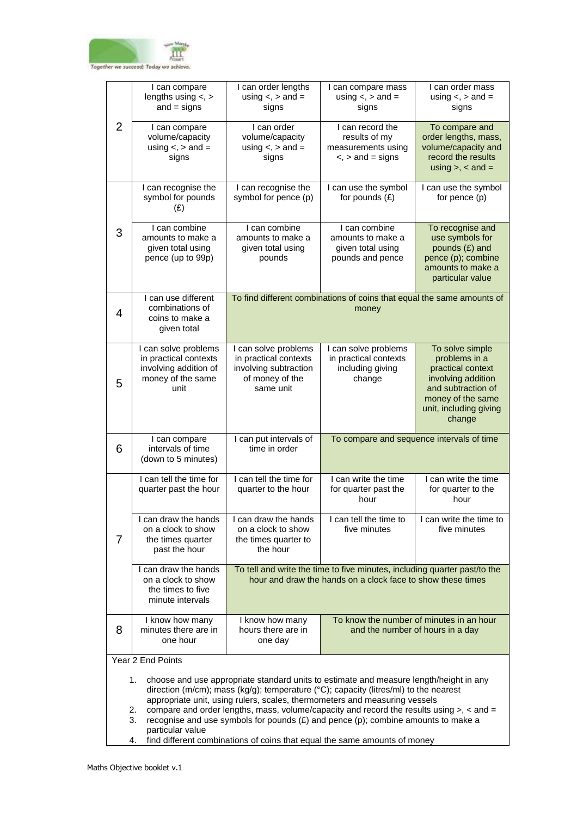

|                                                                                                                                                                                                                                                                               | I can compare                                                                                       | I can order lengths                                                                                    | I can compare mass                                                                                                                                                                       | I can order mass                                                                                                                                           |  |
|-------------------------------------------------------------------------------------------------------------------------------------------------------------------------------------------------------------------------------------------------------------------------------|-----------------------------------------------------------------------------------------------------|--------------------------------------------------------------------------------------------------------|------------------------------------------------------------------------------------------------------------------------------------------------------------------------------------------|------------------------------------------------------------------------------------------------------------------------------------------------------------|--|
|                                                                                                                                                                                                                                                                               | lengths using $\lt$ , $>$<br>$and = signs$                                                          | using $\lt$ , $>$ and $=$<br>signs                                                                     | using $\lt$ , $>$ and $=$<br>signs                                                                                                                                                       | using $\lt$ , $>$ and $=$<br>signs                                                                                                                         |  |
| 2                                                                                                                                                                                                                                                                             | I can compare<br>volume/capacity<br>using $\lt$ , $>$ and $=$<br>signs                              | I can order<br>volume/capacity<br>using $\lt$ , $>$ and $=$<br>signs                                   | I can record the<br>results of my<br>measurements using<br>$\le$ , $>$ and = signs                                                                                                       | To compare and<br>order lengths, mass,<br>volume/capacity and<br>record the results<br>using $>$ , $<$ and $=$                                             |  |
|                                                                                                                                                                                                                                                                               | I can recognise the<br>symbol for pounds<br>(E)                                                     | I can recognise the<br>symbol for pence (p)                                                            | I can use the symbol<br>for pounds $(E)$                                                                                                                                                 | I can use the symbol<br>for pence (p)                                                                                                                      |  |
| 3                                                                                                                                                                                                                                                                             | I can combine<br>amounts to make a<br>given total using<br>pence (up to 99p)                        | I can combine<br>amounts to make a<br>given total using<br>pounds                                      | I can combine<br>amounts to make a<br>given total using<br>pounds and pence                                                                                                              | To recognise and<br>use symbols for<br>pounds (£) and<br>pence (p); combine<br>amounts to make a<br>particular value                                       |  |
| 4                                                                                                                                                                                                                                                                             | I can use different<br>combinations of<br>coins to make a<br>given total                            | To find different combinations of coins that equal the same amounts of<br>money                        |                                                                                                                                                                                          |                                                                                                                                                            |  |
| 5                                                                                                                                                                                                                                                                             | I can solve problems<br>in practical contexts<br>involving addition of<br>money of the same<br>unit | I can solve problems<br>in practical contexts<br>involving subtraction<br>of money of the<br>same unit | I can solve problems<br>in practical contexts<br>including giving<br>change                                                                                                              | To solve simple<br>problems in a<br>practical context<br>involving addition<br>and subtraction of<br>money of the same<br>unit, including giving<br>change |  |
| 6                                                                                                                                                                                                                                                                             | I can compare<br>intervals of time<br>(down to 5 minutes)                                           | I can put intervals of<br>time in order                                                                |                                                                                                                                                                                          | To compare and sequence intervals of time                                                                                                                  |  |
|                                                                                                                                                                                                                                                                               | I can tell the time for<br>quarter past the hour                                                    | I can tell the time for<br>quarter to the hour                                                         | I can write the time<br>for quarter past the<br>hour                                                                                                                                     | I can write the time<br>for quarter to the<br>hour                                                                                                         |  |
| 7                                                                                                                                                                                                                                                                             | I can draw the hands<br>on a clock to show<br>the times quarter<br>past the hour                    | I can draw the hands<br>on a clock to show<br>the times quarter to<br>the hour                         | I can tell the time to<br>five minutes                                                                                                                                                   | I can write the time to<br>five minutes                                                                                                                    |  |
|                                                                                                                                                                                                                                                                               | I can draw the hands<br>on a clock to show<br>the times to five<br>minute intervals                 |                                                                                                        | To tell and write the time to five minutes, including quarter past/to the<br>hour and draw the hands on a clock face to show these times                                                 |                                                                                                                                                            |  |
| 8                                                                                                                                                                                                                                                                             | I know how many<br>minutes there are in<br>one hour                                                 | I know how many<br>hours there are in<br>one day                                                       |                                                                                                                                                                                          | To know the number of minutes in an hour<br>and the number of hours in a day                                                                               |  |
|                                                                                                                                                                                                                                                                               | Year 2 End Points                                                                                   |                                                                                                        |                                                                                                                                                                                          |                                                                                                                                                            |  |
| choose and use appropriate standard units to estimate and measure length/height in any<br>1.<br>direction (m/cm); mass (kg/g); temperature ( $^{\circ}$ C); capacity (litres/ml) to the nearest<br>appropriate unit, using rulers, scales, thermometers and measuring vessels |                                                                                                     |                                                                                                        |                                                                                                                                                                                          |                                                                                                                                                            |  |
|                                                                                                                                                                                                                                                                               | 2.<br>3.<br>particular value                                                                        |                                                                                                        | compare and order lengths, mass, volume/capacity and record the results using $>$ , $\lt$ and $=$<br>recognise and use symbols for pounds $(E)$ and pence (p); combine amounts to make a |                                                                                                                                                            |  |
|                                                                                                                                                                                                                                                                               | find different combinations of coins that equal the same amounts of money<br>4.                     |                                                                                                        |                                                                                                                                                                                          |                                                                                                                                                            |  |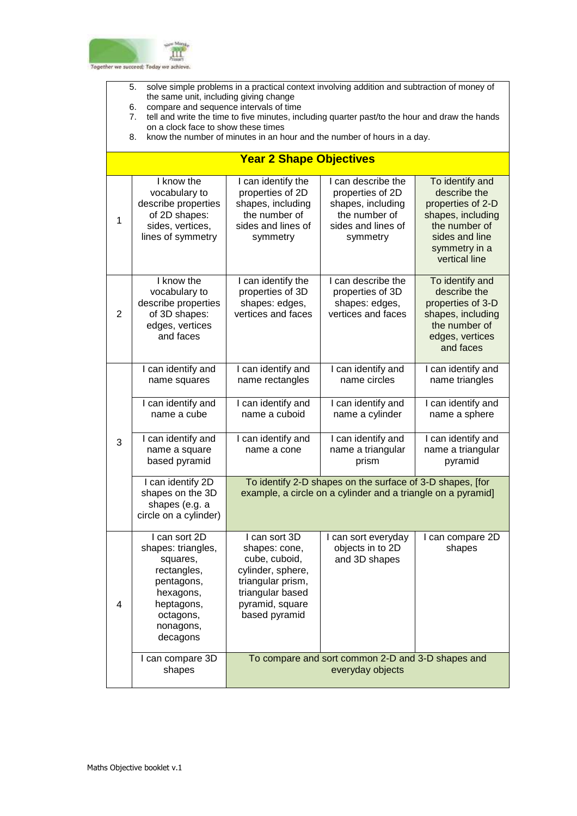

- 5. solve simple problems in a practical context involving addition and subtraction of money of the same unit, including giving change
- 6. compare and sequence intervals of time
- 7. tell and write the time to five minutes, including quarter past/to the hour and draw the hands on a clock face to show these times
- 8. know the number of minutes in an hour and the number of hours in a day.

## **Year 2 Shape Objectives**

| $\mathbf{1}$   | I know the<br>vocabulary to<br>describe properties<br>of 2D shapes:<br>sides, vertices,<br>lines of symmetry                                  | I can identify the<br>properties of 2D<br>shapes, including<br>the number of<br>sides and lines of<br>symmetry                                    | I can describe the<br>properties of 2D<br>shapes, including<br>the number of<br>sides and lines of<br>symmetry | To identify and<br>describe the<br>properties of 2-D<br>shapes, including<br>the number of<br>sides and line<br>symmetry in a<br>vertical line |  |
|----------------|-----------------------------------------------------------------------------------------------------------------------------------------------|---------------------------------------------------------------------------------------------------------------------------------------------------|----------------------------------------------------------------------------------------------------------------|------------------------------------------------------------------------------------------------------------------------------------------------|--|
| $\overline{2}$ | I know the<br>vocabulary to<br>describe properties<br>of 3D shapes:<br>edges, vertices<br>and faces                                           | I can identify the<br>properties of 3D<br>shapes: edges,<br>vertices and faces                                                                    | I can describe the<br>properties of 3D<br>shapes: edges,<br>vertices and faces                                 | To identify and<br>describe the<br>properties of 3-D<br>shapes, including<br>the number of<br>edges, vertices<br>and faces                     |  |
|                | I can identify and<br>name squares                                                                                                            | I can identify and<br>name rectangles                                                                                                             | I can identify and<br>name circles                                                                             | I can identify and<br>name triangles                                                                                                           |  |
| 3              | I can identify and<br>name a cube                                                                                                             | I can identify and<br>name a cuboid                                                                                                               | I can identify and<br>name a cylinder                                                                          | I can identify and<br>name a sphere                                                                                                            |  |
|                | I can identify and<br>name a square<br>based pyramid                                                                                          | I can identify and<br>name a cone                                                                                                                 | I can identify and<br>name a triangular<br>prism                                                               | I can identify and<br>name a triangular<br>pyramid                                                                                             |  |
|                | I can identify 2D<br>shapes on the 3D<br>shapes (e.g. a<br>circle on a cylinder)                                                              | To identify 2-D shapes on the surface of 3-D shapes, [for<br>example, a circle on a cylinder and a triangle on a pyramid]                         |                                                                                                                |                                                                                                                                                |  |
| 4              | I can sort 2D<br>shapes: triangles,<br>squares,<br>rectangles,<br>pentagons,<br>hexagons,<br>heptagons,<br>octagons,<br>nonagons,<br>decagons | I can sort 3D<br>shapes: cone,<br>cube, cuboid,<br>cylinder, sphere,<br>triangular prism,<br>triangular based<br>pyramid, square<br>based pyramid | I can sort everyday<br>objects in to 2D<br>and 3D shapes                                                       | I can compare 2D<br>shapes                                                                                                                     |  |
|                | I can compare 3D<br>shapes                                                                                                                    |                                                                                                                                                   | To compare and sort common 2-D and 3-D shapes and<br>everyday objects                                          |                                                                                                                                                |  |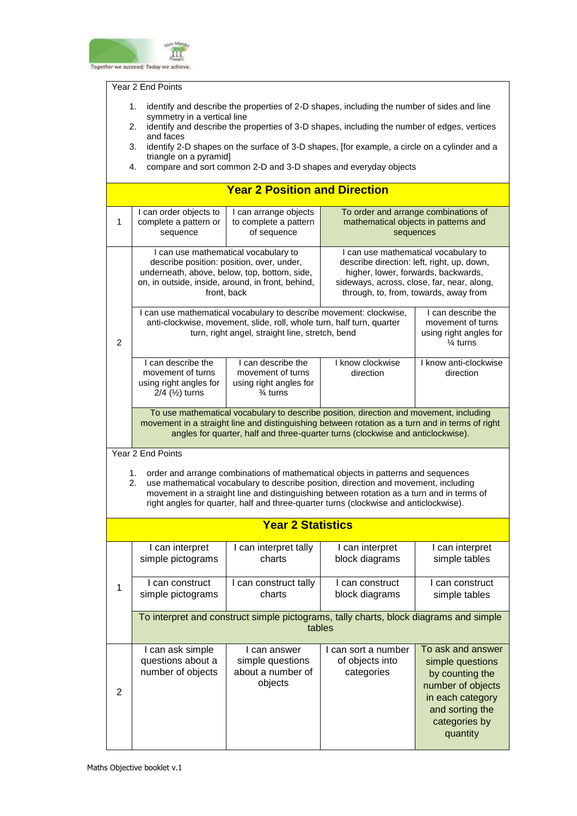

Year 2 End Points

- 1. identify and describe the properties of 2-D shapes, including the number of sides and line symmetry in a vertical line
- 2. identify and describe the properties of 3-D shapes, including the number of edges, vertices and faces
- 3. identify 2-D shapes on the surface of 3-D shapes, [for example, a circle on a cylinder and a triangle on a pyramid]
- 4. compare and sort common 2-D and 3-D shapes and everyday objects

|                |                                                                                                    | <b>Year 2 Position and Direction</b>                                                                                                                                                                                                                                                                                                                          |                                                                                                                                                                                                                  |                                                                                                                                                   |  |  |
|----------------|----------------------------------------------------------------------------------------------------|---------------------------------------------------------------------------------------------------------------------------------------------------------------------------------------------------------------------------------------------------------------------------------------------------------------------------------------------------------------|------------------------------------------------------------------------------------------------------------------------------------------------------------------------------------------------------------------|---------------------------------------------------------------------------------------------------------------------------------------------------|--|--|
| 1              | I can order objects to<br>complete a pattern or<br>sequence                                        | I can arrange objects<br>to complete a pattern<br>of sequence                                                                                                                                                                                                                                                                                                 | To order and arrange combinations of<br>mathematical objects in patterns and<br>sequences                                                                                                                        |                                                                                                                                                   |  |  |
|                |                                                                                                    | I can use mathematical vocabulary to<br>describe position: position, over, under,<br>underneath, above, below, top, bottom, side,<br>on, in outside, inside, around, in front, behind,<br>front, back                                                                                                                                                         | I can use mathematical vocabulary to<br>describe direction: left, right, up, down,<br>higher, lower, forwards, backwards,<br>sideways, across, close, far, near, along,<br>through, to, from, towards, away from |                                                                                                                                                   |  |  |
| $\overline{2}$ |                                                                                                    | I can use mathematical vocabulary to describe movement: clockwise,<br>anti-clockwise, movement, slide, roll, whole turn, half turn, quarter<br>turn, right angel, straight line, stretch, bend                                                                                                                                                                |                                                                                                                                                                                                                  | I can describe the<br>movement of turns<br>using right angles for<br>$\frac{1}{4}$ turns                                                          |  |  |
|                | I can describe the<br>movement of turns<br>using right angles for<br>$2/4$ ( $\frac{1}{2}$ ) turns | I can describe the<br>movement of turns<br>using right angles for<br>$\frac{3}{4}$ turns                                                                                                                                                                                                                                                                      | I know clockwise<br>direction                                                                                                                                                                                    | I know anti-clockwise<br>direction                                                                                                                |  |  |
|                |                                                                                                    | To use mathematical vocabulary to describe position, direction and movement, including<br>movement in a straight line and distinguishing between rotation as a turn and in terms of right<br>angles for quarter, half and three-quarter turns (clockwise and anticlockwise).                                                                                  |                                                                                                                                                                                                                  |                                                                                                                                                   |  |  |
|                | Year 2 End Points                                                                                  |                                                                                                                                                                                                                                                                                                                                                               |                                                                                                                                                                                                                  |                                                                                                                                                   |  |  |
|                | 1.<br>2.                                                                                           | order and arrange combinations of mathematical objects in patterns and sequences<br>use mathematical vocabulary to describe position, direction and movement, including<br>movement in a straight line and distinguishing between rotation as a turn and in terms of<br>right angles for quarter, half and three-quarter turns (clockwise and anticlockwise). |                                                                                                                                                                                                                  |                                                                                                                                                   |  |  |
|                |                                                                                                    | <b>Year 2 Statistics</b>                                                                                                                                                                                                                                                                                                                                      |                                                                                                                                                                                                                  |                                                                                                                                                   |  |  |
|                | I can interpret<br>simple pictograms                                                               | I can interpret tally<br>charts                                                                                                                                                                                                                                                                                                                               | I can interpret<br>block diagrams                                                                                                                                                                                | I can interpret<br>simple tables                                                                                                                  |  |  |
| 1              | I can construct<br>simple pictograms                                                               | I can construct tally<br>charts                                                                                                                                                                                                                                                                                                                               | I can construct<br>block diagrams                                                                                                                                                                                | I can construct<br>simple tables                                                                                                                  |  |  |
|                | To interpret and construct simple pictograms, tally charts, block diagrams and simple<br>tables    |                                                                                                                                                                                                                                                                                                                                                               |                                                                                                                                                                                                                  |                                                                                                                                                   |  |  |
| $\overline{2}$ | I can ask simple<br>questions about a<br>number of objects                                         | I can answer<br>simple questions<br>about a number of<br>objects                                                                                                                                                                                                                                                                                              | I can sort a number<br>of objects into<br>categories                                                                                                                                                             | To ask and answer<br>simple questions<br>by counting the<br>number of objects<br>in each category<br>and sorting the<br>categories by<br>quantity |  |  |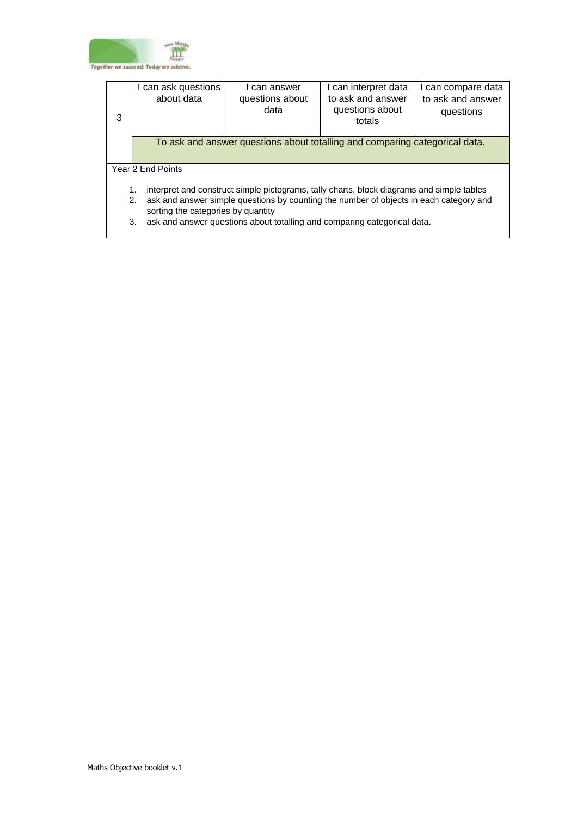

| 3 | I can ask questions<br>about data                                                                                                  | can answer<br>questions about<br>data | I can interpret data<br>to ask and answer<br>questions about<br>totals      | I can compare data<br>to ask and answer<br>questions |  |
|---|------------------------------------------------------------------------------------------------------------------------------------|---------------------------------------|-----------------------------------------------------------------------------|------------------------------------------------------|--|
|   |                                                                                                                                    |                                       | To ask and answer questions about totalling and comparing categorical data. |                                                      |  |
|   | Year 2 End Points                                                                                                                  |                                       |                                                                             |                                                      |  |
|   | interpret and construct simple pictograms, tally charts, block diagrams and simple tables<br>1.                                    |                                       |                                                                             |                                                      |  |
|   | ask and answer simple questions by counting the number of objects in each category and<br>2.<br>sorting the categories by quantity |                                       |                                                                             |                                                      |  |
|   | ask and answer questions about totalling and comparing categorical data.<br>3.                                                     |                                       |                                                                             |                                                      |  |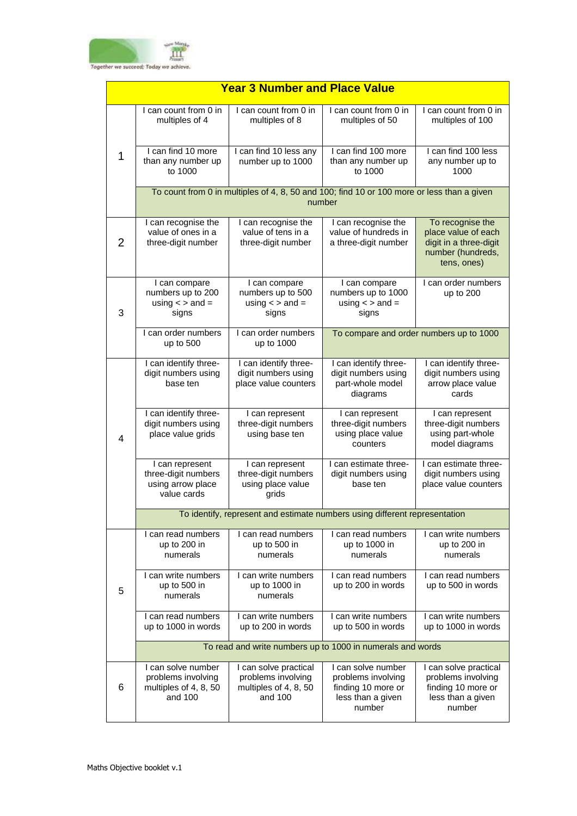

|   | <b>Year 3 Number and Place Value</b>                                         |                                                                                            |                                                                                               |                                                                                                       |  |  |  |
|---|------------------------------------------------------------------------------|--------------------------------------------------------------------------------------------|-----------------------------------------------------------------------------------------------|-------------------------------------------------------------------------------------------------------|--|--|--|
|   | I can count from 0 in<br>multiples of 4                                      | I can count from 0 in<br>multiples of 8                                                    | I can count from 0 in<br>multiples of 50                                                      | I can count from 0 in<br>multiples of 100                                                             |  |  |  |
| 1 | I can find 10 more<br>than any number up<br>to 1000                          | I can find 10 less any<br>number up to 1000                                                | I can find 100 more<br>than any number up<br>to 1000                                          | I can find 100 less<br>any number up to<br>1000                                                       |  |  |  |
|   |                                                                              | To count from 0 in multiples of 4, 8, 50 and 100; find 10 or 100 more or less than a given | number                                                                                        |                                                                                                       |  |  |  |
| 2 | I can recognise the<br>value of ones in a<br>three-digit number              | I can recognise the<br>value of tens in a<br>three-digit number                            | I can recognise the<br>value of hundreds in<br>a three-digit number                           | To recognise the<br>place value of each<br>digit in a three-digit<br>number (hundreds,<br>tens, ones) |  |  |  |
| 3 | I can compare<br>numbers up to 200<br>using $\lt$ > and =<br>signs           | I can compare<br>numbers up to 500<br>using $\lt$ > and =<br>signs                         | I can compare<br>numbers up to 1000<br>using $\lt$ > and =<br>signs                           | I can order numbers<br>up to 200                                                                      |  |  |  |
|   | I can order numbers<br>up to 500                                             | I can order numbers<br>up to 1000                                                          | To compare and order numbers up to 1000                                                       |                                                                                                       |  |  |  |
|   | I can identify three-<br>digit numbers using<br>base ten                     | I can identify three-<br>digit numbers using<br>place value counters                       | I can identify three-<br>digit numbers using<br>part-whole model<br>diagrams                  | I can identify three-<br>digit numbers using<br>arrow place value<br>cards                            |  |  |  |
| 4 | I can identify three-<br>digit numbers using<br>place value grids            | I can represent<br>three-digit numbers<br>using base ten                                   | I can represent<br>three-digit numbers<br>using place value<br>counters                       | I can represent<br>three-digit numbers<br>using part-whole<br>model diagrams                          |  |  |  |
|   | I can represent<br>three-digit numbers<br>using arrow place<br>value cards   | I can represent<br>three-digit numbers<br>using place value<br>grids                       | I can estimate three-<br>digit numbers using<br>base ten                                      | I can estimate three-<br>digit numbers using<br>place value counters                                  |  |  |  |
|   |                                                                              | To identify, represent and estimate numbers using different representation                 |                                                                                               |                                                                                                       |  |  |  |
|   | I can read numbers<br>up to 200 in<br>numerals                               | I can read numbers<br>up to 500 in<br>numerals                                             | I can read numbers<br>up to 1000 in<br>numerals                                               | I can write numbers<br>up to 200 in<br>numerals                                                       |  |  |  |
| 5 | I can write numbers<br>up to 500 in<br>numerals                              | I can write numbers<br>up to 1000 in<br>numerals                                           | I can read numbers<br>up to 200 in words                                                      | I can read numbers<br>up to 500 in words                                                              |  |  |  |
|   | I can read numbers<br>up to 1000 in words                                    | I can write numbers<br>up to 200 in words                                                  | I can write numbers<br>up to 500 in words                                                     | I can write numbers<br>up to 1000 in words                                                            |  |  |  |
|   |                                                                              | To read and write numbers up to 1000 in numerals and words                                 |                                                                                               |                                                                                                       |  |  |  |
| 6 | I can solve number<br>problems involving<br>multiples of 4, 8, 50<br>and 100 | I can solve practical<br>problems involving<br>multiples of 4, 8, 50<br>and 100            | I can solve number<br>problems involving<br>finding 10 more or<br>less than a given<br>number | I can solve practical<br>problems involving<br>finding 10 more or<br>less than a given<br>number      |  |  |  |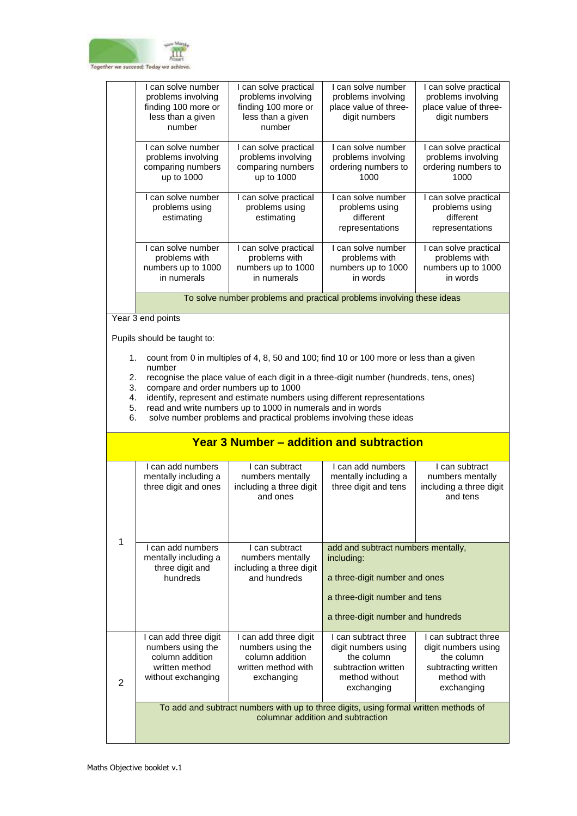

| I can solve number<br>problems involving<br>finding 100 more or<br>less than a given<br>number | I can solve practical<br>problems involving<br>finding 100 more or<br>less than a given<br>number | I can solve number<br>problems involving<br>place value of three-<br>digit numbers | I can solve practical<br>problems involving<br>place value of three-<br>digit numbers |  |
|------------------------------------------------------------------------------------------------|---------------------------------------------------------------------------------------------------|------------------------------------------------------------------------------------|---------------------------------------------------------------------------------------|--|
| I can solve number<br>problems involving<br>comparing numbers<br>up to 1000                    | I can solve practical<br>problems involving<br>comparing numbers<br>up to 1000                    | I can solve number<br>problems involving<br>ordering numbers to<br>1000            | I can solve practical<br>problems involving<br>ordering numbers to<br>1000            |  |
| can solve number<br>problems using<br>estimating                                               | I can solve practical<br>problems using<br>estimating                                             | I can solve number<br>problems using<br>different<br>representations               | I can solve practical<br>problems using<br>different<br>representations               |  |
| can solve number<br>problems with<br>numbers up to 1000<br>in numerals                         | I can solve practical<br>problems with<br>numbers up to 1000<br>in numerals                       | I can solve number<br>problems with<br>numbers up to 1000<br>in words              | I can solve practical<br>problems with<br>numbers up to 1000<br>in words              |  |
| To solve number problems and practical problems involving these ideas                          |                                                                                                   |                                                                                    |                                                                                       |  |

Year 3 end points

Pupils should be taught to:

- 1. count from 0 in multiples of 4, 8, 50 and 100; find 10 or 100 more or less than a given number
- 2. recognise the place value of each digit in a three-digit number (hundreds, tens, ones)
- 3. compare and order numbers up to 1000
- 4. identify, represent and estimate numbers using different representations<br>5. read and write numbers up to 1000 in numerals and in words
- 5. read and write numbers up to 1000 in numerals and in words<br>6. solve number problems and practical problems involving thes
- solve number problems and practical problems involving these ideas

## **Year 3 Number – addition and subtraction**

| 1 | I can add numbers<br>mentally including a<br>three digit and ones                                                         | I can subtract<br>numbers mentally<br>including a three digit<br>and ones                          | Lcan add numbers<br>I can subtract<br>mentally including a<br>numbers mentally<br>three digit and tens<br>including a three digit<br>and tens           |                                                                                                               |  |
|---|---------------------------------------------------------------------------------------------------------------------------|----------------------------------------------------------------------------------------------------|---------------------------------------------------------------------------------------------------------------------------------------------------------|---------------------------------------------------------------------------------------------------------------|--|
|   | Lcan add numbers<br>mentally including a<br>three digit and<br>hundreds                                                   | Lcan subtract<br>numbers mentally<br>including a three digit<br>and hundreds                       | add and subtract numbers mentally,<br>including:<br>a three-digit number and ones<br>a three-digit number and tens<br>a three-digit number and hundreds |                                                                                                               |  |
| 2 | I can add three digit<br>numbers using the<br>column addition<br>written method<br>without exchanging                     | I can add three digit<br>numbers using the<br>column addition<br>written method with<br>exchanging | I can subtract three<br>digit numbers using<br>the column<br>subtraction written<br>method without<br>exchanging                                        | I can subtract three<br>digit numbers using<br>the column<br>subtracting written<br>method with<br>exchanging |  |
|   | To add and subtract numbers with up to three digits, using formal written methods of<br>columnar addition and subtraction |                                                                                                    |                                                                                                                                                         |                                                                                                               |  |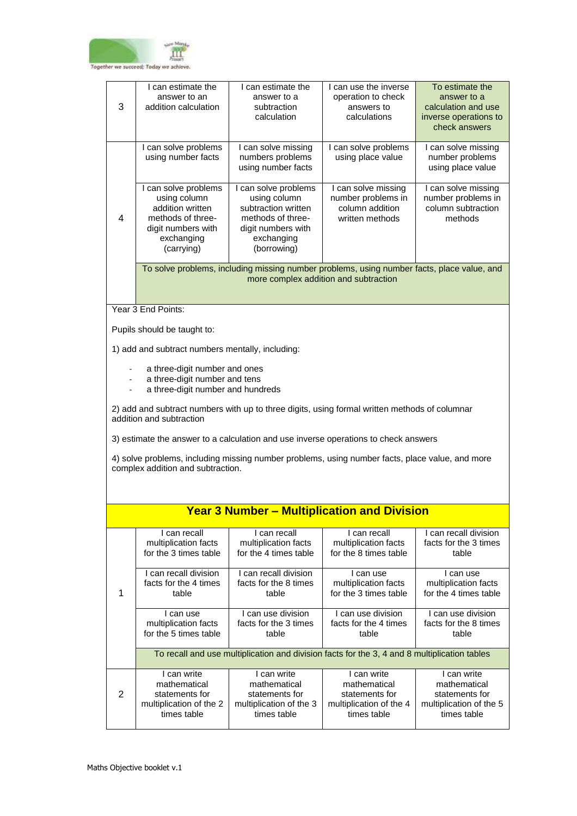

|   | I can estimate the<br>answer to an                                                                                                   | I can estimate the<br>answer to a                                                            | I can use the inverse<br>operation to check   | To estimate the<br>answer to a           |
|---|--------------------------------------------------------------------------------------------------------------------------------------|----------------------------------------------------------------------------------------------|-----------------------------------------------|------------------------------------------|
| 3 | addition calculation                                                                                                                 | subtraction                                                                                  | answers to                                    | calculation and use                      |
|   |                                                                                                                                      | calculation                                                                                  | calculations                                  | inverse operations to<br>check answers   |
|   | I can solve problems                                                                                                                 |                                                                                              | I can solve problems                          | I can solve missing                      |
|   | using number facts                                                                                                                   | I can solve missing<br>numbers problems                                                      | using place value                             | number problems                          |
|   |                                                                                                                                      | using number facts                                                                           |                                               | using place value                        |
|   | I can solve problems                                                                                                                 | I can solve problems                                                                         | I can solve missing                           | I can solve missing                      |
|   | using column<br>addition written                                                                                                     | using column<br>subtraction written                                                          | number problems in<br>column addition         | number problems in<br>column subtraction |
| 4 | methods of three-                                                                                                                    | methods of three-                                                                            | written methods                               | methods                                  |
|   | digit numbers with<br>exchanging                                                                                                     | digit numbers with<br>exchanging                                                             |                                               |                                          |
|   | (carrying)                                                                                                                           | (borrowing)                                                                                  |                                               |                                          |
|   |                                                                                                                                      | To solve problems, including missing number problems, using number facts, place value, and   |                                               |                                          |
|   |                                                                                                                                      |                                                                                              | more complex addition and subtraction         |                                          |
|   |                                                                                                                                      |                                                                                              |                                               |                                          |
|   | Year 3 End Points:                                                                                                                   |                                                                                              |                                               |                                          |
|   | Pupils should be taught to:                                                                                                          |                                                                                              |                                               |                                          |
|   | 1) add and subtract numbers mentally, including:                                                                                     |                                                                                              |                                               |                                          |
|   | a three-digit number and ones                                                                                                        |                                                                                              |                                               |                                          |
|   | a three-digit number and tens<br>a three-digit number and hundreds                                                                   |                                                                                              |                                               |                                          |
|   |                                                                                                                                      |                                                                                              |                                               |                                          |
|   | 2) add and subtract numbers with up to three digits, using formal written methods of columnar<br>addition and subtraction            |                                                                                              |                                               |                                          |
|   | 3) estimate the answer to a calculation and use inverse operations to check answers                                                  |                                                                                              |                                               |                                          |
|   |                                                                                                                                      |                                                                                              |                                               |                                          |
|   | 4) solve problems, including missing number problems, using number facts, place value, and more<br>complex addition and subtraction. |                                                                                              |                                               |                                          |
|   |                                                                                                                                      |                                                                                              |                                               |                                          |
|   |                                                                                                                                      |                                                                                              |                                               |                                          |
|   |                                                                                                                                      | <b>Year 3 Number - Multiplication and Division</b>                                           |                                               |                                          |
|   | I can recall                                                                                                                         | I can recall                                                                                 | I can recall                                  | I can recall division                    |
|   | multiplication facts<br>for the 3 times table                                                                                        | multiplication facts<br>for the 4 times table                                                | multiplication facts<br>for the 8 times table | facts for the 3 times<br>table           |
|   |                                                                                                                                      |                                                                                              |                                               |                                          |
|   | I can recall division<br>facts for the 4 times                                                                                       | I can recall division<br>facts for the 8 times                                               | I can use<br>multiplication facts             | I can use<br>multiplication facts        |
| 1 | table                                                                                                                                | table                                                                                        | for the 3 times table                         | for the 4 times table                    |
|   | I can use                                                                                                                            | I can use division                                                                           | I can use division                            | I can use division                       |
|   | multiplication facts                                                                                                                 | facts for the 3 times                                                                        | facts for the 4 times                         | facts for the 8 times                    |
|   | for the 5 times table                                                                                                                | table                                                                                        | table                                         | table                                    |
|   |                                                                                                                                      | To recall and use multiplication and division facts for the 3, 4 and 8 multiplication tables |                                               |                                          |
|   | I can write                                                                                                                          | $\overline{I}$ can write<br>mathematical                                                     | I can write<br>mathematical                   | I can write                              |
| 2 | mathematical<br>statements for                                                                                                       | statements for                                                                               | statements for                                | mathematical<br>statements for           |
|   | multiplication of the 2<br>times table                                                                                               | multiplication of the 3<br>times table                                                       | multiplication of the 4<br>times table        | multiplication of the 5<br>times table   |
|   |                                                                                                                                      |                                                                                              |                                               |                                          |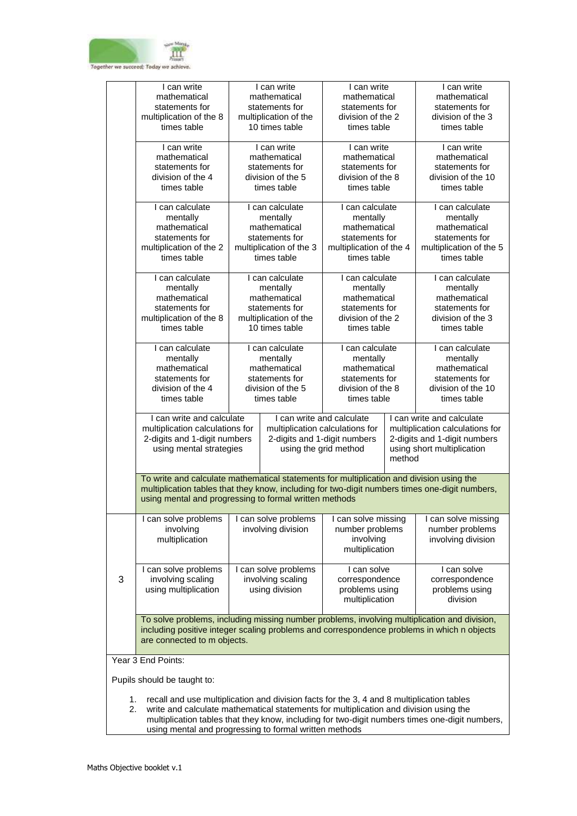

|   | I can write                                                                                    |  | I can write                     | I can write                  |        | I can write                     |
|---|------------------------------------------------------------------------------------------------|--|---------------------------------|------------------------------|--------|---------------------------------|
|   | mathematical                                                                                   |  | mathematical                    | mathematical                 |        | mathematical                    |
|   | statements for                                                                                 |  | statements for                  | statements for               |        | statements for                  |
|   | multiplication of the 8                                                                        |  | multiplication of the           | division of the 2            |        | division of the 3               |
|   | times table                                                                                    |  | 10 times table                  | times table                  |        | times table                     |
|   | I can write                                                                                    |  | I can write                     | I can write                  |        | I can write                     |
|   | mathematical                                                                                   |  | mathematical                    | mathematical                 |        | mathematical                    |
|   | statements for                                                                                 |  | statements for                  | statements for               |        | statements for                  |
|   | division of the 4                                                                              |  | division of the 5               | division of the 8            |        | division of the 10              |
|   | times table                                                                                    |  | times table                     | times table                  |        | times table                     |
|   | I can calculate                                                                                |  | I can calculate                 | I can calculate              |        | I can calculate                 |
|   | mentally                                                                                       |  | mentally                        | mentally                     |        | mentally                        |
|   | mathematical                                                                                   |  | mathematical                    | mathematical                 |        | mathematical                    |
|   | statements for                                                                                 |  | statements for                  | statements for               |        | statements for                  |
|   | multiplication of the 2                                                                        |  | multiplication of the 3         | multiplication of the 4      |        | multiplication of the 5         |
|   | times table                                                                                    |  | times table                     | times table                  |        | times table                     |
|   |                                                                                                |  |                                 |                              |        |                                 |
|   | I can calculate                                                                                |  | I can calculate                 | I can calculate              |        | I can calculate                 |
|   | mentally                                                                                       |  | mentally                        | mentally                     |        | mentally                        |
|   | mathematical                                                                                   |  | mathematical                    | mathematical                 |        | mathematical                    |
|   | statements for                                                                                 |  | statements for                  | statements for               |        | statements for                  |
|   | multiplication of the 8                                                                        |  | multiplication of the           | division of the 2            |        | division of the 3               |
|   | times table                                                                                    |  | 10 times table                  | times table                  |        | times table                     |
|   | I can calculate                                                                                |  | I can calculate                 | I can calculate              |        | I can calculate                 |
|   | mentally                                                                                       |  | mentally                        | mentally                     |        | mentally                        |
|   | mathematical                                                                                   |  | mathematical                    | mathematical                 |        | mathematical                    |
|   | statements for                                                                                 |  | statements for                  | statements for               |        | statements for                  |
|   | division of the 4                                                                              |  | division of the 5               | division of the 8            |        | division of the 10              |
|   | times table                                                                                    |  | times table                     | times table                  |        | times table                     |
|   | I can write and calculate                                                                      |  | I can write and calculate       |                              |        | I can write and calculate       |
|   | multiplication calculations for                                                                |  | multiplication calculations for |                              |        | multiplication calculations for |
|   | 2-digits and 1-digit numbers                                                                   |  |                                 | 2-digits and 1-digit numbers |        | 2-digits and 1-digit numbers    |
|   | using mental strategies                                                                        |  | using the grid method           |                              |        | using short multiplication      |
|   |                                                                                                |  |                                 |                              | method |                                 |
|   |                                                                                                |  |                                 |                              |        |                                 |
|   | To write and calculate mathematical statements for multiplication and division using the       |  |                                 |                              |        |                                 |
|   | multiplication tables that they know, including for two-digit numbers times one-digit numbers, |  |                                 |                              |        |                                 |
|   | using mental and progressing to formal written methods                                         |  |                                 |                              |        |                                 |
|   | I can solve problems                                                                           |  | I can solve problems            | I can solve missing          |        | I can solve missing             |
|   | involving                                                                                      |  | involving division              | number problems              |        | number problems                 |
|   | multiplication                                                                                 |  |                                 | involving                    |        | involving division              |
|   |                                                                                                |  |                                 | multiplication               |        |                                 |
|   | I can solve problems                                                                           |  | I can solve problems            | I can solve                  |        | I can solve                     |
| 3 | involving scaling                                                                              |  | involving scaling               | correspondence               |        | correspondence                  |
|   | using multiplication                                                                           |  | using division                  | problems using               |        | problems using                  |
|   |                                                                                                |  |                                 | multiplication               |        | division                        |
|   |                                                                                                |  |                                 |                              |        |                                 |
|   | To solve problems, including missing number problems, involving multiplication and division,   |  |                                 |                              |        |                                 |
|   | including positive integer scaling problems and correspondence problems in which n objects     |  |                                 |                              |        |                                 |
|   | are connected to m objects.                                                                    |  |                                 |                              |        |                                 |
|   | Year 3 End Points:                                                                             |  |                                 |                              |        |                                 |
|   | Pupils should be taught to:                                                                    |  |                                 |                              |        |                                 |
|   |                                                                                                |  |                                 |                              |        |                                 |
|   | recall and use multiplication and division facts for the 3 A and 8 multiplication tables       |  |                                 |                              |        |                                 |

- 1. recall and use multiplication and division facts for the 3, 4 and 8 multiplication tables
- 2. write and calculate mathematical statements for multiplication and division using the multiplication tables that they know, including for two-digit numbers times one-digit numbers, using mental and progressing to formal written methods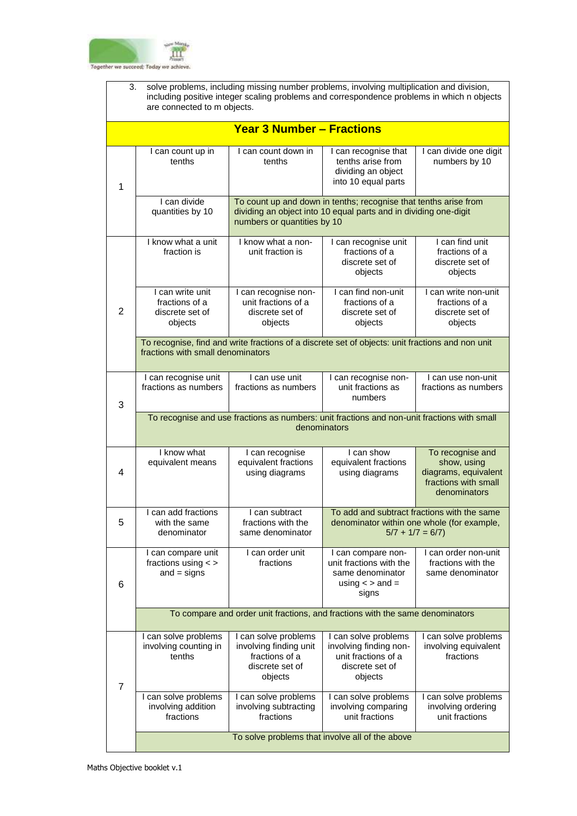

| solve problems, including missing number problems, involving multiplication and division,<br>3.<br>including positive integer scaling problems and correspondence problems in which n objects<br>are connected to m objects. |                                                                               |                                                                                                  |                                                                                                                                      |                                                                                                                |  |  |
|------------------------------------------------------------------------------------------------------------------------------------------------------------------------------------------------------------------------------|-------------------------------------------------------------------------------|--------------------------------------------------------------------------------------------------|--------------------------------------------------------------------------------------------------------------------------------------|----------------------------------------------------------------------------------------------------------------|--|--|
|                                                                                                                                                                                                                              |                                                                               | <b>Year 3 Number - Fractions</b>                                                                 |                                                                                                                                      |                                                                                                                |  |  |
| 1                                                                                                                                                                                                                            | I can count up in<br>tenths                                                   | I can count down in<br>tenths                                                                    | I can recognise that<br>tenths arise from<br>dividing an object<br>into 10 equal parts                                               | I can divide one digit<br>numbers by 10                                                                        |  |  |
|                                                                                                                                                                                                                              | I can divide<br>quantities by 10                                              | numbers or quantities by 10                                                                      | To count up and down in tenths; recognise that tenths arise from<br>dividing an object into 10 equal parts and in dividing one-digit |                                                                                                                |  |  |
|                                                                                                                                                                                                                              | I know what a unit<br>fraction is                                             | I know what a non-<br>unit fraction is                                                           | I can recognise unit<br>fractions of a<br>discrete set of<br>objects                                                                 | I can find unit<br>fractions of a<br>discrete set of<br>objects                                                |  |  |
| $\overline{2}$                                                                                                                                                                                                               | I can write unit<br>fractions of a<br>discrete set of<br>objects              | I can recognise non-<br>unit fractions of a<br>discrete set of<br>objects                        | I can find non-unit<br>fractions of a<br>discrete set of<br>objects                                                                  | I can write non-unit<br>fractions of a<br>discrete set of<br>objects                                           |  |  |
|                                                                                                                                                                                                                              | fractions with small denominators                                             | To recognise, find and write fractions of a discrete set of objects: unit fractions and non unit |                                                                                                                                      |                                                                                                                |  |  |
| 3                                                                                                                                                                                                                            | I can recognise unit<br>fractions as numbers                                  | I can use unit<br>fractions as numbers                                                           | I can recognise non-<br>unit fractions as<br>numbers                                                                                 | I can use non-unit<br>fractions as numbers                                                                     |  |  |
| To recognise and use fractions as numbers: unit fractions and non-unit fractions with small<br>denominators                                                                                                                  |                                                                               |                                                                                                  |                                                                                                                                      |                                                                                                                |  |  |
| 4                                                                                                                                                                                                                            | I know what<br>equivalent means                                               | I can recognise<br>equivalent fractions<br>using diagrams                                        | I can show<br>equivalent fractions<br>using diagrams                                                                                 | To recognise and<br>show, using<br>diagrams, equivalent<br>fractions with small<br>denominators                |  |  |
| 5                                                                                                                                                                                                                            | Lcan add fractions<br>with the same<br>denominator                            | I can subtract<br>fractions with the<br>same denominator                                         |                                                                                                                                      | To add and subtract fractions with the same<br>denominator within one whole (for example,<br>$5/7 + 1/7 = 6/7$ |  |  |
| 6                                                                                                                                                                                                                            | I can compare unit<br>fractions using $\lt$ ><br>$and = signs$                | I can order unit<br>fractions                                                                    | I can compare non-<br>unit fractions with the<br>same denominator<br>using $\lt$ > and =<br>signs                                    | I can order non-unit<br>fractions with the<br>same denominator                                                 |  |  |
|                                                                                                                                                                                                                              | To compare and order unit fractions, and fractions with the same denominators |                                                                                                  |                                                                                                                                      |                                                                                                                |  |  |
| $\overline{7}$                                                                                                                                                                                                               | I can solve problems<br>involving counting in<br>tenths                       | I can solve problems<br>involving finding unit<br>fractions of a<br>discrete set of<br>objects   | I can solve problems<br>involving finding non-<br>unit fractions of a<br>discrete set of<br>objects                                  | I can solve problems<br>involving equivalent<br>fractions                                                      |  |  |
|                                                                                                                                                                                                                              | I can solve problems<br>involving addition<br>fractions                       | I can solve problems<br>involving subtracting<br>fractions                                       | I can solve problems<br>involving comparing<br>unit fractions                                                                        | I can solve problems<br>involving ordering<br>unit fractions                                                   |  |  |
| To solve problems that involve all of the above                                                                                                                                                                              |                                                                               |                                                                                                  |                                                                                                                                      |                                                                                                                |  |  |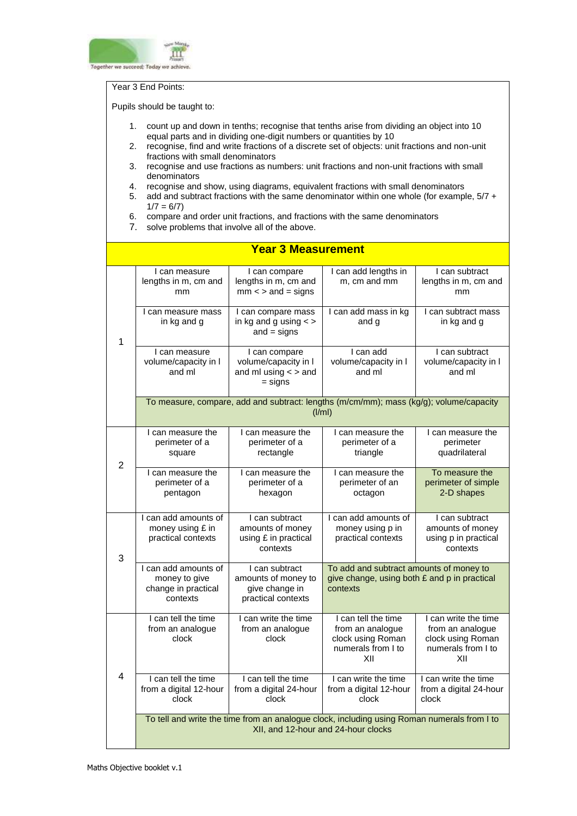

#### Year 3 End Points:

- 1. count up and down in tenths; recognise that tenths arise from dividing an object into 10 equal parts and in dividing one-digit numbers or quantities by 10
- 2. recognise, find and write fractions of a discrete set of objects: unit fractions and non-unit fractions with small denominators
- 3. recognise and use fractions as numbers: unit fractions and non-unit fractions with small denominators
- 4. recognise and show, using diagrams, equivalent fractions with small denominators
- 5. add and subtract fractions with the same denominator within one whole (for example, 5/7 +  $1/7 = 6/7$
- 6. compare and order unit fractions, and fractions with the same denominators
- 7. solve problems that involve all of the above.

|                | <b>Year 3 Measurement</b>                                                |                                                                                                                                    |                                                                                                     |                                                                                            |  |  |
|----------------|--------------------------------------------------------------------------|------------------------------------------------------------------------------------------------------------------------------------|-----------------------------------------------------------------------------------------------------|--------------------------------------------------------------------------------------------|--|--|
|                | I can measure<br>lengths in m, cm and<br>mm                              | I can compare<br>lengths in m, cm and<br>$mm <$ > and = signs                                                                      | I can add lengths in<br>m, cm and mm                                                                | I can subtract<br>lengths in m, cm and<br>mm                                               |  |  |
| 1              | I can measure mass<br>in kg and g                                        | I can compare mass<br>in kg and g using $\lt$ ><br>$and = signs$                                                                   | I can add mass in kg<br>and g                                                                       | I can subtract mass<br>in kg and g                                                         |  |  |
|                | I can measure<br>volume/capacity in I<br>and ml                          | I can compare<br>volume/capacity in I<br>and ml using $\lt$ > and<br>= signs                                                       | I can add<br>volume/capacity in I<br>and ml                                                         | I can subtract<br>volume/capacity in I<br>and ml                                           |  |  |
|                |                                                                          | To measure, compare, add and subtract: lengths (m/cm/mm); mass (kg/g); volume/capacity<br>(I/ml)                                   |                                                                                                     |                                                                                            |  |  |
| $\overline{2}$ | I can measure the<br>perimeter of a<br>square                            | I can measure the<br>perimeter of a<br>rectangle                                                                                   | I can measure the<br>perimeter of a<br>triangle                                                     | I can measure the<br>perimeter<br>quadrilateral                                            |  |  |
|                | I can measure the<br>perimeter of a<br>pentagon                          | I can measure the<br>perimeter of a<br>hexagon                                                                                     | I can measure the<br>perimeter of an<br>octagon                                                     | To measure the<br>perimeter of simple<br>2-D shapes                                        |  |  |
| 3              | I can add amounts of<br>money using £ in<br>practical contexts           | I can subtract<br>amounts of money<br>using £ in practical<br>contexts                                                             | I can add amounts of<br>money using p in<br>practical contexts                                      | I can subtract<br>amounts of money<br>using p in practical<br>contexts                     |  |  |
|                | I can add amounts of<br>money to give<br>change in practical<br>contexts | I can subtract<br>amounts of money to<br>give change in<br>practical contexts                                                      | To add and subtract amounts of money to<br>give change, using both £ and p in practical<br>contexts |                                                                                            |  |  |
| 4              | I can tell the time<br>from an analogue<br>clock                         | I can write the time<br>from an analoque<br>clock                                                                                  | I can tell the time<br>from an analogue<br>clock using Roman<br>numerals from I to<br>XII           | I can write the time<br>from an analogue<br>clock using Roman<br>numerals from I to<br>XII |  |  |
|                | I can tell the time<br>from a digital 12-hour<br>clock                   | I can tell the time<br>from a digital 24-hour<br>clock                                                                             | I can write the time<br>from a digital 12-hour<br>clock                                             | I can write the time<br>from a digital 24-hour<br>clock                                    |  |  |
|                |                                                                          | To tell and write the time from an analogue clock, including using Roman numerals from I to<br>XII, and 12-hour and 24-hour clocks |                                                                                                     |                                                                                            |  |  |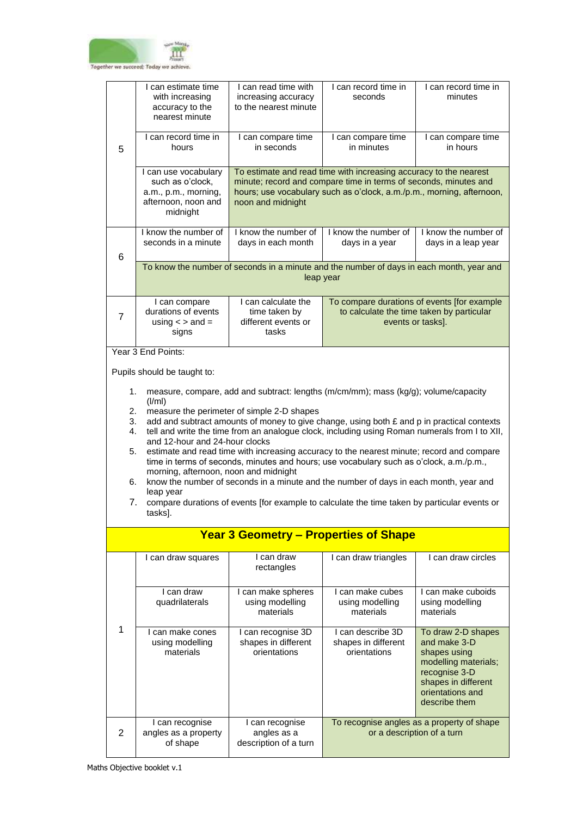

|                | I can estimate time<br>with increasing<br>accuracy to the<br>nearest minute                                                                                                                                                                                                                                                                                                                          | I can read time with<br>increasing accuracy<br>to the nearest minute                                                                                                                                                                | I can record time in<br>seconds                                                                                                                                                                                                                                               | I can record time in<br>minutes                                                                                                                         |  |
|----------------|------------------------------------------------------------------------------------------------------------------------------------------------------------------------------------------------------------------------------------------------------------------------------------------------------------------------------------------------------------------------------------------------------|-------------------------------------------------------------------------------------------------------------------------------------------------------------------------------------------------------------------------------------|-------------------------------------------------------------------------------------------------------------------------------------------------------------------------------------------------------------------------------------------------------------------------------|---------------------------------------------------------------------------------------------------------------------------------------------------------|--|
| 5              | I can record time in<br>hours                                                                                                                                                                                                                                                                                                                                                                        | I can compare time<br>in seconds                                                                                                                                                                                                    | I can compare time<br>in minutes                                                                                                                                                                                                                                              | I can compare time<br>in hours                                                                                                                          |  |
|                | I can use vocabulary<br>such as o'clock,<br>a.m., p.m., morning,<br>afternoon, noon and<br>midnight                                                                                                                                                                                                                                                                                                  | To estimate and read time with increasing accuracy to the nearest<br>minute; record and compare time in terms of seconds, minutes and<br>hours; use vocabulary such as o'clock, a.m./p.m., morning, afternoon,<br>noon and midnight |                                                                                                                                                                                                                                                                               |                                                                                                                                                         |  |
| 6              | I know the number of<br>seconds in a minute                                                                                                                                                                                                                                                                                                                                                          | I know the number of<br>days in each month                                                                                                                                                                                          | I know the number of<br>days in a year                                                                                                                                                                                                                                        | I know the number of<br>days in a leap year                                                                                                             |  |
|                |                                                                                                                                                                                                                                                                                                                                                                                                      |                                                                                                                                                                                                                                     | To know the number of seconds in a minute and the number of days in each month, year and<br>leap year                                                                                                                                                                         |                                                                                                                                                         |  |
| $\overline{7}$ | I can compare<br>durations of events<br>using $\lt$ > and =<br>signs                                                                                                                                                                                                                                                                                                                                 | I can calculate the<br>time taken by<br>different events or<br>tasks                                                                                                                                                                |                                                                                                                                                                                                                                                                               | To compare durations of events [for example<br>to calculate the time taken by particular<br>events or tasks].                                           |  |
|                | Year 3 End Points:                                                                                                                                                                                                                                                                                                                                                                                   |                                                                                                                                                                                                                                     |                                                                                                                                                                                                                                                                               |                                                                                                                                                         |  |
|                | Pupils should be taught to:                                                                                                                                                                                                                                                                                                                                                                          |                                                                                                                                                                                                                                     |                                                                                                                                                                                                                                                                               |                                                                                                                                                         |  |
|                | 1.<br>measure, compare, add and subtract: lengths (m/cm/mm); mass (kg/g); volume/capacity<br>(I/ml)<br>measure the perimeter of simple 2-D shapes<br>2.<br>add and subtract amounts of money to give change, using both £ and p in practical contexts<br>3.<br>tell and write the time from an analogue clock, including using Roman numerals from I to XII,<br>4.<br>and 12-hour and 24-hour clocks |                                                                                                                                                                                                                                     |                                                                                                                                                                                                                                                                               |                                                                                                                                                         |  |
| 5.<br>6.       | morning, afternoon, noon and midnight                                                                                                                                                                                                                                                                                                                                                                |                                                                                                                                                                                                                                     | estimate and read time with increasing accuracy to the nearest minute; record and compare<br>time in terms of seconds, minutes and hours; use vocabulary such as o'clock, a.m./p.m.,<br>know the number of seconds in a minute and the number of days in each month, year and |                                                                                                                                                         |  |
| 7.             | leap year<br>tasks].                                                                                                                                                                                                                                                                                                                                                                                 |                                                                                                                                                                                                                                     | compare durations of events [for example to calculate the time taken by particular events or                                                                                                                                                                                  |                                                                                                                                                         |  |
|                |                                                                                                                                                                                                                                                                                                                                                                                                      |                                                                                                                                                                                                                                     | <b>Year 3 Geometry – Properties of Shape</b>                                                                                                                                                                                                                                  |                                                                                                                                                         |  |
|                | I can draw squares                                                                                                                                                                                                                                                                                                                                                                                   | I can draw<br>rectangles                                                                                                                                                                                                            | I can draw triangles                                                                                                                                                                                                                                                          | I can draw circles                                                                                                                                      |  |
|                | I can draw<br>quadrilaterals                                                                                                                                                                                                                                                                                                                                                                         | I can make spheres<br>using modelling<br>materials                                                                                                                                                                                  | I can make cubes<br>using modelling<br>materials                                                                                                                                                                                                                              | I can make cuboids<br>using modelling<br>materials                                                                                                      |  |
| 1              | I can make cones<br>using modelling<br>materials                                                                                                                                                                                                                                                                                                                                                     | I can recognise 3D<br>shapes in different<br>orientations                                                                                                                                                                           | I can describe 3D<br>shapes in different<br>orientations                                                                                                                                                                                                                      | To draw 2-D shapes<br>and make 3-D<br>shapes using<br>modelling materials;<br>recognise 3-D<br>shapes in different<br>orientations and<br>describe them |  |
| 2              | I can recognise<br>angles as a property<br>of shape                                                                                                                                                                                                                                                                                                                                                  | I can recognise<br>angles as a<br>description of a turn                                                                                                                                                                             |                                                                                                                                                                                                                                                                               | To recognise angles as a property of shape<br>or a description of a turn                                                                                |  |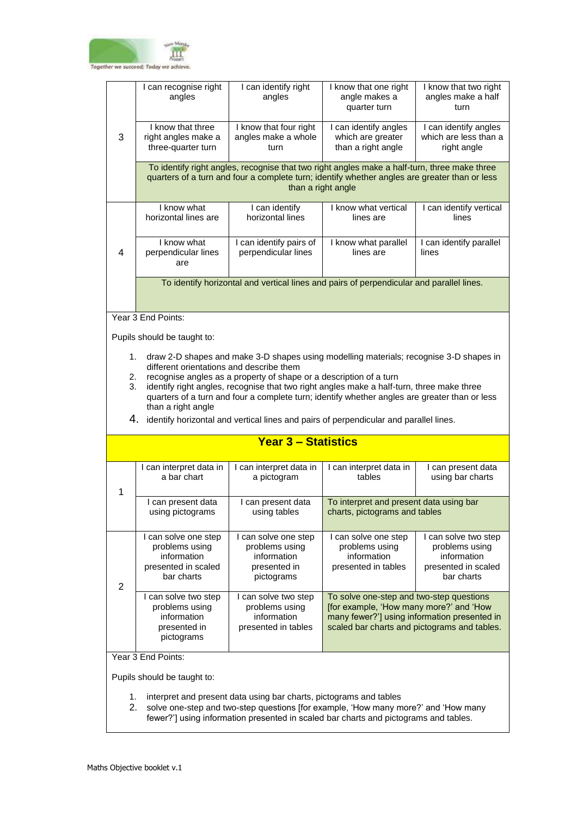

|                | I can recognise right<br>angles                                                                                                                                                                                                                                                                                                                                                                                                                                                                                                               | I can identify right<br>angles                                                      | I know that one right<br>angle makes a<br>quarter turn                                                                                                                              | I know that two right<br>angles make a half<br>turn                                        |  |  |
|----------------|-----------------------------------------------------------------------------------------------------------------------------------------------------------------------------------------------------------------------------------------------------------------------------------------------------------------------------------------------------------------------------------------------------------------------------------------------------------------------------------------------------------------------------------------------|-------------------------------------------------------------------------------------|-------------------------------------------------------------------------------------------------------------------------------------------------------------------------------------|--------------------------------------------------------------------------------------------|--|--|
| 3              | I know that three<br>right angles make a<br>three-quarter turn                                                                                                                                                                                                                                                                                                                                                                                                                                                                                | I know that four right<br>angles make a whole<br>turn                               | I can identify angles<br>which are greater<br>than a right angle                                                                                                                    | I can identify angles<br>which are less than a<br>right angle                              |  |  |
|                | To identify right angles, recognise that two right angles make a half-turn, three make three<br>quarters of a turn and four a complete turn; identify whether angles are greater than or less<br>than a right angle                                                                                                                                                                                                                                                                                                                           |                                                                                     |                                                                                                                                                                                     |                                                                                            |  |  |
|                | I know what<br>horizontal lines are                                                                                                                                                                                                                                                                                                                                                                                                                                                                                                           | I can identify<br>horizontal lines                                                  | I know what vertical<br>lines are                                                                                                                                                   | I can identify vertical<br>lines                                                           |  |  |
| 4              | I know what<br>perpendicular lines<br>are                                                                                                                                                                                                                                                                                                                                                                                                                                                                                                     | I can identify pairs of<br>perpendicular lines                                      | I know what parallel<br>lines are                                                                                                                                                   | I can identify parallel<br>lines                                                           |  |  |
|                |                                                                                                                                                                                                                                                                                                                                                                                                                                                                                                                                               |                                                                                     | To identify horizontal and vertical lines and pairs of perpendicular and parallel lines.                                                                                            |                                                                                            |  |  |
|                | Year 3 End Points:                                                                                                                                                                                                                                                                                                                                                                                                                                                                                                                            |                                                                                     |                                                                                                                                                                                     |                                                                                            |  |  |
|                | Pupils should be taught to:                                                                                                                                                                                                                                                                                                                                                                                                                                                                                                                   |                                                                                     |                                                                                                                                                                                     |                                                                                            |  |  |
|                | 1.<br>draw 2-D shapes and make 3-D shapes using modelling materials; recognise 3-D shapes in<br>different orientations and describe them<br>recognise angles as a property of shape or a description of a turn<br>2.<br>identify right angles, recognise that two right angles make a half-turn, three make three<br>3.<br>quarters of a turn and four a complete turn; identify whether angles are greater than or less<br>than a right angle<br>4.<br>identify horizontal and vertical lines and pairs of perpendicular and parallel lines. |                                                                                     |                                                                                                                                                                                     |                                                                                            |  |  |
|                |                                                                                                                                                                                                                                                                                                                                                                                                                                                                                                                                               | <b>Year 3 - Statistics</b>                                                          |                                                                                                                                                                                     |                                                                                            |  |  |
| 1              | I can interpret data in<br>a bar chart                                                                                                                                                                                                                                                                                                                                                                                                                                                                                                        | I can interpret data in<br>a pictogram                                              | I can interpret data in<br>tables                                                                                                                                                   | I can present data<br>using bar charts                                                     |  |  |
|                | I can present data<br>using pictograms                                                                                                                                                                                                                                                                                                                                                                                                                                                                                                        | I can present data<br>using tables                                                  | To interpret and present data using bar<br>charts, pictograms and tables                                                                                                            |                                                                                            |  |  |
| $\overline{2}$ | I can solve one step<br>problems using<br>information<br>presented in scaled<br>bar charts                                                                                                                                                                                                                                                                                                                                                                                                                                                    | I can solve one step<br>problems using<br>information<br>presented in<br>pictograms | I can solve one step<br>problems using<br>information<br>presented in tables                                                                                                        | I can solve two step<br>problems using<br>information<br>presented in scaled<br>bar charts |  |  |
|                | I can solve two step<br>problems using<br>information<br>presented in<br>pictograms                                                                                                                                                                                                                                                                                                                                                                                                                                                           | I can solve two step<br>problems using<br>information<br>presented in tables        | To solve one-step and two-step questions<br>[for example, 'How many more?' and 'How<br>many fewer?'] using information presented in<br>scaled bar charts and pictograms and tables. |                                                                                            |  |  |
|                | Year 3 End Points:                                                                                                                                                                                                                                                                                                                                                                                                                                                                                                                            |                                                                                     |                                                                                                                                                                                     |                                                                                            |  |  |

- 1. interpret and present data using bar charts, pictograms and tables
- 2. solve one-step and two-step questions [for example, 'How many more?' and 'How many fewer?'] using information presented in scaled bar charts and pictograms and tables.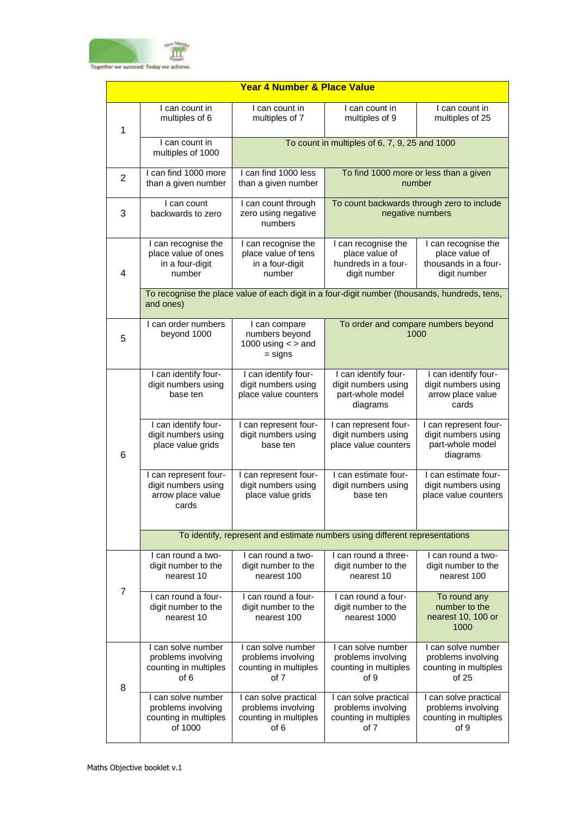

| <b>Year 4 Number &amp; Place Value</b> |                                                                              |                                                                                               |                                                                              |                                                                               |  |
|----------------------------------------|------------------------------------------------------------------------------|-----------------------------------------------------------------------------------------------|------------------------------------------------------------------------------|-------------------------------------------------------------------------------|--|
| 1                                      | I can count in<br>multiples of 6                                             | I can count in<br>multiples of 7                                                              | I can count in<br>multiples of 9                                             | I can count in<br>multiples of 25                                             |  |
|                                        | I can count in<br>multiples of 1000                                          |                                                                                               | To count in multiples of 6, 7, 9, 25 and 1000                                |                                                                               |  |
| $\overline{2}$                         | I can find 1000 more<br>than a given number                                  | I can find 1000 less<br>than a given number                                                   |                                                                              | To find 1000 more or less than a given<br>number                              |  |
| 3                                      | I can count<br>backwards to zero                                             | I can count through<br>zero using negative<br>numbers                                         | To count backwards through zero to include<br>negative numbers               |                                                                               |  |
| $\overline{\mathbf{4}}$                | I can recognise the<br>place value of ones<br>in a four-digit<br>number      | I can recognise the<br>place value of tens<br>in a four-digit<br>number                       | I can recognise the<br>place value of<br>hundreds in a four-<br>digit number | I can recognise the<br>place value of<br>thousands in a four-<br>digit number |  |
|                                        | and ones)                                                                    | To recognise the place value of each digit in a four-digit number (thousands, hundreds, tens, |                                                                              |                                                                               |  |
| 5                                      | I can order numbers<br>beyond 1000                                           | I can compare<br>numbers beyond<br>1000 using $\lt$ > and<br>$=$ signs                        |                                                                              | To order and compare numbers beyond<br>1000                                   |  |
|                                        | I can identify four-<br>digit numbers using<br>base ten                      | I can identify four-<br>digit numbers using<br>place value counters                           | I can identify four-<br>digit numbers using<br>part-whole model<br>diagrams  | I can identify four-<br>digit numbers using<br>arrow place value<br>cards     |  |
| 6                                      | I can identify four-<br>digit numbers using<br>place value grids             | I can represent four-<br>digit numbers using<br>base ten                                      | I can represent four-<br>digit numbers using<br>place value counters         | I can represent four-<br>digit numbers using<br>part-whole model<br>diagrams  |  |
|                                        | I can represent four-<br>digit numbers using<br>arrow place value<br>cards   | I can represent four-<br>digit numbers using<br>place value grids                             | I can estimate four-<br>digit numbers using<br>base ten                      | I can estimate four-<br>digit numbers using<br>place value counters           |  |
|                                        | To identify, represent and estimate numbers using different representations  |                                                                                               |                                                                              |                                                                               |  |
| $\overline{7}$                         | I can round a two-<br>digit number to the<br>nearest 10                      | I can round a two-<br>digit number to the<br>nearest 100                                      | I can round a three-<br>digit number to the<br>nearest 10                    | I can round a two-<br>digit number to the<br>nearest 100                      |  |
|                                        | I can round a four-<br>digit number to the<br>nearest 10                     | I can round a four-<br>digit number to the<br>nearest 100                                     | I can round a four-<br>digit number to the<br>nearest 1000                   | To round any<br>number to the<br>nearest 10, 100 or<br>1000                   |  |
| 8                                      | I can solve number<br>problems involving<br>counting in multiples<br>of 6    | I can solve number<br>problems involving<br>counting in multiples<br>of 7                     | I can solve number<br>problems involving<br>counting in multiples<br>of 9    | I can solve number<br>problems involving<br>counting in multiples<br>of 25    |  |
|                                        | I can solve number<br>problems involving<br>counting in multiples<br>of 1000 | I can solve practical<br>problems involving<br>counting in multiples<br>of 6                  | I can solve practical<br>problems involving<br>counting in multiples<br>of 7 | I can solve practical<br>problems involving<br>counting in multiples<br>of 9  |  |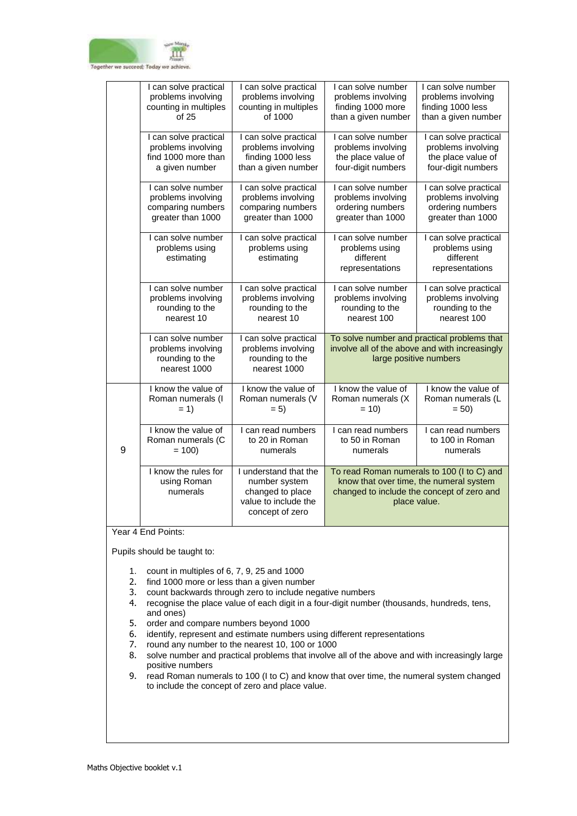

|   | I can solve practical                                                       | I can solve practical                                                                                 | I can solve number                                                                                                                                  | I can solve number                                                      |
|---|-----------------------------------------------------------------------------|-------------------------------------------------------------------------------------------------------|-----------------------------------------------------------------------------------------------------------------------------------------------------|-------------------------------------------------------------------------|
|   | problems involving                                                          | problems involving                                                                                    | problems involving                                                                                                                                  | problems involving                                                      |
|   | counting in multiples                                                       | counting in multiples                                                                                 | finding 1000 more                                                                                                                                   | finding 1000 less                                                       |
|   | of 25                                                                       | of 1000                                                                                               | than a given number                                                                                                                                 | than a given number                                                     |
|   | I can solve practical                                                       | I can solve practical                                                                                 | I can solve number                                                                                                                                  | I can solve practical                                                   |
|   | problems involving                                                          | problems involving                                                                                    | problems involving                                                                                                                                  | problems involving                                                      |
|   | find 1000 more than                                                         | finding 1000 less                                                                                     | the place value of                                                                                                                                  | the place value of                                                      |
|   | a given number                                                              | than a given number                                                                                   | four-digit numbers                                                                                                                                  | four-digit numbers                                                      |
|   | I can solve number                                                          | I can solve practical                                                                                 | I can solve number                                                                                                                                  | I can solve practical                                                   |
|   | problems involving                                                          | problems involving                                                                                    | problems involving                                                                                                                                  | problems involving                                                      |
|   | comparing numbers                                                           | comparing numbers                                                                                     | ordering numbers                                                                                                                                    | ordering numbers                                                        |
|   | greater than 1000                                                           | greater than 1000                                                                                     | greater than 1000                                                                                                                                   | greater than 1000                                                       |
|   | I can solve number<br>problems using<br>estimating                          | I can solve practical<br>problems using<br>estimating                                                 | I can solve number<br>problems using<br>different<br>representations                                                                                | I can solve practical<br>problems using<br>different<br>representations |
|   | I can solve number                                                          | I can solve practical                                                                                 | I can solve number                                                                                                                                  | I can solve practical                                                   |
|   | problems involving                                                          | problems involving                                                                                    | problems involving                                                                                                                                  | problems involving                                                      |
|   | rounding to the                                                             | rounding to the                                                                                       | rounding to the                                                                                                                                     | rounding to the                                                         |
|   | nearest 10                                                                  | nearest 10                                                                                            | nearest 100                                                                                                                                         | nearest 100                                                             |
|   | I can solve number<br>problems involving<br>rounding to the<br>nearest 1000 | I can solve practical<br>problems involving<br>rounding to the<br>nearest 1000                        | To solve number and practical problems that<br>involve all of the above and with increasingly<br>large positive numbers                             |                                                                         |
|   | I know the value of                                                         | I know the value of                                                                                   | I know the value of                                                                                                                                 | I know the value of                                                     |
|   | Roman numerals (I                                                           | Roman numerals (V                                                                                     | Roman numerals (X                                                                                                                                   | Roman numerals (L                                                       |
|   | $= 1$                                                                       | $= 5)$                                                                                                | $= 10$                                                                                                                                              | $= 50$                                                                  |
| 9 | I know the value of                                                         | I can read numbers                                                                                    | I can read numbers                                                                                                                                  | I can read numbers                                                      |
|   | Roman numerals (C                                                           | to 20 in Roman                                                                                        | to 50 in Roman                                                                                                                                      | to 100 in Roman                                                         |
|   | $= 100$                                                                     | numerals                                                                                              | numerals                                                                                                                                            | numerals                                                                |
|   | I know the rules for<br>using Roman<br>numerals                             | I understand that the<br>number system<br>changed to place<br>value to include the<br>concept of zero | To read Roman numerals to 100 (I to C) and<br>know that over time, the numeral system<br>changed to include the concept of zero and<br>place value. |                                                                         |

Year 4 End Points:

- 1. count in multiples of 6, 7, 9, 25 and 1000
- 2. find 1000 more or less than a given number
- 3. count backwards through zero to include negative numbers
- 4. recognise the place value of each digit in a four-digit number (thousands, hundreds, tens, and ones)
- 5. order and compare numbers beyond 1000
- 6. identify, represent and estimate numbers using different representations
- 7. round any number to the nearest 10, 100 or 1000
- 8. solve number and practical problems that involve all of the above and with increasingly large positive numbers
- 9. read Roman numerals to 100 (I to C) and know that over time, the numeral system changed to include the concept of zero and place value.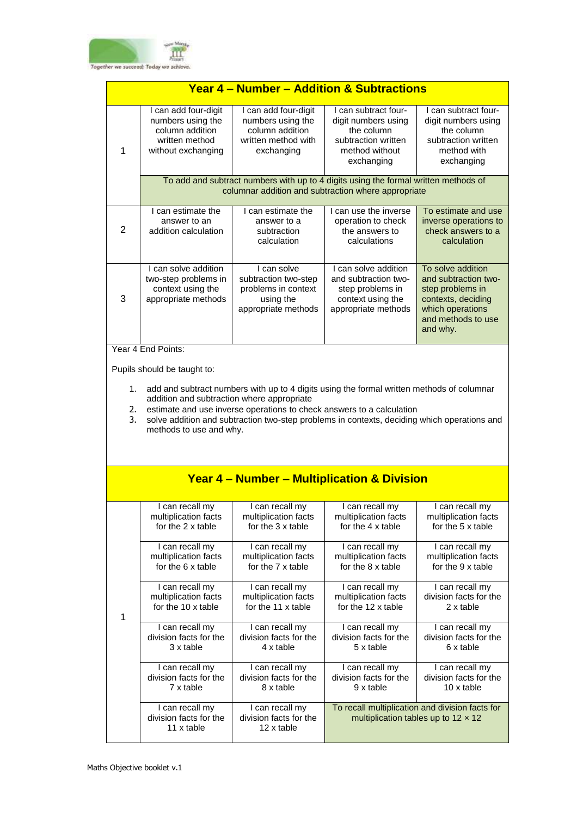

| Year 4 – Number – Addition & Subtractions |                                                                                                                                                                                                                                                                                                                                                                           |                                                                                                   |                                                                                                                                            |                                                                                                                                           |  |
|-------------------------------------------|---------------------------------------------------------------------------------------------------------------------------------------------------------------------------------------------------------------------------------------------------------------------------------------------------------------------------------------------------------------------------|---------------------------------------------------------------------------------------------------|--------------------------------------------------------------------------------------------------------------------------------------------|-------------------------------------------------------------------------------------------------------------------------------------------|--|
| 1                                         | I can add four-digit<br>numbers using the<br>column addition<br>written method<br>without exchanging                                                                                                                                                                                                                                                                      | I can add four-digit<br>numbers using the<br>column addition<br>written method with<br>exchanging | I can subtract four-<br>digit numbers using<br>the column<br>subtraction written<br>method without<br>exchanging                           | I can subtract four-<br>digit numbers using<br>the column<br>subtraction written<br>method with<br>exchanging                             |  |
|                                           |                                                                                                                                                                                                                                                                                                                                                                           |                                                                                                   | To add and subtract numbers with up to 4 digits using the formal written methods of<br>columnar addition and subtraction where appropriate |                                                                                                                                           |  |
| $\overline{2}$                            | I can estimate the<br>answer to an<br>addition calculation                                                                                                                                                                                                                                                                                                                | I can estimate the<br>answer to a<br>subtraction<br>calculation                                   | I can use the inverse<br>operation to check<br>the answers to<br>calculations                                                              | To estimate and use<br>inverse operations to<br>check answers to a<br>calculation                                                         |  |
| 3                                         | I can solve addition<br>two-step problems in<br>context using the<br>appropriate methods                                                                                                                                                                                                                                                                                  | I can solve<br>subtraction two-step<br>problems in context<br>using the<br>appropriate methods    | I can solve addition<br>and subtraction two-<br>step problems in<br>context using the<br>appropriate methods                               | To solve addition<br>and subtraction two-<br>step problems in<br>contexts, deciding<br>which operations<br>and methods to use<br>and why. |  |
|                                           | Year 4 End Points:                                                                                                                                                                                                                                                                                                                                                        |                                                                                                   |                                                                                                                                            |                                                                                                                                           |  |
| 1.<br>2.<br>3.                            | Pupils should be taught to:<br>add and subtract numbers with up to 4 digits using the formal written methods of columnar<br>addition and subtraction where appropriate<br>estimate and use inverse operations to check answers to a calculation<br>solve addition and subtraction two-step problems in contexts, deciding which operations and<br>methods to use and why. |                                                                                                   |                                                                                                                                            |                                                                                                                                           |  |
|                                           |                                                                                                                                                                                                                                                                                                                                                                           |                                                                                                   | <b>Year 4 - Number - Multiplication &amp; Division</b>                                                                                     |                                                                                                                                           |  |
|                                           | I can recall my<br>multiplication facts<br>for the 2 x table                                                                                                                                                                                                                                                                                                              | I can recall my<br>multiplication facts<br>for the 3 x table                                      | I can recall my<br>multiplication facts<br>for the 4 x table                                                                               | I can recall my<br>multiplication facts<br>for the 5 x table                                                                              |  |
|                                           | I can recall my<br>multiplication facts<br>for the 6 x table                                                                                                                                                                                                                                                                                                              | I can recall my<br>multiplication facts<br>for the 7 x table                                      | I can recall my<br>multiplication facts<br>for the 8 x table                                                                               | I can recall my<br>multiplication facts<br>for the 9 x table                                                                              |  |
| $\mathbf{1}$                              | I can recall my<br>multiplication facts<br>for the 10 x table                                                                                                                                                                                                                                                                                                             | I can recall my<br>multiplication facts<br>for the 11 x table                                     | I can recall my<br>multiplication facts<br>for the 12 x table                                                                              | I can recall my<br>division facts for the<br>2 x table                                                                                    |  |
|                                           | I can recall my<br>division facts for the<br>3 x table                                                                                                                                                                                                                                                                                                                    | I can recall my<br>division facts for the<br>4 x table                                            | I can recall my<br>division facts for the<br>5 x table                                                                                     | I can recall my<br>division facts for the<br>6 x table                                                                                    |  |
|                                           | I can recall my<br>division facts for the<br>7 x table                                                                                                                                                                                                                                                                                                                    | I can recall my<br>division facts for the<br>8 x table                                            | I can recall my<br>division facts for the<br>9 x table                                                                                     | I can recall my<br>division facts for the<br>10 x table                                                                                   |  |
|                                           | I can recall my<br>division facts for the<br>11 x table                                                                                                                                                                                                                                                                                                                   | I can recall my<br>division facts for the<br>12 x table                                           |                                                                                                                                            | To recall multiplication and division facts for<br>multiplication tables up to $12 \times 12$                                             |  |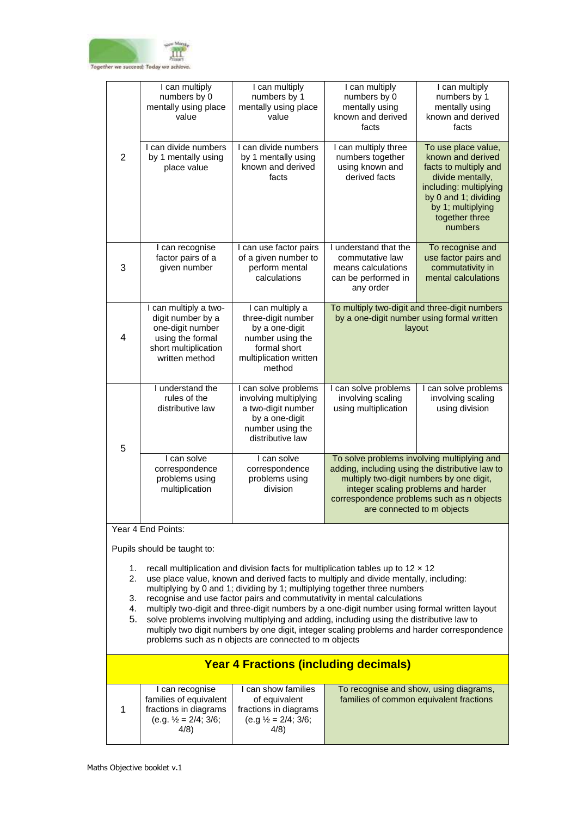

|                                                                                                                                                                                                                                                                                                                                                                                                                                                                                                                                                                   | I can multiply<br>numbers by 0<br>mentally using place<br>value                                                              | I can multiply<br>numbers by 1<br>mentally using place<br>value                                                                  | I can multiply<br>numbers by 0<br>mentally using<br>known and derived<br>facts                                                                                                                                                                               | I can multiply<br>numbers by 1<br>mentally using<br>known and derived<br>facts                                                                                                            |
|-------------------------------------------------------------------------------------------------------------------------------------------------------------------------------------------------------------------------------------------------------------------------------------------------------------------------------------------------------------------------------------------------------------------------------------------------------------------------------------------------------------------------------------------------------------------|------------------------------------------------------------------------------------------------------------------------------|----------------------------------------------------------------------------------------------------------------------------------|--------------------------------------------------------------------------------------------------------------------------------------------------------------------------------------------------------------------------------------------------------------|-------------------------------------------------------------------------------------------------------------------------------------------------------------------------------------------|
| $\overline{2}$                                                                                                                                                                                                                                                                                                                                                                                                                                                                                                                                                    | I can divide numbers<br>by 1 mentally using<br>place value                                                                   | I can divide numbers<br>by 1 mentally using<br>known and derived<br>facts                                                        | I can multiply three<br>numbers together<br>using known and<br>derived facts                                                                                                                                                                                 | To use place value,<br>known and derived<br>facts to multiply and<br>divide mentally,<br>including: multiplying<br>by 0 and 1; dividing<br>by 1; multiplying<br>together three<br>numbers |
| 3                                                                                                                                                                                                                                                                                                                                                                                                                                                                                                                                                                 | I can recognise<br>factor pairs of a<br>given number                                                                         | I can use factor pairs<br>of a given number to<br>perform mental<br>calculations                                                 | I understand that the<br>commutative law<br>means calculations<br>can be performed in<br>any order                                                                                                                                                           | To recognise and<br>use factor pairs and<br>commutativity in<br>mental calculations                                                                                                       |
| $\overline{4}$                                                                                                                                                                                                                                                                                                                                                                                                                                                                                                                                                    | I can multiply a two-<br>digit number by a<br>one-digit number<br>using the formal<br>short multiplication<br>written method | I can multiply a<br>three-digit number<br>by a one-digit<br>number using the<br>formal short<br>multiplication written<br>method | To multiply two-digit and three-digit numbers<br>by a one-digit number using formal written<br>layout                                                                                                                                                        |                                                                                                                                                                                           |
| 5                                                                                                                                                                                                                                                                                                                                                                                                                                                                                                                                                                 | I understand the<br>rules of the<br>distributive law                                                                         | I can solve problems<br>involving multiplying<br>a two-digit number<br>by a one-digit<br>number using the<br>distributive law    | I can solve problems<br>involving scaling<br>using multiplication                                                                                                                                                                                            | I can solve problems<br>involving scaling<br>using division                                                                                                                               |
|                                                                                                                                                                                                                                                                                                                                                                                                                                                                                                                                                                   | I can solve<br>correspondence<br>problems using<br>multiplication                                                            | I can solve<br>correspondence<br>problems using<br>division                                                                      | To solve problems involving multiplying and<br>adding, including using the distributive law to<br>multiply two-digit numbers by one digit,<br>integer scaling problems and harder<br>correspondence problems such as n objects<br>are connected to m objects |                                                                                                                                                                                           |
| Year 4 End Points:                                                                                                                                                                                                                                                                                                                                                                                                                                                                                                                                                |                                                                                                                              |                                                                                                                                  |                                                                                                                                                                                                                                                              |                                                                                                                                                                                           |
| Pupils should be taught to:                                                                                                                                                                                                                                                                                                                                                                                                                                                                                                                                       |                                                                                                                              |                                                                                                                                  |                                                                                                                                                                                                                                                              |                                                                                                                                                                                           |
| recall multiplication and division facts for multiplication tables up to $12 \times 12$<br>1.<br>use place value, known and derived facts to multiply and divide mentally, including:<br>2.<br>multiplying by 0 and 1; dividing by 1; multiplying together three numbers<br>recognise and use factor pairs and commutativity in mental calculations<br>3.<br>multiply two-digit and three-digit numbers by a one-digit number using formal written layout<br>4.<br>solve problems involving multiplying and adding, including using the distributive law to<br>5. |                                                                                                                              |                                                                                                                                  |                                                                                                                                                                                                                                                              |                                                                                                                                                                                           |

multiply two digit numbers by one digit, integer scaling problems and harder correspondence problems such as n objects are connected to m objects

| <b>Year 4 Fractions (including decimals)</b>                                                                 |                                                                                                        |                                                                                   |  |  |
|--------------------------------------------------------------------------------------------------------------|--------------------------------------------------------------------------------------------------------|-----------------------------------------------------------------------------------|--|--|
| I can recognise<br>families of equivalent<br>fractions in diagrams<br>(e.g. $\frac{1}{2}$ = 2/4; 3/6;<br>4/8 | I can show families<br>of equivalent<br>fractions in diagrams<br>(e.g $\frac{1}{2}$ = 2/4; 3/6;<br>4/8 | To recognise and show, using diagrams,<br>families of common equivalent fractions |  |  |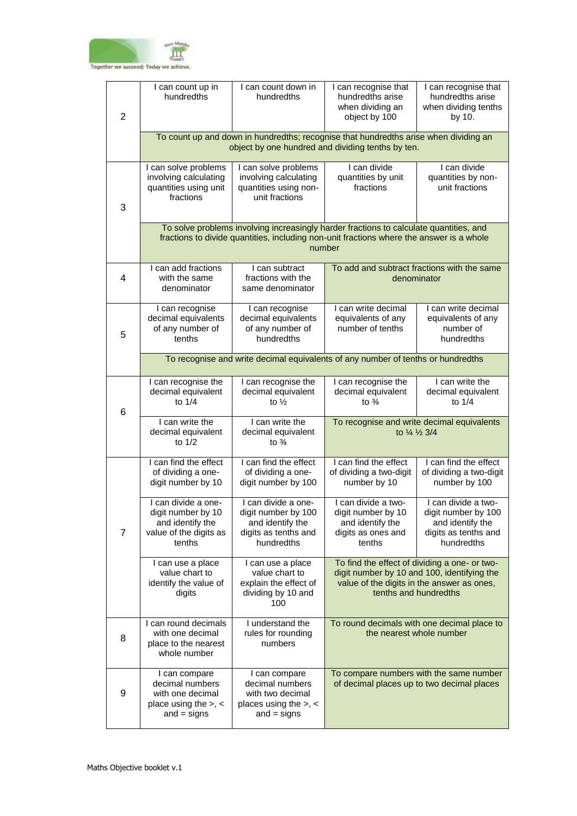

| $\overline{2}$   | I can count up in<br>hundredths                                                                    | I can count down in<br>hundredths                                                                                                                                                  | I can recognise that<br>hundredths arise<br>when dividing an<br>object by 100                                                                                       | I can recognise that<br>hundredths arise<br>when dividing tenths<br>by 10.                           |  |
|------------------|----------------------------------------------------------------------------------------------------|------------------------------------------------------------------------------------------------------------------------------------------------------------------------------------|---------------------------------------------------------------------------------------------------------------------------------------------------------------------|------------------------------------------------------------------------------------------------------|--|
|                  |                                                                                                    | To count up and down in hundredths; recognise that hundredths arise when dividing an<br>object by one hundred and dividing tenths by ten.                                          |                                                                                                                                                                     |                                                                                                      |  |
| 3                | I can solve problems<br>involving calculating<br>quantities using unit<br>fractions                | I can solve problems<br>involving calculating<br>quantities using non-<br>unit fractions                                                                                           | I can divide<br>quantities by unit<br>fractions                                                                                                                     | I can divide<br>quantities by non-<br>unit fractions                                                 |  |
|                  |                                                                                                    | To solve problems involving increasingly harder fractions to calculate quantities, and<br>fractions to divide quantities, including non-unit fractions where the answer is a whole | number                                                                                                                                                              |                                                                                                      |  |
| 4                | I can add fractions<br>with the same<br>denominator                                                | I can subtract<br>fractions with the<br>same denominator                                                                                                                           |                                                                                                                                                                     | To add and subtract fractions with the same<br>denominator                                           |  |
| 5                | I can recognise<br>decimal equivalents<br>of any number of<br>tenths                               | I can recognise<br>decimal equivalents<br>of any number of<br>hundredths                                                                                                           | I can write decimal<br>equivalents of any<br>number of tenths                                                                                                       | I can write decimal<br>equivalents of any<br>number of<br>hundredths                                 |  |
|                  | To recognise and write decimal equivalents of any number of tenths or hundredths                   |                                                                                                                                                                                    |                                                                                                                                                                     |                                                                                                      |  |
| 6                | I can recognise the<br>decimal equivalent<br>to $1/4$                                              | I can recognise the<br>decimal equivalent<br>to $\frac{1}{2}$                                                                                                                      | I can recognise the<br>decimal equivalent<br>to $\frac{3}{4}$                                                                                                       | I can write the<br>decimal equivalent<br>to $1/4$                                                    |  |
|                  | I can write the<br>decimal equivalent<br>to 1/2                                                    | I can write the<br>decimal equivalent<br>to $\frac{3}{4}$                                                                                                                          | To recognise and write decimal equivalents<br>to 1/4 1/2 3/4                                                                                                        |                                                                                                      |  |
|                  | I can find the effect<br>of dividing a one-<br>digit number by 10                                  | I can find the effect<br>of dividing a one-<br>digit number by 100                                                                                                                 | I can find the effect<br>of dividing a two-digit<br>number by 10                                                                                                    | I can find the effect<br>of dividing a two-digit<br>number by 100                                    |  |
| $\overline{7}$   | I can divide a one-<br>digit number by 10<br>and identify the<br>value of the digits as<br>tenths  | I can divide a one-<br>digit number by 100<br>and identify the<br>digits as tenths and<br>hundredths                                                                               | I can divide a two-<br>digit number by 10<br>and identify the<br>digits as ones and<br>tenths                                                                       | I can divide a two-<br>digit number by 100<br>and identify the<br>digits as tenths and<br>hundredths |  |
|                  | I can use a place<br>value chart to<br>identify the value of<br>digits                             | I can use a place<br>value chart to<br>explain the effect of<br>dividing by 10 and<br>100                                                                                          | To find the effect of dividing a one- or two-<br>digit number by 10 and 100, identifying the<br>value of the digits in the answer as ones,<br>tenths and hundredths |                                                                                                      |  |
| 8                | I can round decimals<br>with one decimal<br>place to the nearest<br>whole number                   | I understand the<br>rules for rounding<br>numbers                                                                                                                                  |                                                                                                                                                                     | To round decimals with one decimal place to<br>the nearest whole number                              |  |
| $\boldsymbol{9}$ | I can compare<br>decimal numbers<br>with one decimal<br>place using the $>$ , $<$<br>and $=$ signs | I can compare<br>decimal numbers<br>with two decimal<br>places using the $>$ , $<$<br>$and = signs$                                                                                | To compare numbers with the same number<br>of decimal places up to two decimal places                                                                               |                                                                                                      |  |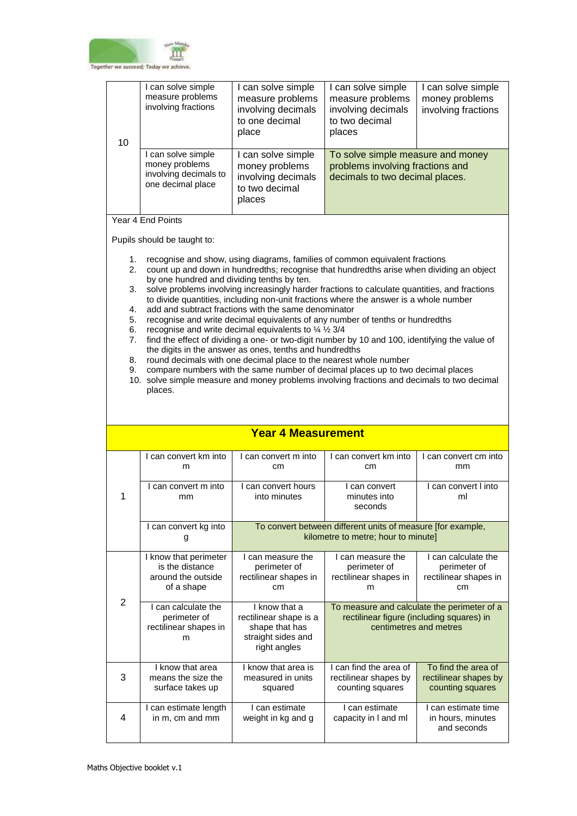

| 10 | I can solve simple<br>measure problems<br>involving fractions                      | I can solve simple<br>measure problems<br>involving decimals<br>to one decimal<br>place | I can solve simple<br>measure problems<br>involving decimals<br>to two decimal<br>places                 | I can solve simple<br>money problems<br>involving fractions |
|----|------------------------------------------------------------------------------------|-----------------------------------------------------------------------------------------|----------------------------------------------------------------------------------------------------------|-------------------------------------------------------------|
|    | I can solve simple<br>money problems<br>involving decimals to<br>one decimal place | can solve simple<br>money problems<br>involving decimals<br>to two decimal<br>places    | To solve simple measure and money<br>problems involving fractions and<br>decimals to two decimal places. |                                                             |

## Year 4 End Points

Pupils should be taught to:

- 1. recognise and show, using diagrams, families of common equivalent fractions
- 2. count up and down in hundredths; recognise that hundredths arise when dividing an object by one hundred and dividing tenths by ten.
- 3. solve problems involving increasingly harder fractions to calculate quantities, and fractions to divide quantities, including non-unit fractions where the answer is a whole number
- 4. add and subtract fractions with the same denominator
- 5. recognise and write decimal equivalents of any number of tenths or hundredths
- 6. recognise and write decimal equivalents to  $\frac{1}{4}$   $\frac{1}{2}$  3/4
- 7. find the effect of dividing a one- or two-digit number by 10 and 100, identifying the value of the digits in the answer as ones, tenths and hundredths
- 8. round decimals with one decimal place to the nearest whole number
- 9. compare numbers with the same number of decimal places up to two decimal places
- 10. solve simple measure and money problems involving fractions and decimals to two decimal places.

|   | I can convert km into<br>m                                                                                                                                           | I can convert m into<br>cm                                                                         | I can convert km into<br>cm                                                                                        | I can convert cm into<br>mm                                        |
|---|----------------------------------------------------------------------------------------------------------------------------------------------------------------------|----------------------------------------------------------------------------------------------------|--------------------------------------------------------------------------------------------------------------------|--------------------------------------------------------------------|
| 1 | I can convert m into<br>mm                                                                                                                                           | I can convert hours<br>into minutes                                                                | I can convert<br>minutes into<br>seconds                                                                           | I can convert I into<br>ml                                         |
|   | I can convert kg into<br>g                                                                                                                                           | To convert between different units of measure [for example,<br>kilometre to metre; hour to minute] |                                                                                                                    |                                                                    |
|   | I know that perimeter<br>is the distance<br>around the outside<br>of a shape                                                                                         | I can measure the<br>perimeter of<br>rectilinear shapes in<br>cm                                   | I can measure the<br>perimeter of<br>rectilinear shapes in<br>m                                                    | I can calculate the<br>perimeter of<br>rectilinear shapes in<br>cm |
| 2 | I can calculate the<br>I know that a<br>perimeter of<br>rectilinear shape is a<br>rectilinear shapes in<br>shape that has<br>straight sides and<br>m<br>right angles |                                                                                                    | To measure and calculate the perimeter of a<br>rectilinear figure (including squares) in<br>centimetres and metres |                                                                    |
| 3 | I know that area<br>means the size the<br>surface takes up                                                                                                           | I know that area is<br>measured in units<br>squared                                                | I can find the area of<br>rectilinear shapes by<br>counting squares                                                | To find the area of<br>rectilinear shapes by<br>counting squares   |
| 4 | I can estimate length<br>in m, cm and mm                                                                                                                             | I can estimate<br>weight in kg and g                                                               | Lcan estimate<br>capacity in I and ml                                                                              | I can estimate time<br>in hours, minutes<br>and seconds            |

## **Year 4 Measurement**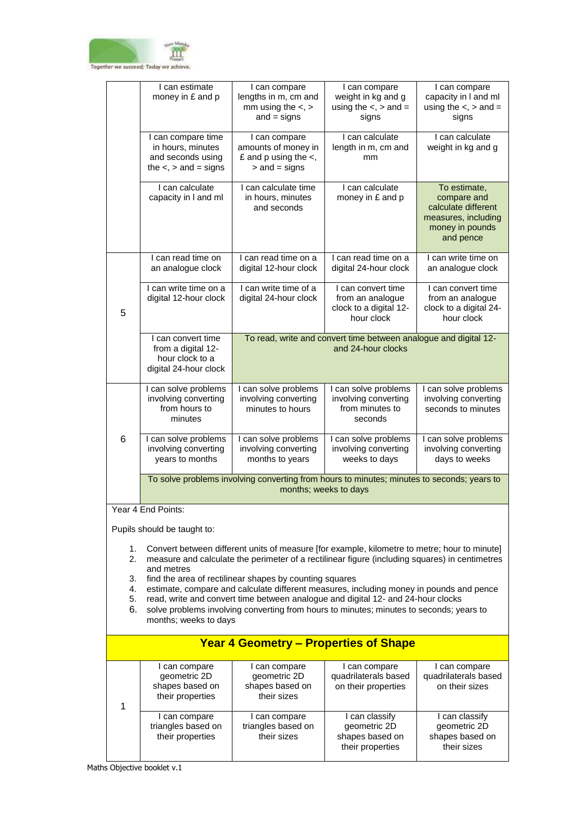

|   | I can estimate<br>money in £ and p                                                          | I can compare<br>lengths in m, cm and<br>mm using the $\lt$ , $>$<br>and $=$ signs                                  | I can compare<br>weight in kg and g<br>using the $\lt$ , $>$ and $=$<br>signs  | I can compare<br>capacity in I and ml<br>using the $\lt$ , $>$ and $=$<br>signs                           |
|---|---------------------------------------------------------------------------------------------|---------------------------------------------------------------------------------------------------------------------|--------------------------------------------------------------------------------|-----------------------------------------------------------------------------------------------------------|
|   | I can compare time<br>in hours, minutes<br>and seconds using<br>the $\lt$ , $>$ and = signs | I can compare<br>amounts of money in<br>£ and $p$ using the $\lt$ ,<br>$>$ and $=$ signs                            | I can calculate<br>length in m, cm and<br>mm                                   | I can calculate<br>weight in kg and g                                                                     |
|   | I can calculate<br>capacity in I and ml                                                     | I can calculate time<br>in hours, minutes<br>and seconds                                                            | I can calculate<br>money in £ and p                                            | To estimate,<br>compare and<br>calculate different<br>measures, including<br>money in pounds<br>and pence |
|   | I can read time on<br>an analogue clock                                                     | I can read time on a<br>digital 12-hour clock                                                                       | I can read time on a<br>digital 24-hour clock                                  | I can write time on<br>an analogue clock                                                                  |
| 5 | I can write time on a<br>digital 12-hour clock                                              | I can write time of a<br>digital 24-hour clock                                                                      | I can convert time<br>from an analogue<br>clock to a digital 12-<br>hour clock | I can convert time<br>from an analogue<br>clock to a digital 24-<br>hour clock                            |
|   | I can convert time<br>from a digital 12-<br>hour clock to a<br>digital 24-hour clock        | To read, write and convert time between analogue and digital 12-<br>and 24-hour clocks                              |                                                                                |                                                                                                           |
|   | I can solve problems<br>involving converting<br>from hours to<br>minutes                    | I can solve problems<br>involving converting<br>minutes to hours                                                    | I can solve problems<br>involving converting<br>from minutes to<br>seconds     | I can solve problems<br>involving converting<br>seconds to minutes                                        |
| 6 | I can solve problems<br>involving converting<br>years to months                             | I can solve problems<br>involving converting<br>months to years                                                     | I can solve problems<br>involving converting<br>weeks to days                  | I can solve problems<br>involving converting<br>days to weeks                                             |
|   |                                                                                             | To solve problems involving converting from hours to minutes; minutes to seconds; years to<br>months; weeks to days |                                                                                |                                                                                                           |

Year 4 End Points:

- 1. Convert between different units of measure [for example, kilometre to metre; hour to minute]
- 2. measure and calculate the perimeter of a rectilinear figure (including squares) in centimetres and metres
- 3. find the area of rectilinear shapes by counting squares
- 4. estimate, compare and calculate different measures, including money in pounds and pence
- 5. read, write and convert time between analogue and digital 12- and 24-hour clocks
- 6. solve problems involving converting from hours to minutes; minutes to seconds; years to months; weeks to days

|  |  |                                                                      |                                                               | <b>Year 4 Geometry – Properties of Shape</b>                        |                                                                  |
|--|--|----------------------------------------------------------------------|---------------------------------------------------------------|---------------------------------------------------------------------|------------------------------------------------------------------|
|  |  | I can compare<br>geometric 2D<br>shapes based on<br>their properties | can compare<br>geometric 2D<br>shapes based on<br>their sizes | l can compare<br>quadrilaterals based<br>on their properties        | I can compare<br>quadrilaterals based<br>on their sizes          |
|  |  | I can compare<br>triangles based on<br>their properties              | can compare<br>triangles based on<br>their sizes              | can classify<br>geometric 2D<br>shapes based on<br>their properties | I can classify<br>geometric 2D<br>shapes based on<br>their sizes |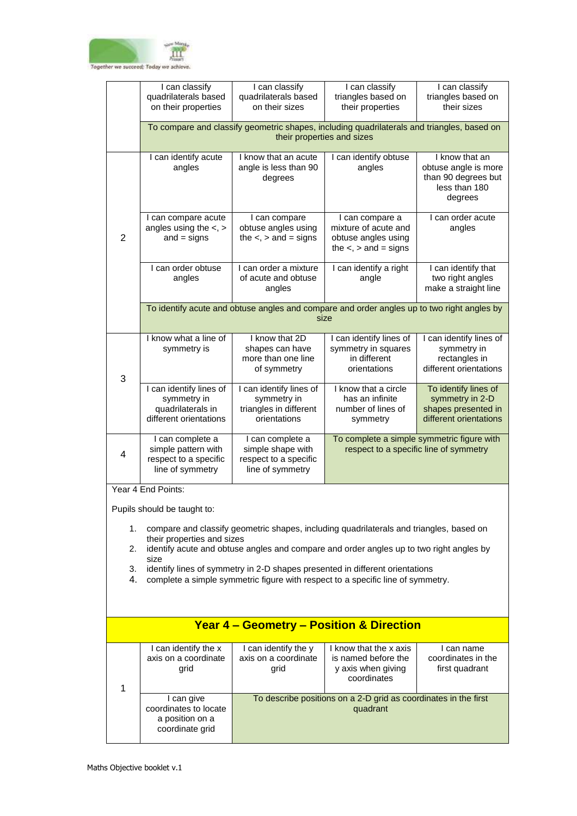

|                | I can classify<br>quadrilaterals based<br>on their properties                         | I can classify<br>quadrilaterals based<br>on their sizes                           | I can classify<br>triangles based on<br>their properties                                                                 | I can classify<br>triangles based on<br>their sizes                                       |  |
|----------------|---------------------------------------------------------------------------------------|------------------------------------------------------------------------------------|--------------------------------------------------------------------------------------------------------------------------|-------------------------------------------------------------------------------------------|--|
|                |                                                                                       |                                                                                    | To compare and classify geometric shapes, including quadrilaterals and triangles, based on<br>their properties and sizes |                                                                                           |  |
|                | I can identify acute<br>angles                                                        | I know that an acute<br>angle is less than 90<br>degrees                           | I can identify obtuse<br>angles                                                                                          | I know that an<br>obtuse angle is more<br>than 90 degrees but<br>less than 180<br>degrees |  |
| $\overline{2}$ | I can compare acute<br>angles using the $\lt$ , $>$<br>$and = signs$                  | I can compare<br>obtuse angles using<br>the $\lt$ , $>$ and = signs                | I can compare a<br>mixture of acute and<br>obtuse angles using<br>the $\lt$ , $>$ and = signs                            | I can order acute<br>angles                                                               |  |
|                | I can order obtuse<br>angles                                                          | I can order a mixture<br>of acute and obtuse<br>angles                             | I can identify a right<br>angle                                                                                          | I can identify that<br>two right angles<br>make a straight line                           |  |
|                |                                                                                       |                                                                                    | To identify acute and obtuse angles and compare and order angles up to two right angles by<br>size                       |                                                                                           |  |
| 3              | I know what a line of<br>symmetry is                                                  | I know that 2D<br>shapes can have<br>more than one line<br>of symmetry             | I can identify lines of<br>symmetry in squares<br>in different<br>orientations                                           | I can identify lines of<br>symmetry in<br>rectangles in<br>different orientations         |  |
|                | I can identify lines of<br>symmetry in<br>quadrilaterals in<br>different orientations | I can identify lines of<br>symmetry in<br>triangles in different<br>orientations   | I know that a circle<br>has an infinite<br>number of lines of<br>symmetry                                                | To identify lines of<br>symmetry in 2-D<br>shapes presented in<br>different orientations  |  |
| $\overline{4}$ | I can complete a<br>simple pattern with<br>respect to a specific<br>line of symmetry  | I can complete a<br>simple shape with<br>respect to a specific<br>line of symmetry |                                                                                                                          | To complete a simple symmetric figure with<br>respect to a specific line of symmetry      |  |
|                | Year 4 End Points:                                                                    |                                                                                    |                                                                                                                          |                                                                                           |  |

- 1. compare and classify geometric shapes, including quadrilaterals and triangles, based on their properties and sizes
- 2. identify acute and obtuse angles and compare and order angles up to two right angles by size
- 3. identify lines of symmetry in 2-D shapes presented in different orientations
- 4. complete a simple symmetric figure with respect to a specific line of symmetry.

| <b>Year 4 – Geometry – Position &amp; Direction</b> |                                                                           |                                                                             |                                                                                    |                                                  |  |
|-----------------------------------------------------|---------------------------------------------------------------------------|-----------------------------------------------------------------------------|------------------------------------------------------------------------------------|--------------------------------------------------|--|
|                                                     | I can identify the x<br>axis on a coordinate<br>grid                      | I can identify the y<br>axis on a coordinate<br>grid                        | I know that the x axis<br>is named before the<br>y axis when giving<br>coordinates | can name<br>coordinates in the<br>first quadrant |  |
|                                                     | I can give<br>coordinates to locate<br>a position on a<br>coordinate grid | To describe positions on a 2-D grid as coordinates in the first<br>quadrant |                                                                                    |                                                  |  |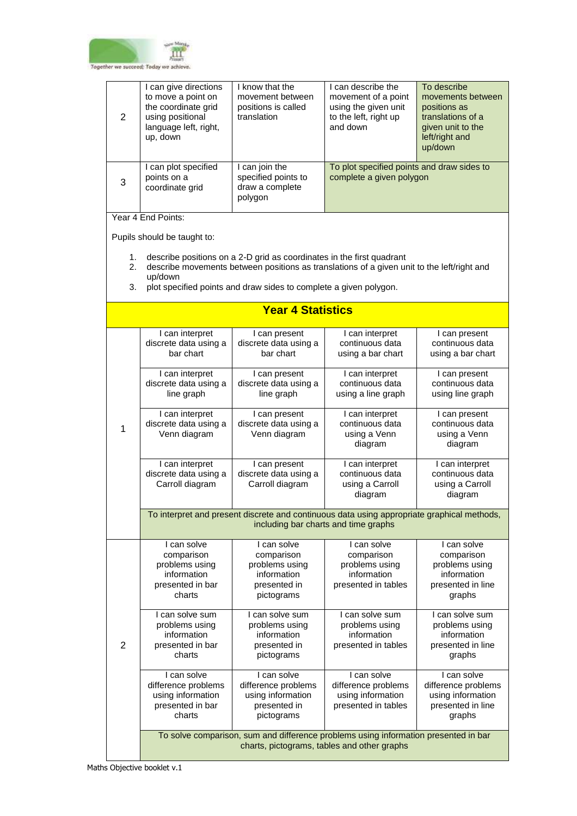

| 2 | I can give directions<br>to move a point on<br>the coordinate grid<br>using positional<br>language left, right,<br>up, down | I know that the<br>movement between<br>positions is called<br>translation | I can describe the<br>movement of a point<br>using the given unit<br>to the left, right up<br>and down | To describe<br>movements between<br>positions as<br>translations of a<br>given unit to the<br>left/right and<br>up/down |
|---|-----------------------------------------------------------------------------------------------------------------------------|---------------------------------------------------------------------------|--------------------------------------------------------------------------------------------------------|-------------------------------------------------------------------------------------------------------------------------|
| 3 | I can plot specified<br>points on a<br>coordinate grid                                                                      | I can join the<br>specified points to<br>draw a complete<br>polygon       | To plot specified points and draw sides to<br>complete a given polygon                                 |                                                                                                                         |

Year 4 End Points:

- 1. describe positions on a 2-D grid as coordinates in the first quadrant
- 2. describe movements between positions as translations of a given unit to the left/right and up/down
- 3. plot specified points and draw sides to complete a given polygon.

|                | <b>Year 4 Statistics</b>                                                                 |                                                                                                                                    |                                                                                   |                                                                                           |  |
|----------------|------------------------------------------------------------------------------------------|------------------------------------------------------------------------------------------------------------------------------------|-----------------------------------------------------------------------------------|-------------------------------------------------------------------------------------------|--|
|                | I can interpret<br>discrete data using a<br>bar chart                                    | I can present<br>discrete data using a<br>bar chart                                                                                | I can interpret<br>continuous data<br>using a bar chart                           | I can present<br>continuous data<br>using a bar chart                                     |  |
|                | I can interpret<br>discrete data using a<br>line graph                                   | I can present<br>discrete data using a<br>line graph                                                                               | I can interpret<br>continuous data<br>using a line graph                          | I can present<br>continuous data<br>using line graph                                      |  |
| $\mathbf 1$    | I can interpret<br>discrete data using a<br>Venn diagram                                 | I can present<br>discrete data using a<br>Venn diagram                                                                             | I can interpret<br>continuous data<br>using a Venn<br>diagram                     | I can present<br>continuous data<br>using a Venn<br>diagram                               |  |
|                | I can interpret<br>discrete data using a<br>Carroll diagram                              | I can present<br>discrete data using a<br>Carroll diagram                                                                          | I can interpret<br>continuous data<br>using a Carroll<br>diagram                  | I can interpret<br>continuous data<br>using a Carroll<br>diagram                          |  |
|                |                                                                                          | To interpret and present discrete and continuous data using appropriate graphical methods,<br>including bar charts and time graphs |                                                                                   |                                                                                           |  |
|                | I can solve<br>comparison<br>problems using<br>information<br>presented in bar<br>charts | I can solve<br>comparison<br>problems using<br>information<br>presented in<br>pictograms                                           | I can solve<br>comparison<br>problems using<br>information<br>presented in tables | I can solve<br>comparison<br>problems using<br>information<br>presented in line<br>graphs |  |
| $\overline{2}$ | I can solve sum<br>problems using<br>information<br>presented in bar<br>charts           | I can solve sum<br>problems using<br>information<br>presented in<br>pictograms                                                     | I can solve sum<br>problems using<br>information<br>presented in tables           | I can solve sum<br>problems using<br>information<br>presented in line<br>graphs           |  |
|                | I can solve<br>difference problems<br>using information<br>presented in bar<br>charts    | I can solve<br>difference problems<br>using information<br>presented in<br>pictograms                                              | I can solve<br>difference problems<br>using information<br>presented in tables    | I can solve<br>difference problems<br>using information<br>presented in line<br>graphs    |  |
|                |                                                                                          | To solve comparison, sum and difference problems using information presented in bar<br>charts, pictograms, tables and other graphs |                                                                                   |                                                                                           |  |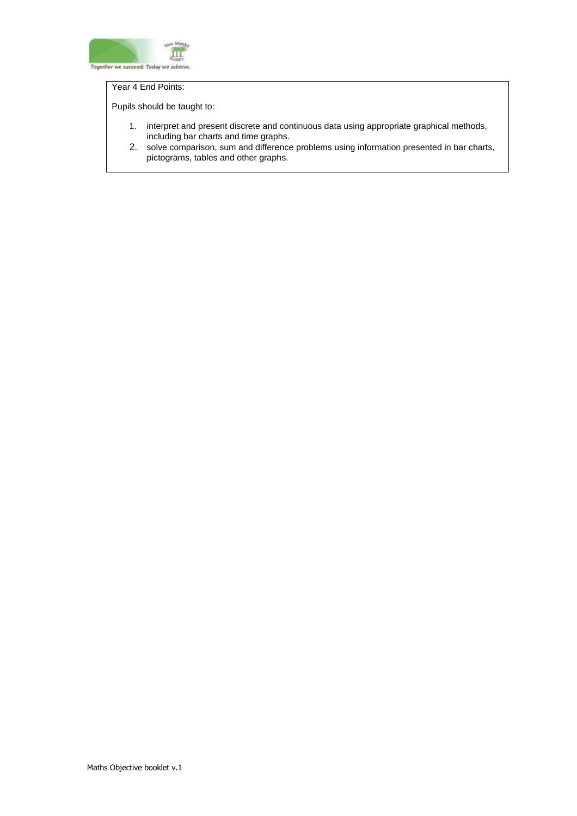

### Year 4 End Points:

- 1. interpret and present discrete and continuous data using appropriate graphical methods, including bar charts and time graphs.
- 2. solve comparison, sum and difference problems using information presented in bar charts, pictograms, tables and other graphs.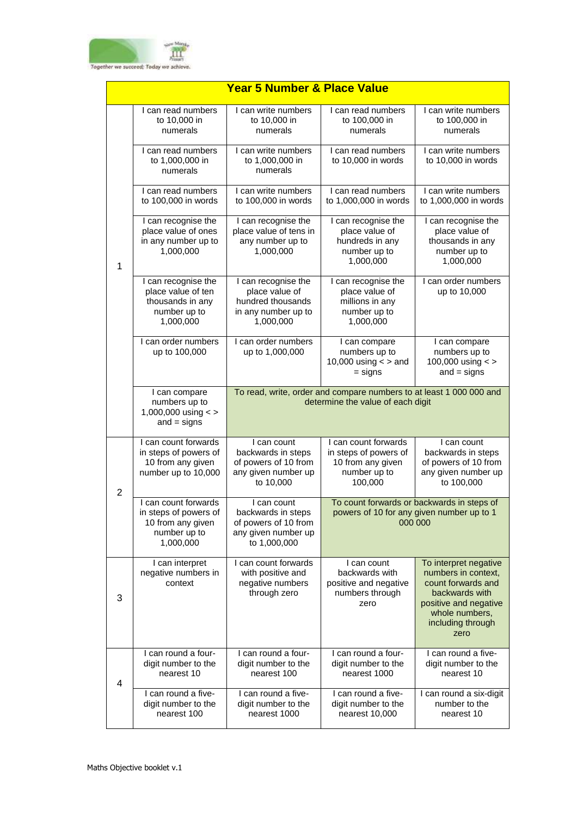

|                | <b>Year 5 Number &amp; Place Value</b>                                                          |                                                                                                          |                                                                                               |                                                                                                                                                              |  |
|----------------|-------------------------------------------------------------------------------------------------|----------------------------------------------------------------------------------------------------------|-----------------------------------------------------------------------------------------------|--------------------------------------------------------------------------------------------------------------------------------------------------------------|--|
|                | I can read numbers<br>to 10,000 in<br>numerals                                                  | I can write numbers<br>to 10,000 in<br>numerals                                                          | I can read numbers<br>to 100,000 in<br>numerals                                               | I can write numbers<br>to 100,000 in<br>numerals                                                                                                             |  |
|                | I can read numbers<br>to 1,000,000 in<br>numerals                                               | I can write numbers<br>to 1,000,000 in<br>numerals                                                       | I can read numbers<br>to 10,000 in words                                                      | I can write numbers<br>to 10,000 in words                                                                                                                    |  |
|                | I can read numbers<br>to 100,000 in words                                                       | I can write numbers<br>to 100,000 in words                                                               | I can read numbers<br>to 1,000,000 in words                                                   | I can write numbers<br>to 1,000,000 in words                                                                                                                 |  |
| $\mathbf 1$    | I can recognise the<br>place value of ones<br>in any number up to<br>1,000,000                  | I can recognise the<br>place value of tens in<br>any number up to<br>1,000,000                           | I can recognise the<br>place value of<br>hundreds in any<br>number up to<br>1,000,000         | I can recognise the<br>place value of<br>thousands in any<br>number up to<br>1,000,000                                                                       |  |
|                | I can recognise the<br>place value of ten<br>thousands in any<br>number up to<br>1,000,000      | I can recognise the<br>place value of<br>hundred thousands<br>in any number up to<br>1,000,000           | I can recognise the<br>place value of<br>millions in any<br>number up to<br>1,000,000         | I can order numbers<br>up to 10,000                                                                                                                          |  |
|                | I can order numbers<br>up to 100,000                                                            | I can order numbers<br>up to 1,000,000                                                                   | I can compare<br>numbers up to<br>10,000 using $<$ > and<br>$=$ signs                         | I can compare<br>numbers up to<br>100,000 using $\lt$ ><br>$and = signs$                                                                                     |  |
|                | I can compare<br>numbers up to<br>1,000,000 using <><br>$and = signs$                           | To read, write, order and compare numbers to at least 1 000 000 and<br>determine the value of each digit |                                                                                               |                                                                                                                                                              |  |
| $\overline{2}$ | I can count forwards<br>in steps of powers of<br>10 from any given<br>number up to 10,000       | I can count<br>backwards in steps<br>of powers of 10 from<br>any given number up<br>to 10,000            | I can count forwards<br>in steps of powers of<br>10 from any given<br>number up to<br>100,000 | I can count<br>backwards in steps<br>of powers of 10 from<br>any given number up<br>to 100,000                                                               |  |
|                | I can count forwards<br>in steps of powers of<br>10 from any given<br>number up to<br>1,000,000 | I can count<br>backwards in steps<br>of powers of 10 from<br>any given number up<br>to 1,000,000         |                                                                                               | To count forwards or backwards in steps of<br>powers of 10 for any given number up to 1<br>000 000                                                           |  |
| 3              | I can interpret<br>negative numbers in<br>context                                               | I can count forwards<br>with positive and<br>negative numbers<br>through zero                            | I can count<br>backwards with<br>positive and negative<br>numbers through<br>zero             | To interpret negative<br>numbers in context,<br>count forwards and<br>backwards with<br>positive and negative<br>whole numbers,<br>including through<br>zero |  |
| 4              | I can round a four-<br>digit number to the<br>nearest 10                                        | I can round a four-<br>digit number to the<br>nearest 100                                                | I can round a four-<br>digit number to the<br>nearest 1000                                    | I can round a five-<br>digit number to the<br>nearest 10                                                                                                     |  |
|                | I can round a five-<br>digit number to the<br>nearest 100                                       | I can round a five-<br>digit number to the<br>nearest 1000                                               | I can round a five-<br>digit number to the<br>nearest 10,000                                  | I can round a six-digit<br>number to the<br>nearest 10                                                                                                       |  |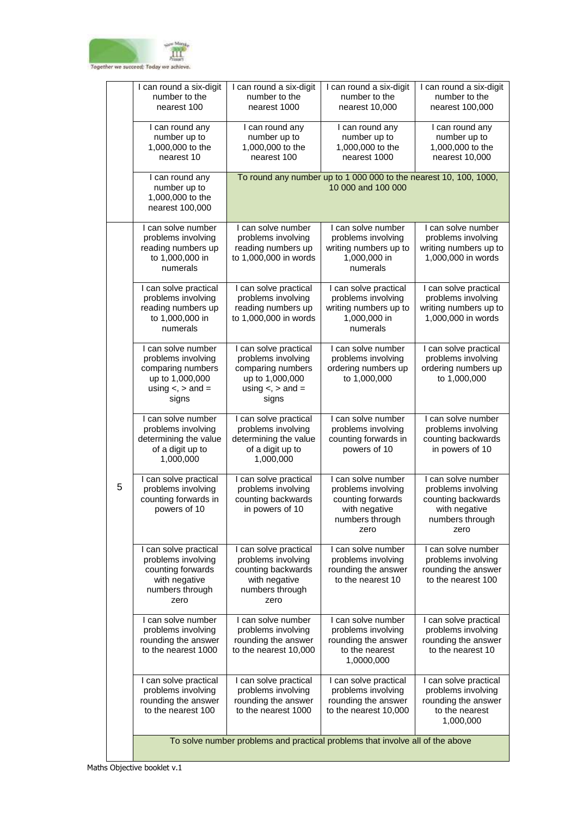

|   | I can round a six-digit<br>number to the<br>nearest 100                                                                | I can round a six-digit<br>number to the<br>nearest 1000                                                                  | I can round a six-digit<br>number to the<br>nearest 10,000                                                | I can round a six-digit<br>number to the<br>nearest 100,000                                                |
|---|------------------------------------------------------------------------------------------------------------------------|---------------------------------------------------------------------------------------------------------------------------|-----------------------------------------------------------------------------------------------------------|------------------------------------------------------------------------------------------------------------|
|   | I can round any<br>number up to<br>1,000,000 to the<br>nearest 10                                                      | I can round any<br>number up to<br>1,000,000 to the<br>nearest 100                                                        | I can round any<br>number up to<br>1,000,000 to the<br>nearest 1000                                       | I can round any<br>number up to<br>1,000,000 to the<br>nearest 10,000                                      |
|   | I can round any<br>number up to<br>1,000,000 to the<br>nearest 100,000                                                 |                                                                                                                           | To round any number up to 1 000 000 to the nearest 10, 100, 1000,<br>10 000 and 100 000                   |                                                                                                            |
|   | I can solve number<br>problems involving<br>reading numbers up<br>to 1,000,000 in<br>numerals                          | I can solve number<br>problems involving<br>reading numbers up<br>to 1,000,000 in words                                   | I can solve number<br>problems involving<br>writing numbers up to<br>1,000,000 in<br>numerals             | I can solve number<br>problems involving<br>writing numbers up to<br>1,000,000 in words                    |
|   | I can solve practical<br>problems involving<br>reading numbers up<br>to 1,000,000 in<br>numerals                       | I can solve practical<br>problems involving<br>reading numbers up<br>to 1,000,000 in words                                | I can solve practical<br>problems involving<br>writing numbers up to<br>1,000,000 in<br>numerals          | I can solve practical<br>problems involving<br>writing numbers up to<br>1,000,000 in words                 |
|   | I can solve number<br>problems involving<br>comparing numbers<br>up to 1,000,000<br>using $\lt$ , $>$ and $=$<br>signs | I can solve practical<br>problems involving<br>comparing numbers<br>up to 1,000,000<br>using $\lt$ , $>$ and $=$<br>signs | I can solve number<br>problems involving<br>ordering numbers up<br>to 1,000,000                           | I can solve practical<br>problems involving<br>ordering numbers up<br>to 1,000,000                         |
|   | I can solve number<br>problems involving<br>determining the value<br>of a digit up to<br>1,000,000                     | I can solve practical<br>problems involving<br>determining the value<br>of a digit up to<br>1,000,000                     | I can solve number<br>problems involving<br>counting forwards in<br>powers of 10                          | I can solve number<br>problems involving<br>counting backwards<br>in powers of 10                          |
| 5 | I can solve practical<br>problems involving<br>counting forwards in<br>powers of 10                                    | I can solve practical<br>problems involving<br>counting backwards<br>in powers of 10                                      | I can solve number<br>problems involving<br>counting forwards<br>with negative<br>numbers through<br>zero | I can solve number<br>problems involving<br>counting backwards<br>with negative<br>numbers through<br>zero |
|   | I can solve practical<br>problems involving<br>counting forwards<br>with negative<br>numbers through<br>zero           | I can solve practical<br>problems involving<br>counting backwards<br>with negative<br>numbers through<br>zero             | I can solve number<br>problems involving<br>rounding the answer<br>to the nearest 10                      | I can solve number<br>problems involving<br>rounding the answer<br>to the nearest 100                      |
|   | I can solve number<br>problems involving<br>rounding the answer<br>to the nearest 1000                                 | I can solve number<br>problems involving<br>rounding the answer<br>to the nearest 10,000                                  | I can solve number<br>problems involving<br>rounding the answer<br>to the nearest<br>1,0000,000           | I can solve practical<br>problems involving<br>rounding the answer<br>to the nearest 10                    |
|   | I can solve practical<br>problems involving<br>rounding the answer<br>to the nearest 100                               | I can solve practical<br>problems involving<br>rounding the answer<br>to the nearest 1000                                 | I can solve practical<br>problems involving<br>rounding the answer<br>to the nearest 10,000               | I can solve practical<br>problems involving<br>rounding the answer<br>to the nearest<br>1,000,000          |
|   |                                                                                                                        | To solve number problems and practical problems that involve all of the above                                             |                                                                                                           |                                                                                                            |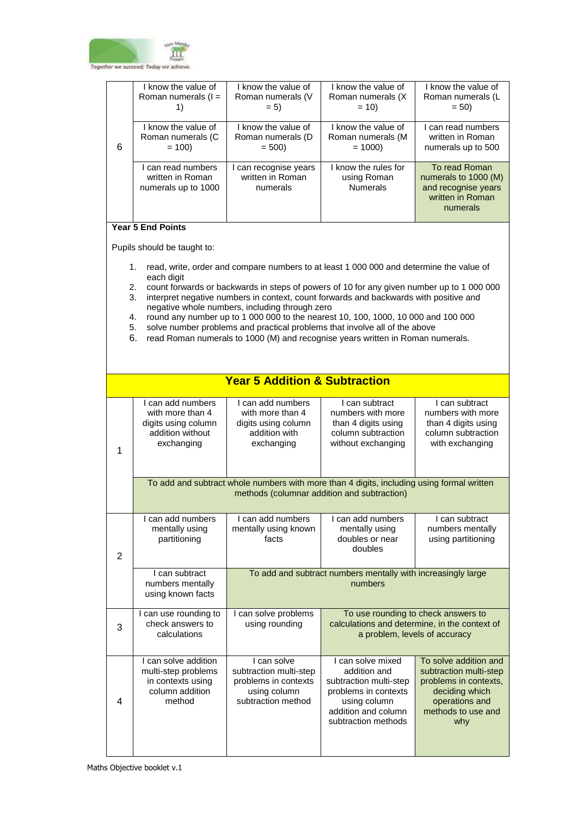

|   | l know the value of   | I know the value of   | I know the value of  | I know the value of  |
|---|-----------------------|-----------------------|----------------------|----------------------|
|   | Roman numerals $(I =$ | Roman numerals (V     | Roman numerals (X)   | Roman numerals (L    |
|   |                       | $= 5$                 | $= 10$               | $= 50$               |
|   |                       |                       |                      |                      |
|   | I know the value of   | I know the value of   | I know the value of  | I can read numbers   |
|   | Roman numerals (C     | Roman numerals (D     | Roman numerals (M    | written in Roman     |
| 6 | $= 100$               | $= 500$               | $= 1000$             | numerals up to 500   |
|   |                       |                       |                      |                      |
|   | I can read numbers    | I can recognise years | I know the rules for | To read Roman        |
|   | written in Roman      | written in Roman      | using Roman          | numerals to 1000 (M) |
|   | numerals up to 1000   | numerals              | <b>Numerals</b>      | and recognise years  |
|   |                       |                       |                      | written in Roman     |
|   |                       |                       |                      | numerals             |
|   |                       |                       |                      |                      |

## **Year 5 End Points**

- 1. read, write, order and compare numbers to at least 1 000 000 and determine the value of each digit
- 2. count forwards or backwards in steps of powers of 10 for any given number up to 1 000 000
- 3. interpret negative numbers in context, count forwards and backwards with positive and negative whole numbers, including through zero
- 4. round any number up to 1 000 000 to the nearest 10, 100, 1000, 10 000 and 100 000
- 5. solve number problems and practical problems that involve all of the above
- 6. read Roman numerals to 1000 (M) and recognise years written in Roman numerals.

|   |                                                                                                | <b>Year 5 Addition &amp; Subtraction</b>                                                            |                                                                                                                                                   |                                                                                                                                           |  |
|---|------------------------------------------------------------------------------------------------|-----------------------------------------------------------------------------------------------------|---------------------------------------------------------------------------------------------------------------------------------------------------|-------------------------------------------------------------------------------------------------------------------------------------------|--|
| 1 | I can add numbers<br>with more than 4<br>digits using column<br>addition without<br>exchanging | I can add numbers<br>with more than 4<br>digits using column<br>addition with<br>exchanging         | I can subtract<br>numbers with more<br>than 4 digits using<br>column subtraction<br>without exchanging                                            | I can subtract<br>numbers with more<br>than 4 digits using<br>column subtraction<br>with exchanging                                       |  |
|   |                                                                                                | To add and subtract whole numbers with more than 4 digits, including using formal written           |                                                                                                                                                   |                                                                                                                                           |  |
| 2 | I can add numbers<br>mentally using<br>partitioning                                            | I can add numbers<br>mentally using known<br>facts                                                  | I can add numbers<br>mentally using<br>doubles or near<br>doubles                                                                                 | I can subtract<br>numbers mentally<br>using partitioning                                                                                  |  |
|   | I can subtract<br>numbers mentally<br>using known facts                                        | To add and subtract numbers mentally with increasingly large<br>numbers                             |                                                                                                                                                   |                                                                                                                                           |  |
| 3 | I can use rounding to<br>check answers to<br>calculations                                      | I can solve problems<br>using rounding                                                              |                                                                                                                                                   | To use rounding to check answers to<br>calculations and determine, in the context of<br>a problem, levels of accuracy                     |  |
| 4 | I can solve addition<br>multi-step problems<br>in contexts using<br>column addition<br>method  | I can solve<br>subtraction multi-step<br>problems in contexts<br>using column<br>subtraction method | I can solve mixed<br>addition and<br>subtraction multi-step<br>problems in contexts<br>using column<br>addition and column<br>subtraction methods | To solve addition and<br>subtraction multi-step<br>problems in contexts,<br>deciding which<br>operations and<br>methods to use and<br>why |  |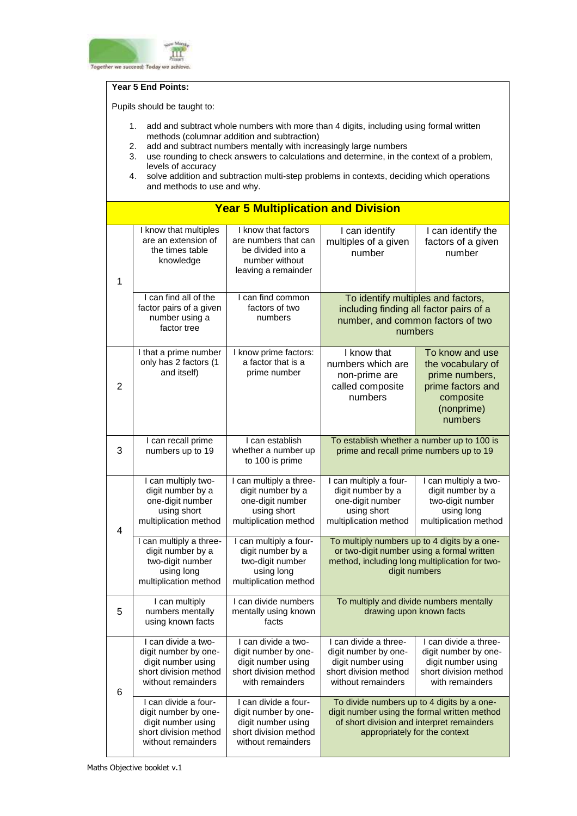

#### **Year 5 End Points:**

- 1. add and subtract whole numbers with more than 4 digits, including using formal written methods (columnar addition and subtraction)
- 2. add and subtract numbers mentally with increasingly large numbers
- 3. use rounding to check answers to calculations and determine, in the context of a problem, levels of accuracy
- 4. solve addition and subtraction multi-step problems in contexts, deciding which operations and methods to use and why.

|                | <b>Year 5 Multiplication and Division</b>                                                                         |                                                                                                                   |                                                                                                                    |                                                                                                                                                                           |  |
|----------------|-------------------------------------------------------------------------------------------------------------------|-------------------------------------------------------------------------------------------------------------------|--------------------------------------------------------------------------------------------------------------------|---------------------------------------------------------------------------------------------------------------------------------------------------------------------------|--|
| $\mathbf{1}$   | I know that multiples<br>are an extension of<br>the times table<br>knowledge                                      | I know that factors<br>are numbers that can<br>be divided into a<br>number without<br>leaving a remainder         | I can identify<br>multiples of a given<br>number                                                                   | I can identify the<br>factors of a given<br>number                                                                                                                        |  |
|                | I can find all of the<br>factor pairs of a given<br>number using a<br>factor tree                                 | I can find common<br>factors of two<br>numbers                                                                    |                                                                                                                    | To identify multiples and factors,<br>including finding all factor pairs of a<br>number, and common factors of two<br>numbers                                             |  |
| $\overline{2}$ | I that a prime number<br>only has 2 factors (1<br>and itself)                                                     | I know prime factors:<br>a factor that is a<br>prime number                                                       | I know that<br>numbers which are<br>non-prime are<br>called composite<br>numbers                                   | To know and use<br>the vocabulary of<br>prime numbers,<br>prime factors and<br>composite<br>(nonprime)<br>numbers                                                         |  |
| 3              | I can recall prime<br>numbers up to 19                                                                            | I can establish<br>whether a number up<br>to 100 is prime                                                         | To establish whether a number up to 100 is<br>prime and recall prime numbers up to 19                              |                                                                                                                                                                           |  |
| $\overline{4}$ | I can multiply two-<br>digit number by a<br>one-digit number<br>using short<br>multiplication method              | I can multiply a three-<br>digit number by a<br>one-digit number<br>using short<br>multiplication method          | I can multiply a four-<br>digit number by a<br>one-digit number<br>using short<br>multiplication method            | I can multiply a two-<br>digit number by a<br>two-digit number<br>using long<br>multiplication method                                                                     |  |
|                | I can multiply a three-<br>digit number by a<br>two-digit number<br>using long<br>multiplication method           | I can multiply a four-<br>digit number by a<br>two-digit number<br>using long<br>multiplication method            | digit numbers                                                                                                      | To multiply numbers up to 4 digits by a one-<br>or two-digit number using a formal written<br>method, including long multiplication for two-                              |  |
| 5              | I can multiply<br>numbers mentally<br>using known facts                                                           | I can divide numbers<br>mentally using known<br>facts                                                             | drawing upon known facts                                                                                           | To multiply and divide numbers mentally                                                                                                                                   |  |
| 6              | I can divide a two-<br>digit number by one-<br>digit number using<br>short division method<br>without remainders  | I can divide a two-<br>digit number by one-<br>digit number using<br>short division method<br>with remainders     | I can divide a three-<br>digit number by one-<br>digit number using<br>short division method<br>without remainders | I can divide a three-<br>digit number by one-<br>digit number using<br>short division method<br>with remainders                                                           |  |
|                | I can divide a four-<br>digit number by one-<br>digit number using<br>short division method<br>without remainders | I can divide a four-<br>digit number by one-<br>digit number using<br>short division method<br>without remainders |                                                                                                                    | To divide numbers up to 4 digits by a one-<br>digit number using the formal written method<br>of short division and interpret remainders<br>appropriately for the context |  |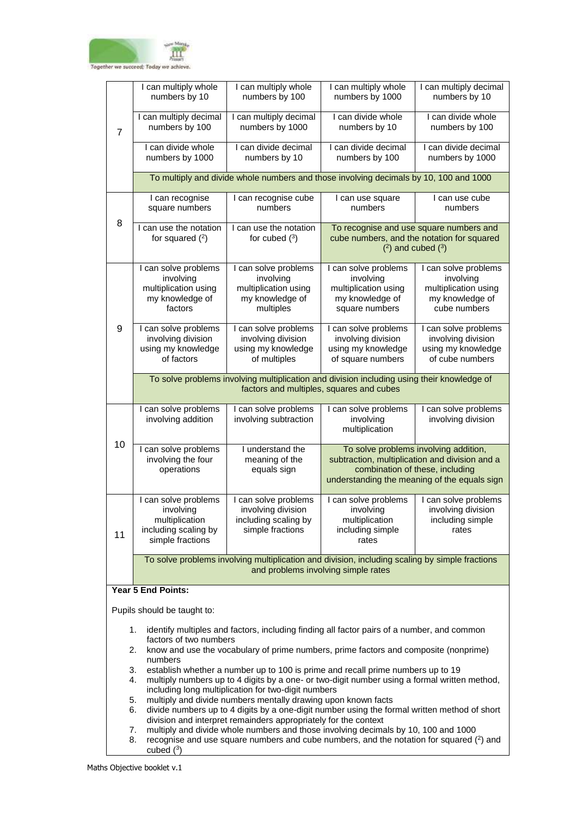

|                                                                                                                                                                                                                          | I can multiply whole<br>numbers by 10                                                                                                                                                                                                                                                               | I can multiply whole<br>numbers by 100                                                    | I can multiply whole<br>numbers by 1000                                                                                                                                    | I can multiply decimal<br>numbers by 10                                                                        |  |
|--------------------------------------------------------------------------------------------------------------------------------------------------------------------------------------------------------------------------|-----------------------------------------------------------------------------------------------------------------------------------------------------------------------------------------------------------------------------------------------------------------------------------------------------|-------------------------------------------------------------------------------------------|----------------------------------------------------------------------------------------------------------------------------------------------------------------------------|----------------------------------------------------------------------------------------------------------------|--|
| $\overline{7}$                                                                                                                                                                                                           | I can multiply decimal<br>numbers by 100                                                                                                                                                                                                                                                            | I can multiply decimal<br>numbers by 1000                                                 | I can divide whole<br>numbers by 10                                                                                                                                        | I can divide whole<br>numbers by 100                                                                           |  |
|                                                                                                                                                                                                                          | I can divide whole<br>numbers by 1000                                                                                                                                                                                                                                                               | I can divide decimal<br>numbers by 10                                                     | I can divide decimal<br>numbers by 100                                                                                                                                     | I can divide decimal<br>numbers by 1000                                                                        |  |
|                                                                                                                                                                                                                          |                                                                                                                                                                                                                                                                                                     | To multiply and divide whole numbers and those involving decimals by 10, 100 and 1000     |                                                                                                                                                                            |                                                                                                                |  |
|                                                                                                                                                                                                                          | I can recognise<br>square numbers                                                                                                                                                                                                                                                                   | I can recognise cube<br>numbers                                                           | I can use square<br>numbers                                                                                                                                                | I can use cube<br>numbers                                                                                      |  |
| 8                                                                                                                                                                                                                        | I can use the notation<br>for squared $(2)$                                                                                                                                                                                                                                                         | I can use the notation<br>for cubed $(^3)$                                                |                                                                                                                                                                            | To recognise and use square numbers and<br>cube numbers, and the notation for squared<br>$(2)$ and cubed $(3)$ |  |
|                                                                                                                                                                                                                          | I can solve problems<br>involving<br>multiplication using<br>my knowledge of<br>factors                                                                                                                                                                                                             | I can solve problems<br>involving<br>multiplication using<br>my knowledge of<br>multiples | I can solve problems<br>involving<br>multiplication using<br>my knowledge of<br>square numbers                                                                             | I can solve problems<br>involving<br>multiplication using<br>my knowledge of<br>cube numbers                   |  |
| 9                                                                                                                                                                                                                        | I can solve problems<br>involving division<br>using my knowledge<br>of factors                                                                                                                                                                                                                      | I can solve problems<br>involving division<br>using my knowledge<br>of multiples          | I can solve problems<br>involving division<br>using my knowledge<br>of square numbers                                                                                      | I can solve problems<br>involving division<br>using my knowledge<br>of cube numbers                            |  |
|                                                                                                                                                                                                                          | To solve problems involving multiplication and division including using their knowledge of<br>factors and multiples, squares and cubes                                                                                                                                                              |                                                                                           |                                                                                                                                                                            |                                                                                                                |  |
|                                                                                                                                                                                                                          | I can solve problems<br>involving addition                                                                                                                                                                                                                                                          | I can solve problems<br>involving subtraction                                             | I can solve problems<br>involving<br>multiplication                                                                                                                        | I can solve problems<br>involving division                                                                     |  |
| 10                                                                                                                                                                                                                       | I can solve problems<br>involving the four<br>operations                                                                                                                                                                                                                                            | I understand the<br>meaning of the<br>equals sign                                         | To solve problems involving addition,<br>subtraction, multiplication and division and a<br>combination of these, including<br>understanding the meaning of the equals sign |                                                                                                                |  |
| 11                                                                                                                                                                                                                       | I can solve problems<br>involving<br>multiplication<br>including scaling by<br>simple fractions                                                                                                                                                                                                     | I can solve problems<br>involving division<br>including scaling by<br>simple fractions    | I can solve problems<br>involving<br>multiplication<br>including simple<br>rates                                                                                           | I can solve problems<br>involving division<br>including simple<br>rates                                        |  |
| To solve problems involving multiplication and division, including scaling by simple fractions<br>and problems involving simple rates                                                                                    |                                                                                                                                                                                                                                                                                                     |                                                                                           |                                                                                                                                                                            |                                                                                                                |  |
| <b>Year 5 End Points:</b>                                                                                                                                                                                                |                                                                                                                                                                                                                                                                                                     |                                                                                           |                                                                                                                                                                            |                                                                                                                |  |
| Pupils should be taught to:                                                                                                                                                                                              |                                                                                                                                                                                                                                                                                                     |                                                                                           |                                                                                                                                                                            |                                                                                                                |  |
| identify multiples and factors, including finding all factor pairs of a number, and common<br>1.<br>factors of two numbers<br>know and use the vocabulary of prime numbers, prime factors and composite (nonprime)<br>2. |                                                                                                                                                                                                                                                                                                     |                                                                                           |                                                                                                                                                                            |                                                                                                                |  |
|                                                                                                                                                                                                                          | numbers<br>3.<br>establish whether a number up to 100 is prime and recall prime numbers up to 19<br>multiply numbers up to 4 digits by a one- or two-digit number using a formal written method,<br>4.                                                                                              |                                                                                           |                                                                                                                                                                            |                                                                                                                |  |
|                                                                                                                                                                                                                          | including long multiplication for two-digit numbers<br>multiply and divide numbers mentally drawing upon known facts<br>5.<br>divide numbers up to 4 digits by a one-digit number using the formal written method of short<br>6.<br>division and interpret remainders appropriately for the context |                                                                                           |                                                                                                                                                                            |                                                                                                                |  |

- 7. multiply and divide whole numbers and those involving decimals by 10, 100 and 1000
- 8. recognise and use square numbers and cube numbers, and the notation for squared  $(2)$  and cubed  $(^3)$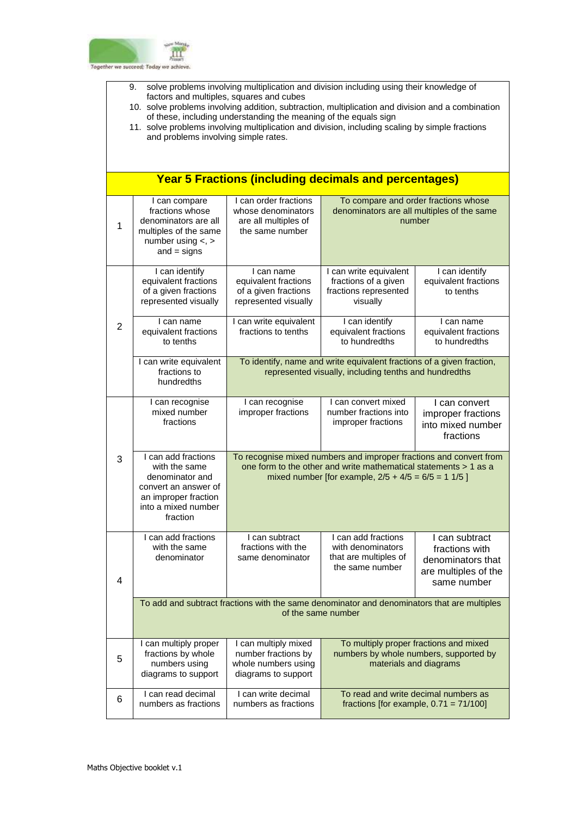

- 9. solve problems involving multiplication and division including using their knowledge of factors and multiples, squares and cubes
- 10. solve problems involving addition, subtraction, multiplication and division and a combination of these, including understanding the meaning of the equals sign
- 11. solve problems involving multiplication and division, including scaling by simple fractions and problems involving simple rates.

|                | <b>Year 5 Fractions (including decimals and percentages)</b>                                                                               |                                                                                                                                                                                                 |                                                                                                            |                                                                                              |  |
|----------------|--------------------------------------------------------------------------------------------------------------------------------------------|-------------------------------------------------------------------------------------------------------------------------------------------------------------------------------------------------|------------------------------------------------------------------------------------------------------------|----------------------------------------------------------------------------------------------|--|
| 1              | I can compare<br>fractions whose<br>denominators are all<br>multiples of the same<br>number using $\lt$ , $>$<br>$and = signs$             | I can order fractions<br>whose denominators<br>are all multiples of<br>the same number                                                                                                          | To compare and order fractions whose<br>denominators are all multiples of the same<br>number               |                                                                                              |  |
|                | I can identify<br>equivalent fractions<br>of a given fractions<br>represented visually                                                     | I can name<br>equivalent fractions<br>of a given fractions<br>represented visually                                                                                                              | I can write equivalent<br>fractions of a given<br>fractions represented<br>visually                        | I can identify<br>equivalent fractions<br>to tenths                                          |  |
| $\overline{2}$ | I can name<br>equivalent fractions<br>to tenths                                                                                            | I can write equivalent<br>fractions to tenths                                                                                                                                                   | I can identify<br>equivalent fractions<br>to hundredths                                                    | I can name<br>equivalent fractions<br>to hundredths                                          |  |
|                | I can write equivalent<br>fractions to<br>hundredths                                                                                       | To identify, name and write equivalent fractions of a given fraction,<br>represented visually, including tenths and hundredths                                                                  |                                                                                                            |                                                                                              |  |
|                | I can recognise<br>mixed number<br>fractions                                                                                               | I can recognise<br>improper fractions                                                                                                                                                           | I can convert mixed<br>number fractions into<br>improper fractions                                         | I can convert<br>improper fractions<br>into mixed number<br>fractions                        |  |
| 3              | I can add fractions<br>with the same<br>denominator and<br>convert an answer of<br>an improper fraction<br>into a mixed number<br>fraction | To recognise mixed numbers and improper fractions and convert from<br>one form to the other and write mathematical statements > 1 as a<br>mixed number [for example, $2/5 + 4/5 = 6/5 = 11/5$ ] |                                                                                                            |                                                                                              |  |
| 4              | I can add fractions<br>with the same<br>denominator                                                                                        | I can subtract<br>fractions with the<br>same denominator                                                                                                                                        | I can add fractions<br>with denominators<br>that are multiples of<br>the same number                       | I can subtract<br>fractions with<br>denominators that<br>are multiples of the<br>same number |  |
|                |                                                                                                                                            | To add and subtract fractions with the same denominator and denominators that are multiples                                                                                                     | of the same number                                                                                         |                                                                                              |  |
| 5              | I can multiply proper<br>fractions by whole<br>numbers using<br>diagrams to support                                                        | I can multiply mixed<br>number fractions by<br>whole numbers using<br>diagrams to support                                                                                                       | To multiply proper fractions and mixed<br>numbers by whole numbers, supported by<br>materials and diagrams |                                                                                              |  |
| 6              | I can read decimal<br>numbers as fractions                                                                                                 | I can write decimal<br>numbers as fractions                                                                                                                                                     |                                                                                                            | To read and write decimal numbers as<br>fractions [for example, $0.71 = 71/100$ ]            |  |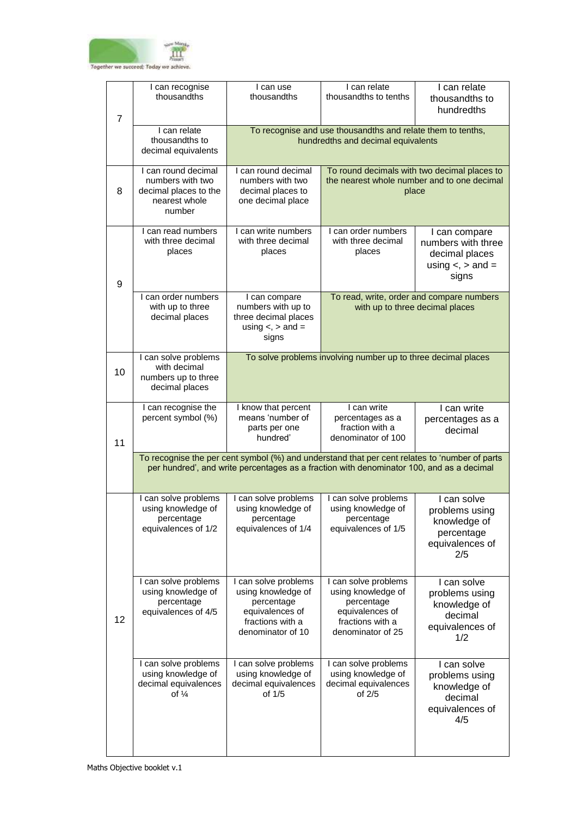

| $\overline{7}$ | I can recognise<br>thousandths                                                              | I can use<br>thousandths                                                                                             | I can relate<br>thousandths to tenths                                                                                                                                                     | I can relate<br>thousandths to<br>hundredths                                                         |  |
|----------------|---------------------------------------------------------------------------------------------|----------------------------------------------------------------------------------------------------------------------|-------------------------------------------------------------------------------------------------------------------------------------------------------------------------------------------|------------------------------------------------------------------------------------------------------|--|
|                | I can relate<br>thousandths to<br>decimal equivalents                                       |                                                                                                                      | To recognise and use thousandths and relate them to tenths,<br>hundredths and decimal equivalents                                                                                         |                                                                                                      |  |
| 8              | I can round decimal<br>numbers with two<br>decimal places to the<br>nearest whole<br>number | I can round decimal<br>numbers with two<br>decimal places to<br>one decimal place                                    |                                                                                                                                                                                           | To round decimals with two decimal places to<br>the nearest whole number and to one decimal<br>place |  |
| 9              | I can read numbers<br>with three decimal<br>places                                          | I can write numbers<br>with three decimal<br>places                                                                  | I can order numbers<br>with three decimal<br>places                                                                                                                                       | I can compare<br>numbers with three<br>decimal places<br>using $\lt$ , $>$ and $=$<br>signs          |  |
|                | I can order numbers<br>with up to three<br>decimal places                                   | I can compare<br>numbers with up to<br>three decimal places<br>using $\lt$ , $>$ and $=$<br>signs                    |                                                                                                                                                                                           | To read, write, order and compare numbers<br>with up to three decimal places                         |  |
| 10             | I can solve problems<br>with decimal<br>numbers up to three<br>decimal places               |                                                                                                                      | To solve problems involving number up to three decimal places                                                                                                                             |                                                                                                      |  |
| 11             | I can recognise the<br>percent symbol (%)                                                   | I know that percent<br>means 'number of<br>parts per one<br>hundred'                                                 | I can write<br>percentages as a<br>fraction with a<br>denominator of 100                                                                                                                  | I can write<br>percentages as a<br>decimal                                                           |  |
|                |                                                                                             |                                                                                                                      | To recognise the per cent symbol (%) and understand that per cent relates to 'number of parts<br>per hundred', and write percentages as a fraction with denominator 100, and as a decimal |                                                                                                      |  |
|                | I can solve problems<br>using knowledge of<br>percentage<br>equivalences of 1/2             | I can solve problems<br>using knowledge of<br>percentage<br>equivalences of 1/4                                      | I can solve problems<br>using knowledge of<br>percentage<br>equivalences of 1/5                                                                                                           | I can solve<br>problems using<br>knowledge of<br>percentage<br>equivalences of<br>2/5                |  |
| 12             | I can solve problems<br>using knowledge of<br>percentage<br>equivalences of 4/5             | I can solve problems<br>using knowledge of<br>percentage<br>equivalences of<br>fractions with a<br>denominator of 10 | I can solve problems<br>using knowledge of<br>percentage<br>equivalences of<br>fractions with a<br>denominator of 25                                                                      | I can solve<br>problems using<br>knowledge of<br>decimal<br>equivalences of<br>1/2                   |  |
|                | I can solve problems<br>using knowledge of<br>decimal equivalences<br>of $\frac{1}{4}$      | can solve problems<br>using knowledge of<br>decimal equivalences<br>of 1/5                                           | I can solve problems<br>using knowledge of<br>decimal equivalences<br>of $2/5$                                                                                                            | I can solve<br>problems using<br>knowledge of<br>decimal<br>equivalences of<br>4/5                   |  |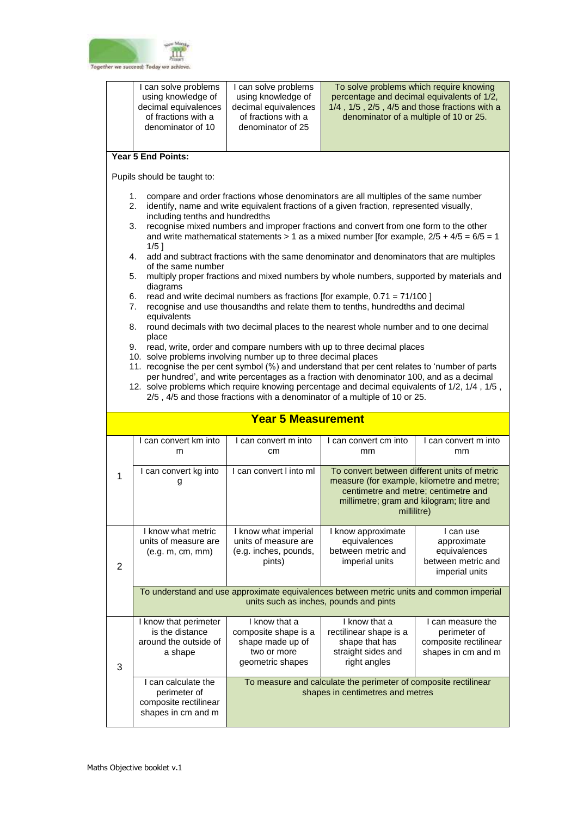

|                                                                                                                                                                                                                                                                                                                                                                                                                                                                                                                                                                                                                                                                                                                                                                                                                                                                                                                                                                                                                                                                                                                                                                                                                                                                                                                                                                                                                                                                                                                                             | I can solve problems<br>using knowledge of<br>decimal equivalences<br>of fractions with a<br>denominator of 10                    | I can solve problems<br>using knowledge of<br>decimal equivalences<br>of fractions with a<br>denominator of 25 |                                                                                                                                                                                                                                                                                                  | To solve problems which require knowing<br>percentage and decimal equivalents of 1/2,<br>1/4, 1/5, 2/5, 4/5 and those fractions with a<br>denominator of a multiple of 10 or 25. |  |
|---------------------------------------------------------------------------------------------------------------------------------------------------------------------------------------------------------------------------------------------------------------------------------------------------------------------------------------------------------------------------------------------------------------------------------------------------------------------------------------------------------------------------------------------------------------------------------------------------------------------------------------------------------------------------------------------------------------------------------------------------------------------------------------------------------------------------------------------------------------------------------------------------------------------------------------------------------------------------------------------------------------------------------------------------------------------------------------------------------------------------------------------------------------------------------------------------------------------------------------------------------------------------------------------------------------------------------------------------------------------------------------------------------------------------------------------------------------------------------------------------------------------------------------------|-----------------------------------------------------------------------------------------------------------------------------------|----------------------------------------------------------------------------------------------------------------|--------------------------------------------------------------------------------------------------------------------------------------------------------------------------------------------------------------------------------------------------------------------------------------------------|----------------------------------------------------------------------------------------------------------------------------------------------------------------------------------|--|
|                                                                                                                                                                                                                                                                                                                                                                                                                                                                                                                                                                                                                                                                                                                                                                                                                                                                                                                                                                                                                                                                                                                                                                                                                                                                                                                                                                                                                                                                                                                                             | Year 5 End Points:                                                                                                                |                                                                                                                |                                                                                                                                                                                                                                                                                                  |                                                                                                                                                                                  |  |
|                                                                                                                                                                                                                                                                                                                                                                                                                                                                                                                                                                                                                                                                                                                                                                                                                                                                                                                                                                                                                                                                                                                                                                                                                                                                                                                                                                                                                                                                                                                                             | Pupils should be taught to:                                                                                                       |                                                                                                                |                                                                                                                                                                                                                                                                                                  |                                                                                                                                                                                  |  |
| compare and order fractions whose denominators are all multiples of the same number<br>1.<br>identify, name and write equivalent fractions of a given fraction, represented visually,<br>2.<br>including tenths and hundredths<br>recognise mixed numbers and improper fractions and convert from one form to the other<br>3.<br>and write mathematical statements > 1 as a mixed number [for example, $2/5 + 4/5 = 6/5 = 1$<br>1/51<br>add and subtract fractions with the same denominator and denominators that are multiples<br>4.<br>of the same number<br>multiply proper fractions and mixed numbers by whole numbers, supported by materials and<br>5.<br>diagrams<br>read and write decimal numbers as fractions [for example, $0.71 = 71/100$ ]<br>6.<br>recognise and use thousandths and relate them to tenths, hundredths and decimal<br>7.<br>equivalents<br>round decimals with two decimal places to the nearest whole number and to one decimal<br>8.<br>place<br>read, write, order and compare numbers with up to three decimal places<br>9.<br>10. solve problems involving number up to three decimal places<br>11. recognise the per cent symbol (%) and understand that per cent relates to 'number of parts<br>per hundred', and write percentages as a fraction with denominator 100, and as a decimal<br>12. solve problems which require knowing percentage and decimal equivalents of 1/2, 1/4, 1/5,<br>2/5, 4/5 and those fractions with a denominator of a multiple of 10 or 25.<br><b>Year 5 Measurement</b> |                                                                                                                                   |                                                                                                                |                                                                                                                                                                                                                                                                                                  |                                                                                                                                                                                  |  |
|                                                                                                                                                                                                                                                                                                                                                                                                                                                                                                                                                                                                                                                                                                                                                                                                                                                                                                                                                                                                                                                                                                                                                                                                                                                                                                                                                                                                                                                                                                                                             |                                                                                                                                   |                                                                                                                |                                                                                                                                                                                                                                                                                                  |                                                                                                                                                                                  |  |
|                                                                                                                                                                                                                                                                                                                                                                                                                                                                                                                                                                                                                                                                                                                                                                                                                                                                                                                                                                                                                                                                                                                                                                                                                                                                                                                                                                                                                                                                                                                                             | I can convert km into<br>m                                                                                                        | I can convert m into<br>cm                                                                                     | I can convert cm into<br>mm                                                                                                                                                                                                                                                                      | I can convert m into<br>mm                                                                                                                                                       |  |
| 1                                                                                                                                                                                                                                                                                                                                                                                                                                                                                                                                                                                                                                                                                                                                                                                                                                                                                                                                                                                                                                                                                                                                                                                                                                                                                                                                                                                                                                                                                                                                           | I can convert kg into<br>g                                                                                                        | I can convert I into ml                                                                                        | To convert between different units of metric<br>measure (for example, kilometre and metre;<br>centimetre and metre; centimetre and<br>millimetre; gram and kilogram; litre and<br>de de la millilitre) de la provincia de la provincia de la provincia de la provincia de la provincia de la pro |                                                                                                                                                                                  |  |
| 2                                                                                                                                                                                                                                                                                                                                                                                                                                                                                                                                                                                                                                                                                                                                                                                                                                                                                                                                                                                                                                                                                                                                                                                                                                                                                                                                                                                                                                                                                                                                           | I know what metric<br>units of measure are<br>(e.g. m, cm, mm)                                                                    | I know what imperial<br>units of measure are<br>(e.g. inches, pounds,<br>pints)                                | I know approximate<br>equivalences<br>between metric and<br>imperial units                                                                                                                                                                                                                       | I can use<br>approximate<br>equivalences<br>between metric and<br>imperial units                                                                                                 |  |
|                                                                                                                                                                                                                                                                                                                                                                                                                                                                                                                                                                                                                                                                                                                                                                                                                                                                                                                                                                                                                                                                                                                                                                                                                                                                                                                                                                                                                                                                                                                                             | To understand and use approximate equivalences between metric units and common imperial<br>units such as inches, pounds and pints |                                                                                                                |                                                                                                                                                                                                                                                                                                  |                                                                                                                                                                                  |  |
| 3                                                                                                                                                                                                                                                                                                                                                                                                                                                                                                                                                                                                                                                                                                                                                                                                                                                                                                                                                                                                                                                                                                                                                                                                                                                                                                                                                                                                                                                                                                                                           | I know that perimeter<br>is the distance<br>around the outside of<br>a shape                                                      | I know that a<br>composite shape is a<br>shape made up of<br>two or more<br>geometric shapes                   | I know that a<br>rectilinear shape is a<br>shape that has<br>straight sides and<br>right angles                                                                                                                                                                                                  | I can measure the<br>perimeter of<br>composite rectilinear<br>shapes in cm and m                                                                                                 |  |
|                                                                                                                                                                                                                                                                                                                                                                                                                                                                                                                                                                                                                                                                                                                                                                                                                                                                                                                                                                                                                                                                                                                                                                                                                                                                                                                                                                                                                                                                                                                                             | I can calculate the<br>perimeter of<br>composite rectilinear<br>shapes in cm and m                                                |                                                                                                                | To measure and calculate the perimeter of composite rectilinear<br>shapes in centimetres and metres                                                                                                                                                                                              |                                                                                                                                                                                  |  |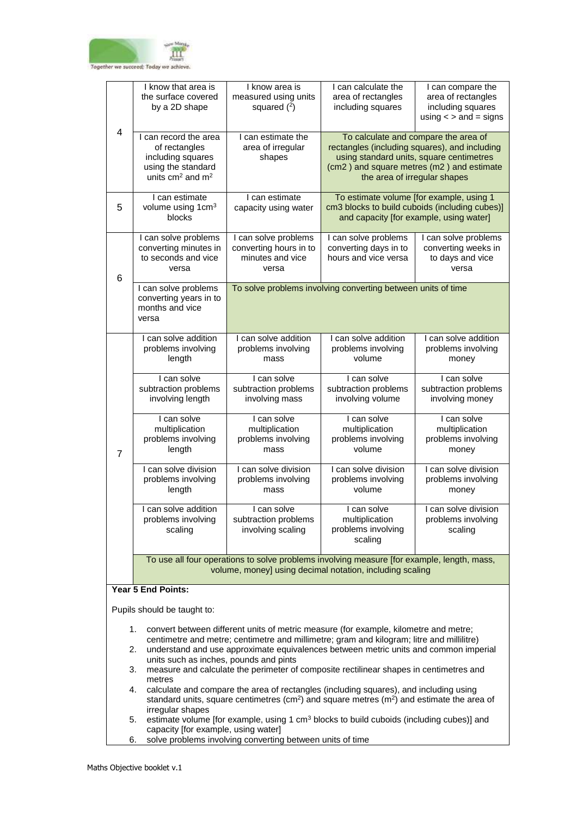

|                                                                                                                                                        | I know that area is<br>the surface covered<br>by a 2D shape                                                                                                                                                                                                                           | I know area is<br>measured using units<br>squared $(2)$                                | I can calculate the<br>area of rectangles<br>including squares        | I can compare the<br>area of rectangles<br>including squares<br>using $\lt$ > and = signs                                                                                                                      |  |
|--------------------------------------------------------------------------------------------------------------------------------------------------------|---------------------------------------------------------------------------------------------------------------------------------------------------------------------------------------------------------------------------------------------------------------------------------------|----------------------------------------------------------------------------------------|-----------------------------------------------------------------------|----------------------------------------------------------------------------------------------------------------------------------------------------------------------------------------------------------------|--|
| 4                                                                                                                                                      | I can record the area<br>of rectangles<br>including squares<br>using the standard<br>units $cm2$ and $m2$                                                                                                                                                                             | I can estimate the<br>area of irregular<br>shapes                                      |                                                                       | To calculate and compare the area of<br>rectangles (including squares), and including<br>using standard units, square centimetres<br>(cm2) and square metres (m2) and estimate<br>the area of irregular shapes |  |
| 5                                                                                                                                                      | I can estimate<br>volume using 1cm <sup>3</sup><br>blocks                                                                                                                                                                                                                             | I can estimate<br>capacity using water                                                 | To estimate volume [for example, using 1                              | cm3 blocks to build cuboids (including cubes)]<br>and capacity [for example, using water]                                                                                                                      |  |
| 6                                                                                                                                                      | I can solve problems<br>converting minutes in<br>to seconds and vice<br>versa                                                                                                                                                                                                         | I can solve problems<br>converting hours in to<br>minutes and vice<br>versa            | I can solve problems<br>converting days in to<br>hours and vice versa | I can solve problems<br>converting weeks in<br>to days and vice<br>versa                                                                                                                                       |  |
|                                                                                                                                                        | I can solve problems<br>converting years in to<br>months and vice<br>versa                                                                                                                                                                                                            |                                                                                        | To solve problems involving converting between units of time          |                                                                                                                                                                                                                |  |
|                                                                                                                                                        | I can solve addition<br>problems involving<br>length                                                                                                                                                                                                                                  | I can solve addition<br>problems involving<br>mass                                     | I can solve addition<br>problems involving<br>volume                  | I can solve addition<br>problems involving<br>money                                                                                                                                                            |  |
|                                                                                                                                                        | I can solve<br>subtraction problems<br>involving length                                                                                                                                                                                                                               | I can solve<br>subtraction problems<br>involving mass                                  | I can solve<br>subtraction problems<br>involving volume               | I can solve<br>subtraction problems<br>involving money                                                                                                                                                         |  |
| $\overline{7}$                                                                                                                                         | I can solve<br>multiplication<br>problems involving<br>length                                                                                                                                                                                                                         | I can solve<br>multiplication<br>problems involving<br>mass                            | I can solve<br>multiplication<br>problems involving<br>volume         | I can solve<br>multiplication<br>problems involving<br>money                                                                                                                                                   |  |
|                                                                                                                                                        | I can solve division<br>problems involving<br>length                                                                                                                                                                                                                                  | I can solve division<br>problems involving<br>mass                                     | I can solve division<br>problems involving<br>volume                  | I can solve division<br>problems involving<br>money                                                                                                                                                            |  |
|                                                                                                                                                        | I can solve addition<br>problems involving<br>scaling                                                                                                                                                                                                                                 | I can solve<br>subtraction problems<br>involving scaling                               | I can solve<br>multiplication<br>problems involving<br>scaling        | I can solve division<br>problems involving<br>scaling                                                                                                                                                          |  |
| To use all four operations to solve problems involving measure [for example, length, mass,<br>volume, money] using decimal notation, including scaling |                                                                                                                                                                                                                                                                                       |                                                                                        |                                                                       |                                                                                                                                                                                                                |  |
|                                                                                                                                                        | <b>Year 5 End Points:</b>                                                                                                                                                                                                                                                             |                                                                                        |                                                                       |                                                                                                                                                                                                                |  |
| Pupils should be taught to:                                                                                                                            |                                                                                                                                                                                                                                                                                       |                                                                                        |                                                                       |                                                                                                                                                                                                                |  |
|                                                                                                                                                        | convert between different units of metric measure (for example, kilometre and metre;<br>1.<br>centimetre and metre; centimetre and millimetre; gram and kilogram; litre and millilitre)<br>understand and use approximate equivalences between metric units and common imperial<br>2. |                                                                                        |                                                                       |                                                                                                                                                                                                                |  |
|                                                                                                                                                        | units such as inches, pounds and pints<br>3.<br>metres                                                                                                                                                                                                                                | measure and calculate the perimeter of composite rectilinear shapes in centimetres and |                                                                       |                                                                                                                                                                                                                |  |

- 4. calculate and compare the area of rectangles (including squares), and including using standard units, square centimetres (cm<sup>2</sup>) and square metres (m<sup>2</sup>) and estimate the area of irregular shapes
- 5. estimate volume [for example, using 1  $cm<sup>3</sup>$  blocks to build cuboids (including cubes)] and capacity [for example, using water]
- 6. solve problems involving converting between units of time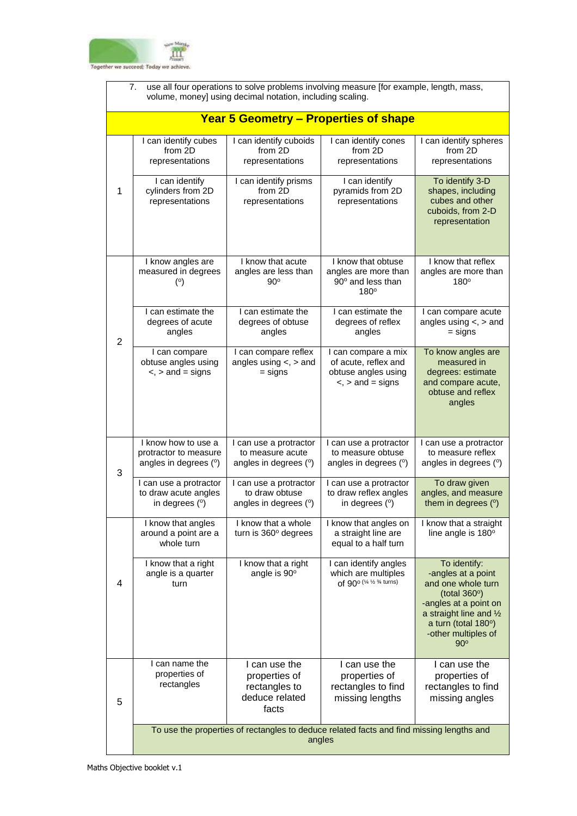

|                | use all four operations to solve problems involving measure [for example, length, mass,<br>7.<br>volume, money] using decimal notation, including scaling. |                                                                                          |                                                                                               |                                                                                                                                                                                                  |  |  |
|----------------|------------------------------------------------------------------------------------------------------------------------------------------------------------|------------------------------------------------------------------------------------------|-----------------------------------------------------------------------------------------------|--------------------------------------------------------------------------------------------------------------------------------------------------------------------------------------------------|--|--|
|                | <b>Year 5 Geometry - Properties of shape</b>                                                                                                               |                                                                                          |                                                                                               |                                                                                                                                                                                                  |  |  |
|                | I can identify cubes<br>from 2D<br>representations                                                                                                         | I can identify cuboids<br>from 2D<br>representations                                     | I can identify cones<br>from 2D<br>representations                                            | I can identify spheres<br>from 2D<br>representations                                                                                                                                             |  |  |
| $\mathbf{1}$   | I can identify<br>cylinders from 2D<br>representations                                                                                                     | I can identify prisms<br>from 2D<br>representations                                      | I can identify<br>pyramids from 2D<br>representations                                         | To identify 3-D<br>shapes, including<br>cubes and other<br>cuboids, from 2-D<br>representation                                                                                                   |  |  |
|                | I know angles are<br>measured in degrees<br>(°)                                                                                                            | I know that acute<br>angles are less than<br>$90^\circ$                                  | I know that obtuse<br>angles are more than<br>90° and less than<br>$180^\circ$                | I know that reflex<br>angles are more than<br>$180^\circ$                                                                                                                                        |  |  |
| $\overline{2}$ | I can estimate the<br>degrees of acute<br>angles                                                                                                           | I can estimate the<br>degrees of obtuse<br>angles                                        | I can estimate the<br>degrees of reflex<br>angles                                             | I can compare acute<br>angles using $\lt$ , $>$ and<br>$=$ signs                                                                                                                                 |  |  |
|                | I can compare<br>obtuse angles using<br>$\le$ , $>$ and = signs                                                                                            | I can compare reflex<br>angles using $\lt$ , $>$ and<br>$=$ signs                        | I can compare a mix<br>of acute, reflex and<br>obtuse angles using<br>$\le$ , $>$ and = signs | To know angles are<br>measured in<br>degrees: estimate<br>and compare acute,<br>obtuse and reflex<br>angles                                                                                      |  |  |
| 3              | I know how to use a<br>protractor to measure<br>angles in degrees (°)                                                                                      | I can use a protractor<br>to measure acute<br>angles in degrees (°)                      | I can use a protractor<br>to measure obtuse<br>angles in degrees (°)                          | I can use a protractor<br>to measure reflex<br>angles in degrees (°)                                                                                                                             |  |  |
|                | I can use a protractor<br>to draw acute angles<br>in degrees (°)                                                                                           | I can use a protractor<br>to draw obtuse<br>angles in degrees (°)                        | I can use a protractor<br>to draw reflex angles<br>in degrees (°)                             | To draw given<br>angles, and measure<br>them in degrees (°)                                                                                                                                      |  |  |
|                | I know that angles<br>around a point are a<br>whole turn                                                                                                   | I know that a whole<br>turn is 360° degrees                                              | I know that angles on<br>a straight line are<br>equal to a half turn                          | I know that a straight<br>line angle is 180°                                                                                                                                                     |  |  |
| 4              | I know that a right<br>angle is a quarter<br>turn                                                                                                          | I know that a right<br>angle is 90°                                                      | I can identify angles<br>which are multiples<br>of 90° (1/4 1/2 3/4 turns)                    | To identify:<br>-angles at a point<br>and one whole turn<br>(total $360^\circ$ )<br>-angles at a point on<br>a straight line and 1/2<br>a turn (total 180°)<br>-other multiples of<br>$90^\circ$ |  |  |
| 5              | I can name the<br>properties of<br>rectangles                                                                                                              | I can use the<br>properties of<br>rectangles to<br>deduce related<br>facts               | I can use the<br>properties of<br>rectangles to find<br>missing lengths                       | I can use the<br>properties of<br>rectangles to find<br>missing angles                                                                                                                           |  |  |
|                |                                                                                                                                                            | To use the properties of rectangles to deduce related facts and find missing lengths and | angles                                                                                        |                                                                                                                                                                                                  |  |  |

٦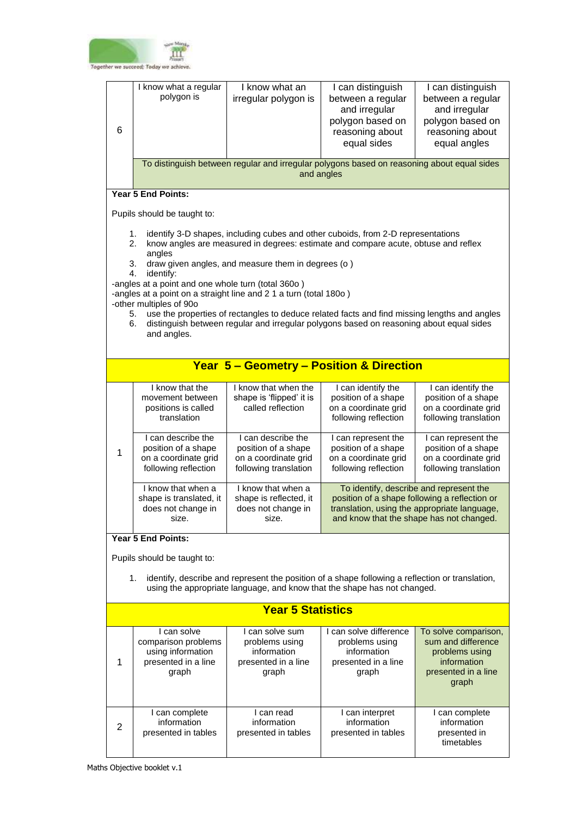

| 6                                                   | I know what a regular<br>polygon is                                                                                                                                                                                                                                                                                                                                                                                                                                                                                                                                                                                                                     | I know what an<br>irregular polygon is                                                                   | I can distinguish<br>between a regular<br>and irregular<br>polygon based on<br>reasoning about<br>equal sides                                                                        | I can distinguish<br>between a regular<br>and irregular<br>polygon based on<br>reasoning about<br>equal angles |  |
|-----------------------------------------------------|---------------------------------------------------------------------------------------------------------------------------------------------------------------------------------------------------------------------------------------------------------------------------------------------------------------------------------------------------------------------------------------------------------------------------------------------------------------------------------------------------------------------------------------------------------------------------------------------------------------------------------------------------------|----------------------------------------------------------------------------------------------------------|--------------------------------------------------------------------------------------------------------------------------------------------------------------------------------------|----------------------------------------------------------------------------------------------------------------|--|
|                                                     |                                                                                                                                                                                                                                                                                                                                                                                                                                                                                                                                                                                                                                                         | To distinguish between regular and irregular polygons based on reasoning about equal sides<br>and angles |                                                                                                                                                                                      |                                                                                                                |  |
|                                                     | Year 5 End Points:                                                                                                                                                                                                                                                                                                                                                                                                                                                                                                                                                                                                                                      |                                                                                                          |                                                                                                                                                                                      |                                                                                                                |  |
|                                                     | Pupils should be taught to:                                                                                                                                                                                                                                                                                                                                                                                                                                                                                                                                                                                                                             |                                                                                                          |                                                                                                                                                                                      |                                                                                                                |  |
|                                                     | 1.<br>identify 3-D shapes, including cubes and other cuboids, from 2-D representations<br>2.<br>know angles are measured in degrees: estimate and compare acute, obtuse and reflex<br>angles<br>draw given angles, and measure them in degrees (o)<br>3.<br>4.<br>identify:<br>-angles at a point and one whole turn (total 360o)<br>-angles at a point on a straight line and 2 1 a turn (total 180o)<br>-other multiples of 90o<br>use the properties of rectangles to deduce related facts and find missing lengths and angles<br>5.<br>distinguish between regular and irregular polygons based on reasoning about equal sides<br>6.<br>and angles. |                                                                                                          |                                                                                                                                                                                      |                                                                                                                |  |
|                                                     |                                                                                                                                                                                                                                                                                                                                                                                                                                                                                                                                                                                                                                                         |                                                                                                          |                                                                                                                                                                                      |                                                                                                                |  |
| <b>Year 5 - Geometry - Position &amp; Direction</b> |                                                                                                                                                                                                                                                                                                                                                                                                                                                                                                                                                                                                                                                         |                                                                                                          |                                                                                                                                                                                      |                                                                                                                |  |
|                                                     | I know that the<br>movement between<br>positions is called<br>translation                                                                                                                                                                                                                                                                                                                                                                                                                                                                                                                                                                               | I know that when the<br>shape is 'flipped' it is<br>called reflection                                    | I can identify the<br>position of a shape<br>on a coordinate grid<br>following reflection                                                                                            | I can identify the<br>position of a shape<br>on a coordinate grid<br>following translation                     |  |
| 1                                                   | I can describe the<br>position of a shape<br>on a coordinate grid<br>following reflection                                                                                                                                                                                                                                                                                                                                                                                                                                                                                                                                                               | I can describe the<br>position of a shape<br>on a coordinate grid<br>following translation               | I can represent the<br>position of a shape<br>on a coordinate grid<br>following reflection                                                                                           | I can represent the<br>position of a shape<br>on a coordinate grid<br>following translation                    |  |
|                                                     | I know that when a<br>shape is translated, it<br>does not change in<br>size.                                                                                                                                                                                                                                                                                                                                                                                                                                                                                                                                                                            | I know that when a<br>shape is reflected, it<br>does not change in<br>size.                              | To identify, describe and represent the<br>position of a shape following a reflection or<br>translation, using the appropriate language,<br>and know that the shape has not changed. |                                                                                                                |  |
|                                                     | <b>Year 5 End Points:</b>                                                                                                                                                                                                                                                                                                                                                                                                                                                                                                                                                                                                                               |                                                                                                          |                                                                                                                                                                                      |                                                                                                                |  |

Pupils should be taught to:

1. identify, describe and represent the position of a shape following a reflection or translation, using the appropriate language, and know that the shape has not changed.

|   | <b>Year 5 Statistics</b>                                                                |                                                                                  |                                                                                         |                                                                                                             |  |
|---|-----------------------------------------------------------------------------------------|----------------------------------------------------------------------------------|-----------------------------------------------------------------------------------------|-------------------------------------------------------------------------------------------------------------|--|
|   | I can solve<br>comparison problems<br>using information<br>presented in a line<br>graph | I can solve sum<br>problems using<br>information<br>presented in a line<br>graph | I can solve difference<br>problems using<br>information<br>presented in a line<br>graph | To solve comparison,<br>sum and difference<br>problems using<br>information<br>presented in a line<br>graph |  |
| 2 | I can complete<br>information<br>presented in tables                                    | I can read<br>information<br>presented in tables                                 | can interpret<br>information<br>presented in tables                                     | I can complete<br>information<br>presented in<br>timetables                                                 |  |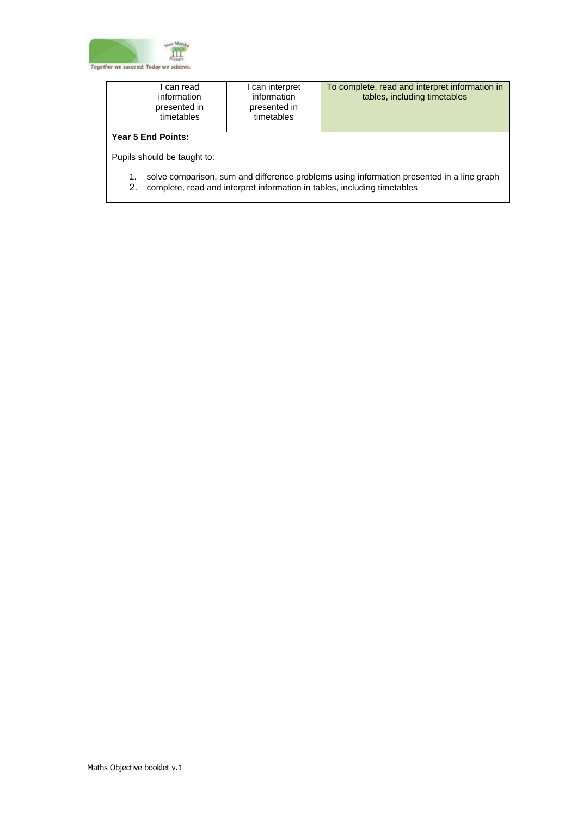

|                                                                                                                                                                                   | l can read<br>information<br>presented in<br>timetables | can interpret<br>information<br>presented in<br>timetables | To complete, read and interpret information in<br>tables, including timetables |  |  |
|-----------------------------------------------------------------------------------------------------------------------------------------------------------------------------------|---------------------------------------------------------|------------------------------------------------------------|--------------------------------------------------------------------------------|--|--|
| <b>Year 5 End Points:</b><br>Pupils should be taught to:                                                                                                                          |                                                         |                                                            |                                                                                |  |  |
| solve comparison, sum and difference problems using information presented in a line graph<br>1.<br>complete, read and interpret information in tables, including timetables<br>2. |                                                         |                                                            |                                                                                |  |  |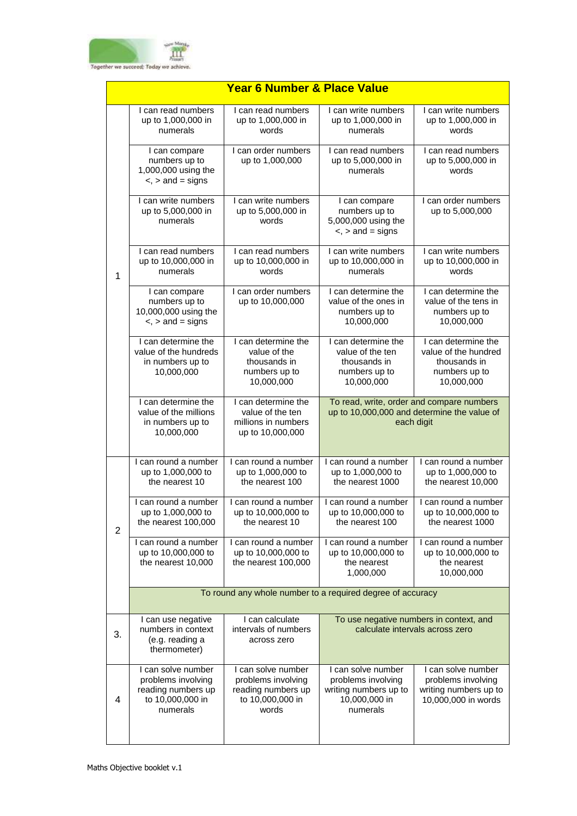

|                | <b>Year 6 Number &amp; Place Value</b>                                                         |                                                                                             |                                                                                                        |                                                                                            |  |  |
|----------------|------------------------------------------------------------------------------------------------|---------------------------------------------------------------------------------------------|--------------------------------------------------------------------------------------------------------|--------------------------------------------------------------------------------------------|--|--|
|                | I can read numbers<br>up to 1,000,000 in<br>numerals                                           | $\overline{I}$ can read numbers<br>up to 1,000,000 in<br>words                              | I can write numbers<br>up to 1,000,000 in<br>numerals                                                  | I can write numbers<br>up to 1,000,000 in<br>words                                         |  |  |
|                | I can compare<br>numbers up to<br>1,000,000 using the<br>$\le$ , $>$ and = signs               | I can order numbers<br>up to 1,000,000                                                      | I can read numbers<br>up to 5,000,000 in<br>numerals                                                   | I can read numbers<br>up to 5,000,000 in<br>words                                          |  |  |
|                | I can write numbers<br>up to 5,000,000 in<br>numerals                                          | I can write numbers<br>up to 5,000,000 in<br>words                                          | I can compare<br>numbers up to<br>5,000,000 using the<br>$\le$ , $>$ and = signs                       | I can order numbers<br>up to 5,000,000                                                     |  |  |
| $\mathbf{1}$   | I can read numbers<br>up to 10,000,000 in<br>numerals                                          | I can read numbers<br>up to 10,000,000 in<br>words                                          | I can write numbers<br>up to 10,000,000 in<br>numerals                                                 | I can write numbers<br>up to 10,000,000 in<br>words                                        |  |  |
|                | I can compare<br>numbers up to<br>10,000,000 using the<br>$\le$ , $>$ and = signs              | I can order numbers<br>up to 10,000,000                                                     | I can determine the<br>value of the ones in<br>numbers up to<br>10,000,000                             | I can determine the<br>value of the tens in<br>numbers up to<br>10,000,000                 |  |  |
|                | I can determine the<br>value of the hundreds<br>in numbers up to<br>10,000,000                 | I can determine the<br>value of the<br>thousands in<br>numbers up to<br>10,000,000          | I can determine the<br>value of the ten<br>thousands in<br>numbers up to<br>10,000,000                 | I can determine the<br>value of the hundred<br>thousands in<br>numbers up to<br>10,000,000 |  |  |
|                | I can determine the<br>value of the millions<br>in numbers up to<br>10,000,000                 | I can determine the<br>value of the ten<br>millions in numbers<br>up to 10,000,000          | To read, write, order and compare numbers<br>up to 10,000,000 and determine the value of<br>each digit |                                                                                            |  |  |
|                | I can round a number<br>up to 1,000,000 to<br>the nearest 10                                   | I can round a number<br>up to 1,000,000 to<br>the nearest 100                               | I can round a number<br>up to 1,000,000 to<br>the nearest 1000                                         | I can round a number<br>up to 1,000,000 to<br>the nearest 10,000                           |  |  |
| $\overline{2}$ | I can round a number<br>up to 1,000,000 to<br>the nearest 100,000                              | I can round a number<br>up to 10,000,000 to<br>the nearest 10                               | I can round a number<br>up to 10,000,000 to<br>the nearest 100                                         | I can round a number<br>up to 10,000,000 to<br>the nearest 1000                            |  |  |
|                | I can round a number<br>up to 10,000,000 to<br>the nearest 10,000                              | I can round a number<br>up to 10,000,000 to<br>the nearest 100,000                          | I can round a number<br>up to 10,000,000 to<br>the nearest<br>1,000,000                                | I can round a number<br>up to 10,000,000 to<br>the nearest<br>10,000,000                   |  |  |
|                |                                                                                                | To round any whole number to a required degree of accuracy                                  |                                                                                                        |                                                                                            |  |  |
| 3.             | I can use negative<br>numbers in context<br>(e.g. reading a<br>thermometer)                    | I can calculate<br>intervals of numbers<br>across zero                                      |                                                                                                        | To use negative numbers in context, and<br>calculate intervals across zero                 |  |  |
| 4              | I can solve number<br>problems involving<br>reading numbers up<br>to 10,000,000 in<br>numerals | I can solve number<br>problems involving<br>reading numbers up<br>to 10,000,000 in<br>words | I can solve number<br>problems involving<br>writing numbers up to<br>10,000,000 in<br>numerals         | I can solve number<br>problems involving<br>writing numbers up to<br>10,000,000 in words   |  |  |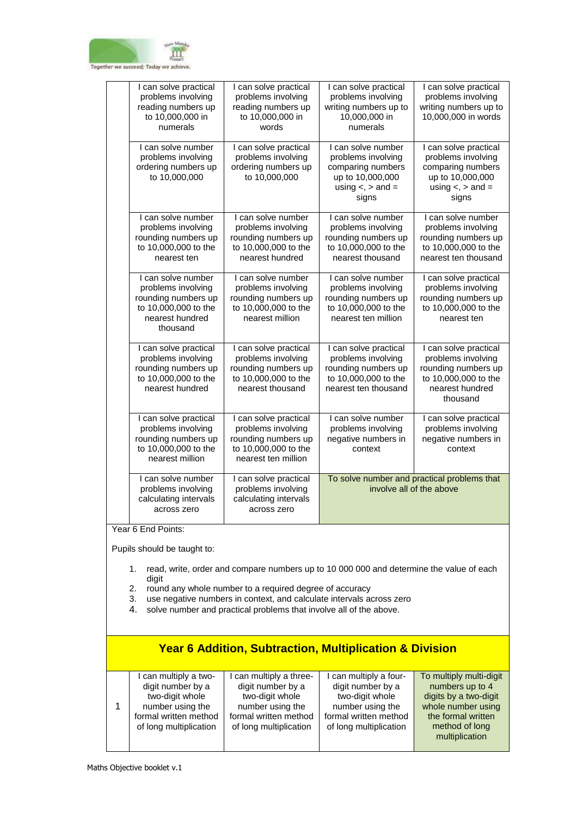

| I can solve practical<br>problems involving<br>reading numbers up<br>to 10,000,000 in<br>numerals                      | I can solve practical<br>problems involving<br>reading numbers up<br>to 10,000,000 in<br>words                    | I can solve practical<br>problems involving<br>writing numbers up to<br>10,000,000 in<br>numerals                       | I can solve practical<br>problems involving<br>writing numbers up to<br>10,000,000 in words                                |
|------------------------------------------------------------------------------------------------------------------------|-------------------------------------------------------------------------------------------------------------------|-------------------------------------------------------------------------------------------------------------------------|----------------------------------------------------------------------------------------------------------------------------|
| I can solve number<br>problems involving<br>ordering numbers up<br>to 10,000,000                                       | I can solve practical<br>problems involving<br>ordering numbers up<br>to 10,000,000                               | I can solve number<br>problems involving<br>comparing numbers<br>up to 10,000,000<br>using $\lt$ , $>$ and $=$<br>signs | I can solve practical<br>problems involving<br>comparing numbers<br>up to 10,000,000<br>using $\lt$ , $>$ and $=$<br>signs |
| I can solve number<br>problems involving<br>rounding numbers up<br>to 10,000,000 to the<br>nearest ten                 | I can solve number<br>problems involving<br>rounding numbers up<br>to 10,000,000 to the<br>nearest hundred        | I can solve number<br>problems involving<br>rounding numbers up<br>to 10,000,000 to the<br>nearest thousand             | I can solve number<br>problems involving<br>rounding numbers up<br>to 10,000,000 to the<br>nearest ten thousand            |
| I can solve number<br>problems involving<br>rounding numbers up<br>to 10,000,000 to the<br>nearest hundred<br>thousand | I can solve number<br>problems involving<br>rounding numbers up<br>to 10,000,000 to the<br>nearest million        | I can solve number<br>problems involving<br>rounding numbers up<br>to 10,000,000 to the<br>nearest ten million          | I can solve practical<br>problems involving<br>rounding numbers up<br>to 10,000,000 to the<br>nearest ten                  |
| I can solve practical<br>problems involving<br>rounding numbers up<br>to 10,000,000 to the<br>nearest hundred          | I can solve practical<br>problems involving<br>rounding numbers up<br>to 10,000,000 to the<br>nearest thousand    | I can solve practical<br>problems involving<br>rounding numbers up<br>to 10,000,000 to the<br>nearest ten thousand      | I can solve practical<br>problems involving<br>rounding numbers up<br>to 10,000,000 to the<br>nearest hundred<br>thousand  |
| I can solve practical<br>problems involving<br>rounding numbers up<br>to 10,000,000 to the<br>nearest million          | I can solve practical<br>problems involving<br>rounding numbers up<br>to 10,000,000 to the<br>nearest ten million | I can solve number<br>problems involving<br>negative numbers in<br>context                                              | I can solve practical<br>problems involving<br>negative numbers in<br>context                                              |
| I can solve number<br>problems involving<br>calculating intervals<br>across zero                                       | I can solve practical<br>problems involving<br>calculating intervals<br>across zero                               | To solve number and practical problems that<br>involve all of the above                                                 |                                                                                                                            |

Year 6 End Points:

Pupils should be taught to:

- 1. read, write, order and compare numbers up to 10 000 000 and determine the value of each digit
- 2. round any whole number to a required degree of accuracy
- 3. use negative numbers in context, and calculate intervals across zero
- 4. solve number and practical problems that involve all of the above.

## **Year 6 Addition, Subtraction, Multiplication & Division**

| I can multiply a two-  | can multiply a three-  | can multiply a four-   | To multiply multi-digit |
|------------------------|------------------------|------------------------|-------------------------|
| digit number by a      | digit number by a      | digit number by a      | numbers up to 4         |
| two-digit whole        | two-digit whole        | two-digit whole        | digits by a two-digit   |
| number using the       | number using the       | number using the       | whole number using      |
| formal written method  | formal written method  | formal written method  | the formal written      |
| of long multiplication | of long multiplication | of long multiplication | method of long          |
|                        |                        |                        | multiplication          |
|                        |                        |                        |                         |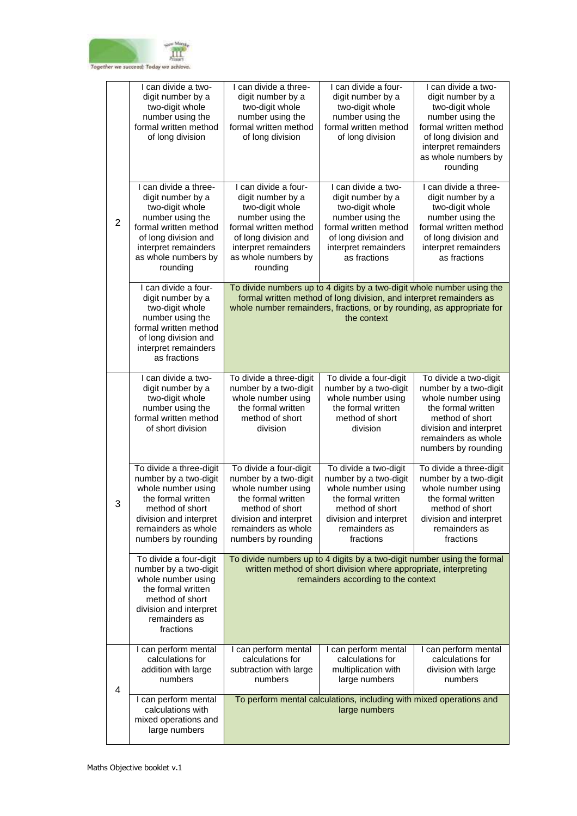

| $\overline{2}$ | I can divide a two-<br>digit number by a<br>two-digit whole<br>number using the<br>formal written method<br>of long division                                                                  | I can divide a three-<br>digit number by a<br>two-digit whole<br>number using the<br>formal written method<br>of long division                                                                                                         | I can divide a four-<br>digit number by a<br>two-digit whole<br>number using the<br>formal written method<br>of long division                                                      | I can divide a two-<br>digit number by a<br>two-digit whole<br>number using the<br>formal written method<br>of long division and<br>interpret remainders<br>as whole numbers by<br>rounding |
|----------------|-----------------------------------------------------------------------------------------------------------------------------------------------------------------------------------------------|----------------------------------------------------------------------------------------------------------------------------------------------------------------------------------------------------------------------------------------|------------------------------------------------------------------------------------------------------------------------------------------------------------------------------------|---------------------------------------------------------------------------------------------------------------------------------------------------------------------------------------------|
|                | I can divide a three-<br>digit number by a<br>two-digit whole<br>number using the<br>formal written method<br>of long division and<br>interpret remainders<br>as whole numbers by<br>rounding | I can divide a four-<br>digit number by a<br>two-digit whole<br>number using the<br>formal written method<br>of long division and<br>interpret remainders<br>as whole numbers by<br>rounding                                           | I can divide a two-<br>digit number by a<br>two-digit whole<br>number using the<br>formal written method<br>of long division and<br>interpret remainders<br>as fractions           | I can divide a three-<br>digit number by a<br>two-digit whole<br>number using the<br>formal written method<br>of long division and<br>interpret remainders<br>as fractions                  |
|                | I can divide a four-<br>digit number by a<br>two-digit whole<br>number using the<br>formal written method<br>of long division and<br>interpret remainders<br>as fractions                     | To divide numbers up to 4 digits by a two-digit whole number using the<br>formal written method of long division, and interpret remainders as<br>whole number remainders, fractions, or by rounding, as appropriate for<br>the context |                                                                                                                                                                                    |                                                                                                                                                                                             |
| 3              | I can divide a two-<br>digit number by a<br>two-digit whole<br>number using the<br>formal written method<br>of short division                                                                 | To divide a three-digit<br>number by a two-digit<br>whole number using<br>the formal written<br>method of short<br>division                                                                                                            | To divide a four-digit<br>number by a two-digit<br>whole number using<br>the formal written<br>method of short<br>division                                                         | To divide a two-digit<br>number by a two-digit<br>whole number using<br>the formal written<br>method of short<br>division and interpret<br>remainders as whole<br>numbers by rounding       |
|                | To divide a three-digit<br>number by a two-digit<br>whole number using<br>the formal written<br>method of short<br>division and interpret<br>remainders as whole<br>numbers by rounding       | To divide a four-digit<br>number by a two-digit<br>whole number using<br>the formal written<br>method of short<br>division and interpret<br>remainders as whole<br>numbers by rounding                                                 | To divide a two-digit<br>number by a two-digit<br>whole number using<br>the formal written<br>method of short<br>division and interpret<br>remainders as<br>fractions              | To divide a three-digit<br>number by a two-digit<br>whole number using<br>the formal written<br>method of short<br>division and interpret<br>remainders as<br>fractions                     |
|                | To divide a four-digit<br>number by a two-digit<br>whole number using<br>the formal written<br>method of short<br>division and interpret<br>remainders as<br>fractions                        |                                                                                                                                                                                                                                        | To divide numbers up to 4 digits by a two-digit number using the formal<br>written method of short division where appropriate, interpreting<br>remainders according to the context |                                                                                                                                                                                             |
| 4              | I can perform mental<br>calculations for<br>addition with large<br>numbers                                                                                                                    | I can perform mental<br>calculations for<br>subtraction with large<br>numbers                                                                                                                                                          | I can perform mental<br>calculations for<br>multiplication with<br>large numbers                                                                                                   | I can perform mental<br>calculations for<br>division with large<br>numbers                                                                                                                  |
|                | I can perform mental<br>calculations with<br>mixed operations and<br>large numbers                                                                                                            |                                                                                                                                                                                                                                        | To perform mental calculations, including with mixed operations and<br>large numbers                                                                                               |                                                                                                                                                                                             |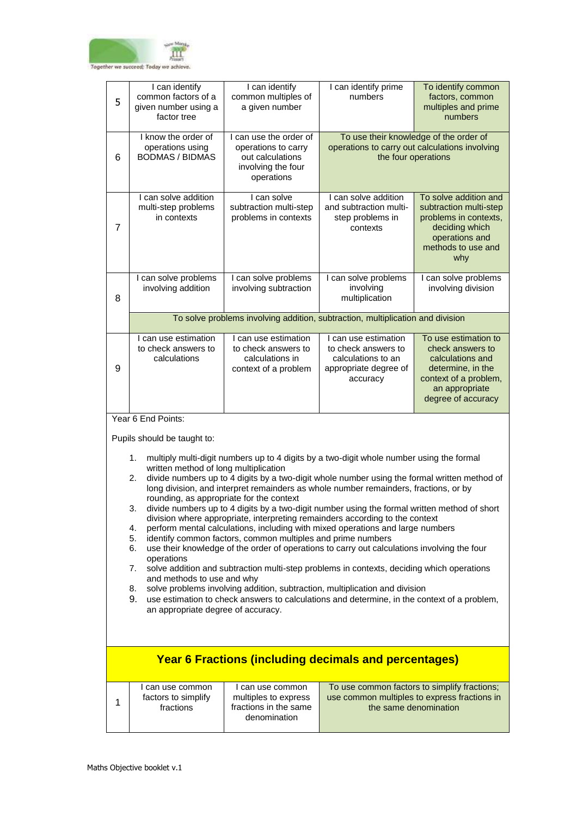

| 5              | I can identify<br>common factors of a<br>given number using a<br>factor tree                                                                | I can identify<br>common multiples of<br>a given number                                               | I can identify prime<br>numbers                                                                                                                                                      | To identify common<br>factors, common<br>multiples and prime<br>numbers                                                                            |  |  |
|----------------|---------------------------------------------------------------------------------------------------------------------------------------------|-------------------------------------------------------------------------------------------------------|--------------------------------------------------------------------------------------------------------------------------------------------------------------------------------------|----------------------------------------------------------------------------------------------------------------------------------------------------|--|--|
| 6              | I know the order of<br>operations using<br><b>BODMAS / BIDMAS</b>                                                                           | I can use the order of<br>operations to carry<br>out calculations<br>involving the four<br>operations | To use their knowledge of the order of<br>operations to carry out calculations involving<br>the four operations                                                                      |                                                                                                                                                    |  |  |
| $\overline{7}$ | I can solve addition<br>multi-step problems<br>in contexts                                                                                  | I can solve<br>subtraction multi-step<br>problems in contexts                                         | I can solve addition<br>and subtraction multi-<br>step problems in<br>contexts                                                                                                       | To solve addition and<br>subtraction multi-step<br>problems in contexts,<br>deciding which<br>operations and<br>methods to use and<br>why          |  |  |
| 8              | I can solve problems<br>involving addition                                                                                                  | I can solve problems<br>involving subtraction                                                         | I can solve problems<br>involving<br>multiplication                                                                                                                                  | I can solve problems<br>involving division                                                                                                         |  |  |
|                |                                                                                                                                             |                                                                                                       | To solve problems involving addition, subtraction, multiplication and division                                                                                                       |                                                                                                                                                    |  |  |
| 9              | I can use estimation<br>to check answers to<br>calculations                                                                                 | I can use estimation<br>to check answers to<br>calculations in<br>context of a problem                | I can use estimation<br>to check answers to<br>calculations to an<br>appropriate degree of<br>accuracy                                                                               | To use estimation to<br>check answers to<br>calculations and<br>determine, in the<br>context of a problem,<br>an appropriate<br>degree of accuracy |  |  |
|                | Year 6 End Points:                                                                                                                          |                                                                                                       |                                                                                                                                                                                      |                                                                                                                                                    |  |  |
|                | Pupils should be taught to:                                                                                                                 |                                                                                                       |                                                                                                                                                                                      |                                                                                                                                                    |  |  |
|                | 1.<br>written method of long multiplication                                                                                                 |                                                                                                       | multiply multi-digit numbers up to 4 digits by a two-digit whole number using the formal                                                                                             |                                                                                                                                                    |  |  |
|                | 2.                                                                                                                                          |                                                                                                       | divide numbers up to 4 digits by a two-digit whole number using the formal written method of<br>long division, and interpret remainders as whole number remainders, fractions, or by |                                                                                                                                                    |  |  |
|                | rounding, as appropriate for the context<br>3.                                                                                              |                                                                                                       | divide numbers up to 4 digits by a two-digit number using the formal written method of short                                                                                         |                                                                                                                                                    |  |  |
|                | 4.                                                                                                                                          |                                                                                                       | division where appropriate, interpreting remainders according to the context<br>perform mental calculations, including with mixed operations and large numbers                       |                                                                                                                                                    |  |  |
|                | 5.<br>6.                                                                                                                                    | identify common factors, common multiples and prime numbers                                           | use their knowledge of the order of operations to carry out calculations involving the four                                                                                          |                                                                                                                                                    |  |  |
|                | operations<br>solve addition and subtraction multi-step problems in contexts, deciding which operations<br>7.<br>and methods to use and why |                                                                                                       |                                                                                                                                                                                      |                                                                                                                                                    |  |  |
|                | 8.<br>9.                                                                                                                                    |                                                                                                       | solve problems involving addition, subtraction, multiplication and division                                                                                                          |                                                                                                                                                    |  |  |
|                | use estimation to check answers to calculations and determine, in the context of a problem,<br>an appropriate degree of accuracy.           |                                                                                                       |                                                                                                                                                                                      |                                                                                                                                                    |  |  |
|                |                                                                                                                                             |                                                                                                       |                                                                                                                                                                                      |                                                                                                                                                    |  |  |
|                |                                                                                                                                             |                                                                                                       | <b>Year 6 Fractions (including decimals and percentages)</b>                                                                                                                         |                                                                                                                                                    |  |  |
| 1              | I can use common<br>factors to simplify<br>fractions                                                                                        | I can use common<br>multiples to express<br>fractions in the same<br>denomination                     | use common multiples to express fractions in<br>the same denomination                                                                                                                | To use common factors to simplify fractions;                                                                                                       |  |  |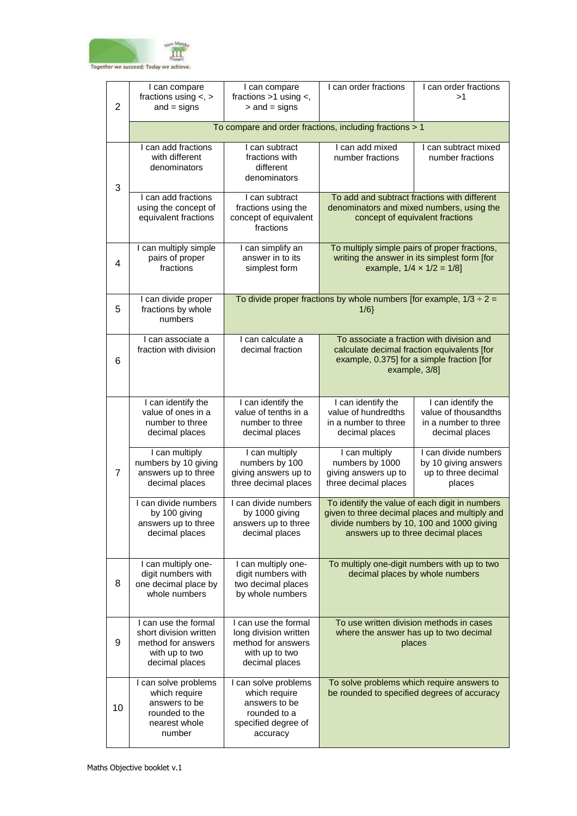

| $\overline{2}$ | I can compare<br>fractions using $\lt$ , $>$<br>$and = signs$                                            | I can compare<br>fractions >1 using <,<br>$>$ and $=$ signs                                               | I can order fractions                                                                                                                                                               | I can order fractions<br>>1                                                               |
|----------------|----------------------------------------------------------------------------------------------------------|-----------------------------------------------------------------------------------------------------------|-------------------------------------------------------------------------------------------------------------------------------------------------------------------------------------|-------------------------------------------------------------------------------------------|
|                |                                                                                                          | To compare and order fractions, including fractions > 1                                                   |                                                                                                                                                                                     |                                                                                           |
| 3              | I can add fractions<br>with different<br>denominators                                                    | I can subtract<br>fractions with<br>different<br>denominators                                             | I can add mixed<br>number fractions                                                                                                                                                 | I can subtract mixed<br>number fractions                                                  |
|                | I can add fractions<br>using the concept of<br>equivalent fractions                                      | I can subtract<br>fractions using the<br>concept of equivalent<br>fractions                               | To add and subtract fractions with different<br>denominators and mixed numbers, using the<br>concept of equivalent fractions                                                        |                                                                                           |
| $\overline{4}$ | I can multiply simple<br>pairs of proper<br>fractions                                                    | I can simplify an<br>answer in to its<br>simplest form                                                    | To multiply simple pairs of proper fractions,<br>writing the answer in its simplest form [for<br>example, $1/4 \times 1/2 = 1/8$ ]                                                  |                                                                                           |
| 5              | I can divide proper<br>fractions by whole<br>numbers                                                     |                                                                                                           | To divide proper fractions by whole numbers [for example, $1/3 \div 2 =$<br>$1/6$ }                                                                                                 |                                                                                           |
| 6              | I can associate a<br>fraction with division                                                              | I can calculate a<br>decimal fraction                                                                     | To associate a fraction with division and<br>calculate decimal fraction equivalents [for<br>example, 0.375] for a simple fraction [for<br>example, 3/8]                             |                                                                                           |
|                | I can identify the<br>value of ones in a<br>number to three<br>decimal places                            | I can identify the<br>value of tenths in a<br>number to three<br>decimal places                           | I can identify the<br>value of hundredths<br>in a number to three<br>decimal places                                                                                                 | I can identify the<br>value of thousandths<br>in a number to three<br>decimal places      |
| $\overline{7}$ | I can multiply<br>numbers by 10 giving<br>answers up to three<br>decimal places                          | I can multiply<br>numbers by 100<br>giving answers up to<br>three decimal places                          | I can multiply<br>numbers by 1000<br>giving answers up to<br>three decimal places                                                                                                   | I can divide numbers<br>by 10 giving answers<br>up to three decimal<br>places             |
|                | I can divide numbers<br>by 100 giving<br>answers up to three<br>decimal places                           | I can divide numbers<br>by 1000 giving<br>answers up to three<br>decimal places                           | To identify the value of each digit in numbers<br>given to three decimal places and multiply and<br>divide numbers by 10, 100 and 1000 giving<br>answers up to three decimal places |                                                                                           |
| 8              | I can multiply one-<br>digit numbers with<br>one decimal place by<br>whole numbers                       | I can multiply one-<br>digit numbers with<br>two decimal places<br>by whole numbers                       | To multiply one-digit numbers with up to two<br>decimal places by whole numbers                                                                                                     |                                                                                           |
| 9              | I can use the formal<br>short division written<br>method for answers<br>with up to two<br>decimal places | I can use the formal<br>long division written<br>method for answers<br>with up to two<br>decimal places   | To use written division methods in cases<br>where the answer has up to two decimal<br>places                                                                                        |                                                                                           |
| 10             | I can solve problems<br>which require<br>answers to be<br>rounded to the<br>nearest whole<br>number      | I can solve problems<br>which require<br>answers to be<br>rounded to a<br>specified degree of<br>accuracy |                                                                                                                                                                                     | To solve problems which require answers to<br>be rounded to specified degrees of accuracy |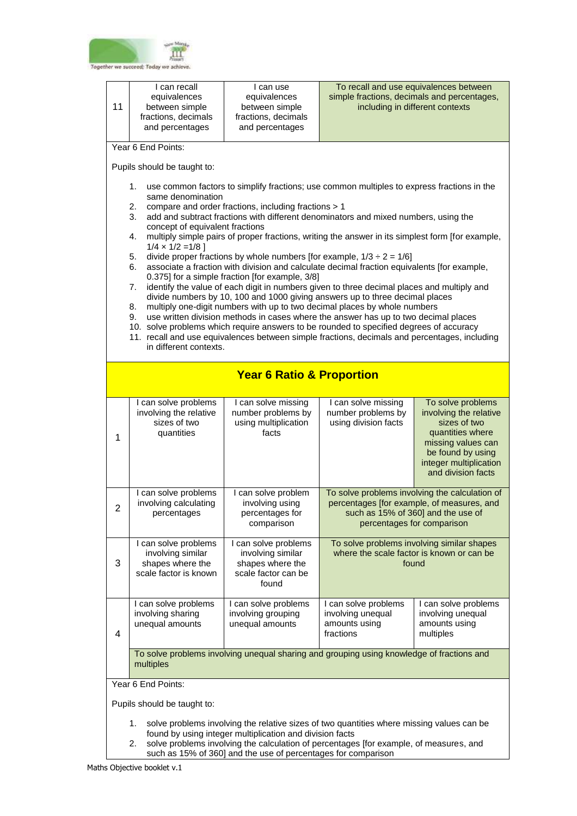

| 11                                                                                                                                                                                                                                                                                                                                                                                                                                                                                                                                                                                                                                                                                                                                                                                                                                                                                                                                                                            | I can recall<br>equivalences<br>between simple<br>fractions, decimals<br>and percentages                                                                                                                                                                                                                        | I can use<br>equivalences<br>between simple<br>fractions, decimals<br>and percentages         | including in different contexts                                                                  | To recall and use equivalences between<br>simple fractions, decimals and percentages,                                                                                      |  |  |  |
|-------------------------------------------------------------------------------------------------------------------------------------------------------------------------------------------------------------------------------------------------------------------------------------------------------------------------------------------------------------------------------------------------------------------------------------------------------------------------------------------------------------------------------------------------------------------------------------------------------------------------------------------------------------------------------------------------------------------------------------------------------------------------------------------------------------------------------------------------------------------------------------------------------------------------------------------------------------------------------|-----------------------------------------------------------------------------------------------------------------------------------------------------------------------------------------------------------------------------------------------------------------------------------------------------------------|-----------------------------------------------------------------------------------------------|--------------------------------------------------------------------------------------------------|----------------------------------------------------------------------------------------------------------------------------------------------------------------------------|--|--|--|
|                                                                                                                                                                                                                                                                                                                                                                                                                                                                                                                                                                                                                                                                                                                                                                                                                                                                                                                                                                               | Year 6 End Points:                                                                                                                                                                                                                                                                                              |                                                                                               |                                                                                                  |                                                                                                                                                                            |  |  |  |
|                                                                                                                                                                                                                                                                                                                                                                                                                                                                                                                                                                                                                                                                                                                                                                                                                                                                                                                                                                               | Pupils should be taught to:                                                                                                                                                                                                                                                                                     |                                                                                               |                                                                                                  |                                                                                                                                                                            |  |  |  |
| use common factors to simplify fractions; use common multiples to express fractions in the<br>1.<br>same denomination<br>compare and order fractions, including fractions > 1<br>2.<br>3.<br>add and subtract fractions with different denominators and mixed numbers, using the<br>concept of equivalent fractions<br>multiply simple pairs of proper fractions, writing the answer in its simplest form [for example,<br>4.<br>$1/4 \times 1/2 = 1/8$ ]<br>divide proper fractions by whole numbers [for example, $1/3 \div 2 = 1/6$ ]<br>5.<br>associate a fraction with division and calculate decimal fraction equivalents [for example,<br>6.<br>0.375] for a simple fraction [for example, 3/8]<br>identify the value of each digit in numbers given to three decimal places and multiply and<br>7.<br>divide numbers by 10, 100 and 1000 giving answers up to three decimal places<br>multiply one-digit numbers with up to two decimal places by whole numbers<br>8. |                                                                                                                                                                                                                                                                                                                 |                                                                                               |                                                                                                  |                                                                                                                                                                            |  |  |  |
|                                                                                                                                                                                                                                                                                                                                                                                                                                                                                                                                                                                                                                                                                                                                                                                                                                                                                                                                                                               | use written division methods in cases where the answer has up to two decimal places<br>9.<br>10. solve problems which require answers to be rounded to specified degrees of accuracy<br>11. recall and use equivalences between simple fractions, decimals and percentages, including<br>in different contexts. |                                                                                               |                                                                                                  |                                                                                                                                                                            |  |  |  |
| <b>Year 6 Ratio &amp; Proportion</b>                                                                                                                                                                                                                                                                                                                                                                                                                                                                                                                                                                                                                                                                                                                                                                                                                                                                                                                                          |                                                                                                                                                                                                                                                                                                                 |                                                                                               |                                                                                                  |                                                                                                                                                                            |  |  |  |
| 1                                                                                                                                                                                                                                                                                                                                                                                                                                                                                                                                                                                                                                                                                                                                                                                                                                                                                                                                                                             | I can solve problems<br>involving the relative<br>sizes of two<br>quantities                                                                                                                                                                                                                                    | I can solve missing<br>number problems by<br>using multiplication<br>facts                    | I can solve missing<br>number problems by<br>using division facts                                | To solve problems<br>involving the relative<br>sizes of two<br>quantities where<br>missing values can<br>be found by using<br>integer multiplication<br>and division facts |  |  |  |
| 2                                                                                                                                                                                                                                                                                                                                                                                                                                                                                                                                                                                                                                                                                                                                                                                                                                                                                                                                                                             | I can solve problems<br>involving calculating<br>percentages                                                                                                                                                                                                                                                    | I can solve problem<br>involving using<br>percentages for<br>comparison                       | such as 15% of 360] and the use of                                                               | To solve problems involving the calculation of<br>percentages [for example, of measures, and<br>percentages for comparison                                                 |  |  |  |
| 3                                                                                                                                                                                                                                                                                                                                                                                                                                                                                                                                                                                                                                                                                                                                                                                                                                                                                                                                                                             | I can solve problems<br>involving similar<br>shapes where the<br>scale factor is known                                                                                                                                                                                                                          | I can solve problems<br>involving similar<br>shapes where the<br>scale factor can be<br>found | To solve problems involving similar shapes<br>where the scale factor is known or can be<br>found |                                                                                                                                                                            |  |  |  |
| 4                                                                                                                                                                                                                                                                                                                                                                                                                                                                                                                                                                                                                                                                                                                                                                                                                                                                                                                                                                             | I can solve problems<br>involving sharing<br>unequal amounts                                                                                                                                                                                                                                                    | I can solve problems<br>involving grouping<br>unequal amounts                                 | I can solve problems<br>involving unequal<br>amounts using<br>fractions                          | I can solve problems<br>involving unequal<br>amounts using<br>multiples                                                                                                    |  |  |  |
| To solve problems involving unequal sharing and grouping using knowledge of fractions and<br>multiples                                                                                                                                                                                                                                                                                                                                                                                                                                                                                                                                                                                                                                                                                                                                                                                                                                                                        |                                                                                                                                                                                                                                                                                                                 |                                                                                               |                                                                                                  |                                                                                                                                                                            |  |  |  |
|                                                                                                                                                                                                                                                                                                                                                                                                                                                                                                                                                                                                                                                                                                                                                                                                                                                                                                                                                                               | Year 6 End Points:                                                                                                                                                                                                                                                                                              |                                                                                               |                                                                                                  |                                                                                                                                                                            |  |  |  |
|                                                                                                                                                                                                                                                                                                                                                                                                                                                                                                                                                                                                                                                                                                                                                                                                                                                                                                                                                                               | Pupils should be taught to:<br>solve problems involving the relative sizes of two quantities where missing values can be<br>1.                                                                                                                                                                                  |                                                                                               |                                                                                                  |                                                                                                                                                                            |  |  |  |
|                                                                                                                                                                                                                                                                                                                                                                                                                                                                                                                                                                                                                                                                                                                                                                                                                                                                                                                                                                               | found by using integer multiplication and division facts<br>solve problems involving the calculation of percentages [for example, of measures, and<br>2.                                                                                                                                                        |                                                                                               |                                                                                                  |                                                                                                                                                                            |  |  |  |

such as 15% of 360] and the use of percentages for comparison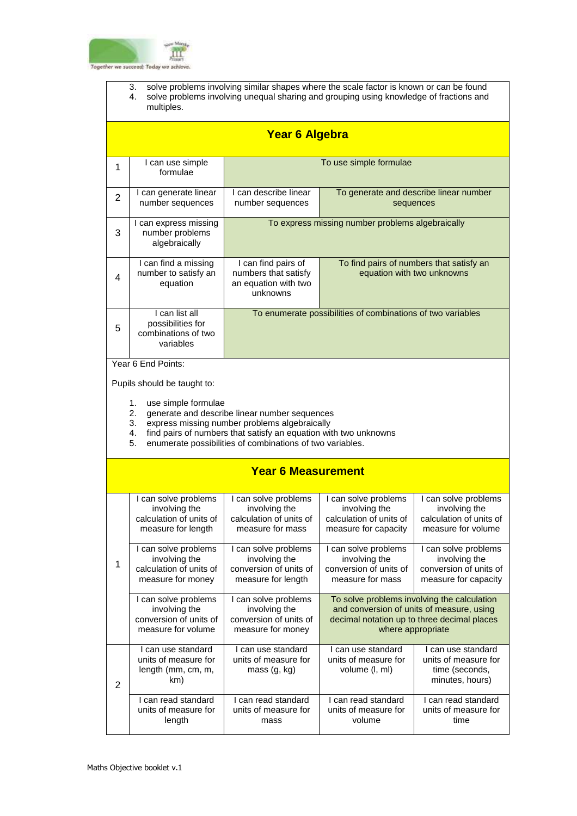

- 3. solve problems involving similar shapes where the scale factor is known or can be found
- 4. solve problems involving unequal sharing and grouping using knowledge of fractions and multiples.

|                                                                                                                                                                               | <b>Year 6 Algebra</b>                                                                  |                                                                                                                                                                                                                                 |                                                                                                                                                              |                                                                                         |  |
|-------------------------------------------------------------------------------------------------------------------------------------------------------------------------------|----------------------------------------------------------------------------------------|---------------------------------------------------------------------------------------------------------------------------------------------------------------------------------------------------------------------------------|--------------------------------------------------------------------------------------------------------------------------------------------------------------|-----------------------------------------------------------------------------------------|--|
| 1                                                                                                                                                                             | I can use simple<br>formulae                                                           |                                                                                                                                                                                                                                 | To use simple formulae                                                                                                                                       |                                                                                         |  |
| $\overline{2}$                                                                                                                                                                | I can generate linear<br>number sequences                                              | I can describe linear<br>number sequences                                                                                                                                                                                       |                                                                                                                                                              | To generate and describe linear number<br>sequences                                     |  |
| 3                                                                                                                                                                             | I can express missing<br>number problems<br>algebraically                              | To express missing number problems algebraically                                                                                                                                                                                |                                                                                                                                                              |                                                                                         |  |
| 4                                                                                                                                                                             | I can find a missing<br>number to satisfy an<br>equation                               | I can find pairs of<br>To find pairs of numbers that satisfy an<br>numbers that satisfy<br>equation with two unknowns<br>an equation with two<br>unknowns                                                                       |                                                                                                                                                              |                                                                                         |  |
| 5                                                                                                                                                                             | I can list all<br>possibilities for<br>combinations of two<br>variables                | To enumerate possibilities of combinations of two variables                                                                                                                                                                     |                                                                                                                                                              |                                                                                         |  |
| Year 6 End Points:                                                                                                                                                            |                                                                                        |                                                                                                                                                                                                                                 |                                                                                                                                                              |                                                                                         |  |
|                                                                                                                                                                               | Pupils should be taught to:                                                            |                                                                                                                                                                                                                                 |                                                                                                                                                              |                                                                                         |  |
|                                                                                                                                                                               | 1.<br>use simple formulae<br>2.<br>3.<br>4.<br>5.                                      | generate and describe linear number sequences<br>express missing number problems algebraically<br>find pairs of numbers that satisfy an equation with two unknowns<br>enumerate possibilities of combinations of two variables. |                                                                                                                                                              |                                                                                         |  |
|                                                                                                                                                                               |                                                                                        | <b>Year 6 Measurement</b>                                                                                                                                                                                                       |                                                                                                                                                              |                                                                                         |  |
|                                                                                                                                                                               |                                                                                        |                                                                                                                                                                                                                                 |                                                                                                                                                              |                                                                                         |  |
|                                                                                                                                                                               | I can solve problems<br>involving the<br>calculation of units of<br>measure for length | I can solve problems<br>involving the<br>calculation of units of<br>measure for mass                                                                                                                                            | I can solve problems<br>involving the<br>calculation of units of<br>measure for capacity                                                                     | I can solve problems<br>involving the<br>calculation of units of<br>measure for volume  |  |
| 1                                                                                                                                                                             | I can solve problems<br>involving the<br>calculation of units of<br>measure for money  | I can solve problems<br>involving the<br>conversion of units of<br>measure for length                                                                                                                                           | I can solve problems<br>involving the<br>conversion of units of<br>measure for mass                                                                          | I can solve problems<br>involving the<br>conversion of units of<br>measure for capacity |  |
| I can solve problems<br>I can solve problems<br>involving the<br>involving the<br>conversion of units of<br>conversion of units of<br>measure for volume<br>measure for money |                                                                                        |                                                                                                                                                                                                                                 | To solve problems involving the calculation<br>and conversion of units of measure, using<br>decimal notation up to three decimal places<br>where appropriate |                                                                                         |  |
| $\overline{2}$                                                                                                                                                                | I can use standard<br>units of measure for<br>length (mm, cm, m,<br>km)                | I can use standard<br>units of measure for<br>mass (g, kg)                                                                                                                                                                      | I can use standard<br>units of measure for<br>volume (I, ml)                                                                                                 | I can use standard<br>units of measure for<br>time (seconds,<br>minutes, hours)         |  |
|                                                                                                                                                                               | I can read standard<br>units of measure for<br>length                                  | I can read standard<br>units of measure for<br>mass                                                                                                                                                                             | I can read standard<br>units of measure for<br>volume                                                                                                        | I can read standard<br>units of measure for<br>time                                     |  |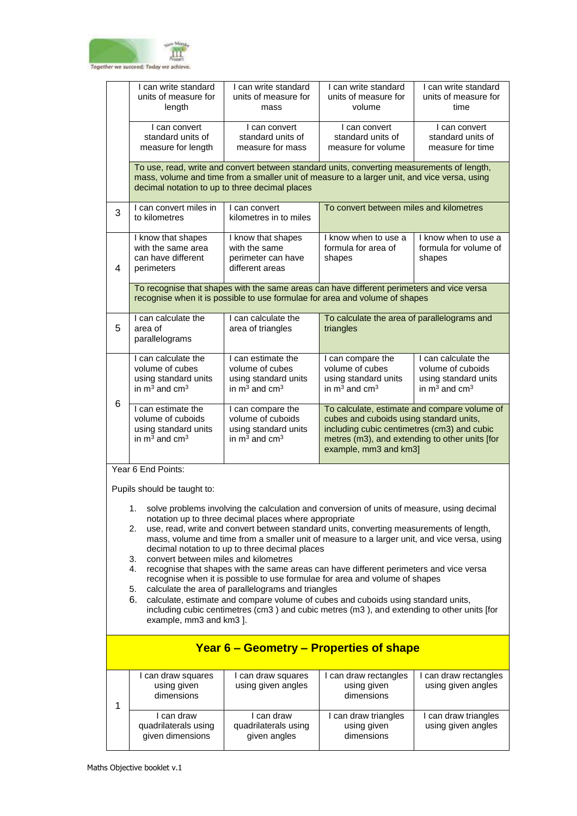

|                                                                                                                                                                                                                                                                                                                                                                                                                                                                                                                                                                                                                                                                                                                                                                                                                                                                                                                                                       | I can write standard<br>units of measure for<br>length                                                                                                                                                                                       | I can write standard<br>units of measure for<br>mass                                           | I can write standard<br>units of measure for<br>volume                                                                                                                                                            | I can write standard<br>units of measure for<br>time                                             |  |
|-------------------------------------------------------------------------------------------------------------------------------------------------------------------------------------------------------------------------------------------------------------------------------------------------------------------------------------------------------------------------------------------------------------------------------------------------------------------------------------------------------------------------------------------------------------------------------------------------------------------------------------------------------------------------------------------------------------------------------------------------------------------------------------------------------------------------------------------------------------------------------------------------------------------------------------------------------|----------------------------------------------------------------------------------------------------------------------------------------------------------------------------------------------------------------------------------------------|------------------------------------------------------------------------------------------------|-------------------------------------------------------------------------------------------------------------------------------------------------------------------------------------------------------------------|--------------------------------------------------------------------------------------------------|--|
|                                                                                                                                                                                                                                                                                                                                                                                                                                                                                                                                                                                                                                                                                                                                                                                                                                                                                                                                                       | I can convert<br>standard units of<br>measure for length                                                                                                                                                                                     | I can convert<br>standard units of<br>measure for mass                                         | I can convert<br>standard units of<br>measure for volume                                                                                                                                                          | I can convert<br>standard units of<br>measure for time                                           |  |
|                                                                                                                                                                                                                                                                                                                                                                                                                                                                                                                                                                                                                                                                                                                                                                                                                                                                                                                                                       | To use, read, write and convert between standard units, converting measurements of length,<br>mass, volume and time from a smaller unit of measure to a larger unit, and vice versa, using<br>decimal notation to up to three decimal places |                                                                                                |                                                                                                                                                                                                                   |                                                                                                  |  |
| 3                                                                                                                                                                                                                                                                                                                                                                                                                                                                                                                                                                                                                                                                                                                                                                                                                                                                                                                                                     | I can convert miles in<br>to kilometres                                                                                                                                                                                                      | I can convert<br>kilometres in to miles                                                        | To convert between miles and kilometres                                                                                                                                                                           |                                                                                                  |  |
| 4                                                                                                                                                                                                                                                                                                                                                                                                                                                                                                                                                                                                                                                                                                                                                                                                                                                                                                                                                     | I know that shapes<br>with the same area<br>can have different<br>perimeters                                                                                                                                                                 | I know that shapes<br>with the same<br>perimeter can have<br>different areas                   | I know when to use a<br>formula for area of<br>shapes                                                                                                                                                             | I know when to use a<br>formula for volume of<br>shapes                                          |  |
|                                                                                                                                                                                                                                                                                                                                                                                                                                                                                                                                                                                                                                                                                                                                                                                                                                                                                                                                                       | To recognise that shapes with the same areas can have different perimeters and vice versa<br>recognise when it is possible to use formulae for area and volume of shapes                                                                     |                                                                                                |                                                                                                                                                                                                                   |                                                                                                  |  |
| 5                                                                                                                                                                                                                                                                                                                                                                                                                                                                                                                                                                                                                                                                                                                                                                                                                                                                                                                                                     | I can calculate the<br>area of<br>parallelograms                                                                                                                                                                                             | I can calculate the<br>area of triangles                                                       | To calculate the area of parallelograms and<br>triangles                                                                                                                                                          |                                                                                                  |  |
| 6                                                                                                                                                                                                                                                                                                                                                                                                                                                                                                                                                                                                                                                                                                                                                                                                                                                                                                                                                     | I can calculate the<br>volume of cubes<br>using standard units<br>in $m^3$ and cm <sup>3</sup>                                                                                                                                               | I can estimate the<br>volume of cubes<br>using standard units<br>in $m^3$ and cm <sup>3</sup>  | I can compare the<br>volume of cubes<br>using standard units<br>in $m^3$ and cm <sup>3</sup>                                                                                                                      | I can calculate the<br>volume of cuboids<br>using standard units<br>in $m^3$ and cm <sup>3</sup> |  |
|                                                                                                                                                                                                                                                                                                                                                                                                                                                                                                                                                                                                                                                                                                                                                                                                                                                                                                                                                       | I can estimate the<br>volume of cuboids<br>using standard units<br>in $m^3$ and cm <sup>3</sup>                                                                                                                                              | I can compare the<br>volume of cuboids<br>using standard units<br>in $m^3$ and cm <sup>3</sup> | To calculate, estimate and compare volume of<br>cubes and cuboids using standard units,<br>including cubic centimetres (cm3) and cubic<br>metres (m3), and extending to other units [for<br>example, mm3 and km3] |                                                                                                  |  |
|                                                                                                                                                                                                                                                                                                                                                                                                                                                                                                                                                                                                                                                                                                                                                                                                                                                                                                                                                       | Year 6 End Points:                                                                                                                                                                                                                           |                                                                                                |                                                                                                                                                                                                                   |                                                                                                  |  |
| Pupils should be taught to:<br>1. solve problems involving the calculation and conversion of units of measure, using decimal<br>notation up to three decimal places where appropriate<br>use, read, write and convert between standard units, converting measurements of length,<br>2.<br>mass, volume and time from a smaller unit of measure to a larger unit, and vice versa, using<br>decimal notation to up to three decimal places<br>convert between miles and kilometres<br>3.<br>4.<br>recognise that shapes with the same areas can have different perimeters and vice versa<br>recognise when it is possible to use formulae for area and volume of shapes<br>calculate the area of parallelograms and triangles<br>5.<br>6.<br>calculate, estimate and compare volume of cubes and cuboids using standard units,<br>including cubic centimetres (cm3) and cubic metres (m3), and extending to other units [for<br>example, mm3 and km3 ]. |                                                                                                                                                                                                                                              |                                                                                                |                                                                                                                                                                                                                   |                                                                                                  |  |
| Year 6 – Geometry – Properties of shape                                                                                                                                                                                                                                                                                                                                                                                                                                                                                                                                                                                                                                                                                                                                                                                                                                                                                                               |                                                                                                                                                                                                                                              |                                                                                                |                                                                                                                                                                                                                   |                                                                                                  |  |
| 1                                                                                                                                                                                                                                                                                                                                                                                                                                                                                                                                                                                                                                                                                                                                                                                                                                                                                                                                                     | I can draw squares<br>using given<br>dimensions                                                                                                                                                                                              | I can draw squares<br>using given angles                                                       | I can draw rectangles<br>using given<br>dimensions                                                                                                                                                                | I can draw rectangles<br>using given angles                                                      |  |
|                                                                                                                                                                                                                                                                                                                                                                                                                                                                                                                                                                                                                                                                                                                                                                                                                                                                                                                                                       | I can draw<br>quadrilaterals using<br>given dimensions                                                                                                                                                                                       | I can draw<br>quadrilaterals using<br>given angles                                             | I can draw triangles<br>using given<br>dimensions                                                                                                                                                                 | I can draw triangles<br>using given angles                                                       |  |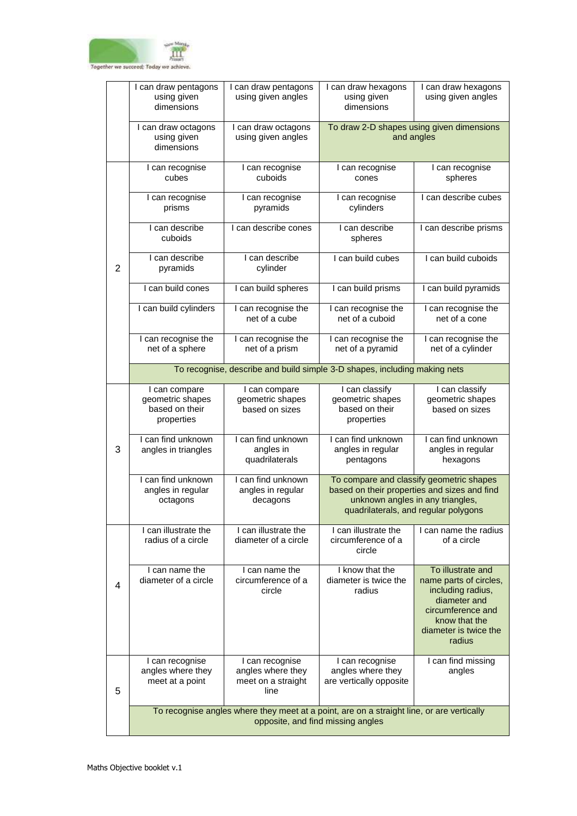

|                | I can draw pentagons<br>using given<br>dimensions                                                                              | I can draw pentagons<br>using given angles                         | I can draw hexagons<br>using given<br>dimensions                                                                                                                     | I can draw hexagons<br>using given angles                                                                                                                 |
|----------------|--------------------------------------------------------------------------------------------------------------------------------|--------------------------------------------------------------------|----------------------------------------------------------------------------------------------------------------------------------------------------------------------|-----------------------------------------------------------------------------------------------------------------------------------------------------------|
|                | I can draw octagons<br>using given<br>dimensions                                                                               | I can draw octagons<br>using given angles                          |                                                                                                                                                                      | To draw 2-D shapes using given dimensions<br>and angles                                                                                                   |
| $\overline{2}$ | I can recognise<br>cubes                                                                                                       | I can recognise<br>cuboids                                         | I can recognise<br>cones                                                                                                                                             | I can recognise<br>spheres                                                                                                                                |
|                | I can recognise<br>prisms                                                                                                      | I can recognise<br>pyramids                                        | I can recognise<br>cylinders                                                                                                                                         | I can describe cubes                                                                                                                                      |
|                | I can describe<br>cuboids                                                                                                      | I can describe cones                                               | I can describe<br>spheres                                                                                                                                            | I can describe prisms                                                                                                                                     |
|                | I can describe<br>pyramids                                                                                                     | I can describe<br>cylinder                                         | I can build cubes                                                                                                                                                    | I can build cuboids                                                                                                                                       |
|                | I can build cones                                                                                                              | I can build spheres                                                | I can build prisms                                                                                                                                                   | I can build pyramids                                                                                                                                      |
|                | I can build cylinders                                                                                                          | I can recognise the<br>net of a cube                               | I can recognise the<br>net of a cuboid                                                                                                                               | I can recognise the<br>net of a cone                                                                                                                      |
|                | I can recognise the<br>net of a sphere                                                                                         | I can recognise the<br>net of a prism                              | I can recognise the<br>net of a pyramid                                                                                                                              | I can recognise the<br>net of a cylinder                                                                                                                  |
|                | To recognise, describe and build simple 3-D shapes, including making nets                                                      |                                                                    |                                                                                                                                                                      |                                                                                                                                                           |
|                | I can compare<br>geometric shapes<br>based on their<br>properties                                                              | I can compare<br>geometric shapes<br>based on sizes                | I can classify<br>geometric shapes<br>based on their<br>properties                                                                                                   | I can classify<br>geometric shapes<br>based on sizes                                                                                                      |
| 3              | I can find unknown<br>angles in triangles                                                                                      | I can find unknown<br>angles in<br>quadrilaterals                  | I can find unknown<br>angles in regular<br>pentagons                                                                                                                 | I can find unknown<br>angles in regular<br>hexagons                                                                                                       |
|                | I can find unknown<br>angles in regular<br>octagons                                                                            | I can find unknown<br>angles in regular<br>decagons                | To compare and classify geometric shapes<br>based on their properties and sizes and find<br>unknown angles in any triangles,<br>quadrilaterals, and regular polygons |                                                                                                                                                           |
|                | I can illustrate the<br>radius of a circle                                                                                     | I can illustrate the<br>diameter of a circle                       | I can illustrate the<br>circumference of a<br>circle                                                                                                                 | I can name the radius<br>of a circle                                                                                                                      |
| 4              | I can name the<br>diameter of a circle                                                                                         | I can name the<br>circumference of a<br>circle                     | I know that the<br>diameter is twice the<br>radius                                                                                                                   | To illustrate and<br>name parts of circles,<br>including radius,<br>diameter and<br>circumference and<br>know that the<br>diameter is twice the<br>radius |
| 5              | I can recognise<br>angles where they<br>meet at a point                                                                        | I can recognise<br>angles where they<br>meet on a straight<br>line | I can recognise<br>angles where they<br>are vertically opposite                                                                                                      | I can find missing<br>angles                                                                                                                              |
|                | To recognise angles where they meet at a point, are on a straight line, or are vertically<br>opposite, and find missing angles |                                                                    |                                                                                                                                                                      |                                                                                                                                                           |